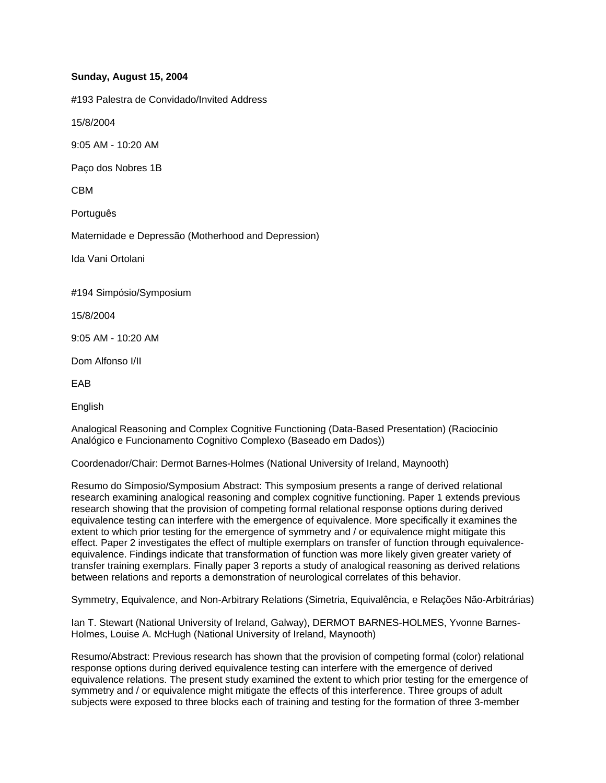## **Sunday, August 15, 2004**

#193 Palestra de Convidado/Invited Address

15/8/2004

9:05 AM - 10:20 AM

Paço dos Nobres 1B

CBM

Português

Maternidade e Depressão (Motherhood and Depression)

Ida Vani Ortolani

#194 Simpósio/Symposium

15/8/2004

9:05 AM - 10:20 AM

Dom Alfonso I/II

EAB

English

Analogical Reasoning and Complex Cognitive Functioning (Data-Based Presentation) (Raciocínio Analógico e Funcionamento Cognitivo Complexo (Baseado em Dados))

Coordenador/Chair: Dermot Barnes-Holmes (National University of Ireland, Maynooth)

Resumo do Símposio/Symposium Abstract: This symposium presents a range of derived relational research examining analogical reasoning and complex cognitive functioning. Paper 1 extends previous research showing that the provision of competing formal relational response options during derived equivalence testing can interfere with the emergence of equivalence. More specifically it examines the extent to which prior testing for the emergence of symmetry and / or equivalence might mitigate this effect. Paper 2 investigates the effect of multiple exemplars on transfer of function through equivalenceequivalence. Findings indicate that transformation of function was more likely given greater variety of transfer training exemplars. Finally paper 3 reports a study of analogical reasoning as derived relations between relations and reports a demonstration of neurological correlates of this behavior.

Symmetry, Equivalence, and Non-Arbitrary Relations (Simetria, Equivalência, e Relações Não-Arbitrárias)

Ian T. Stewart (National University of Ireland, Galway), DERMOT BARNES-HOLMES, Yvonne Barnes-Holmes, Louise A. McHugh (National University of Ireland, Maynooth)

Resumo/Abstract: Previous research has shown that the provision of competing formal (color) relational response options during derived equivalence testing can interfere with the emergence of derived equivalence relations. The present study examined the extent to which prior testing for the emergence of symmetry and / or equivalence might mitigate the effects of this interference. Three groups of adult subjects were exposed to three blocks each of training and testing for the formation of three 3-member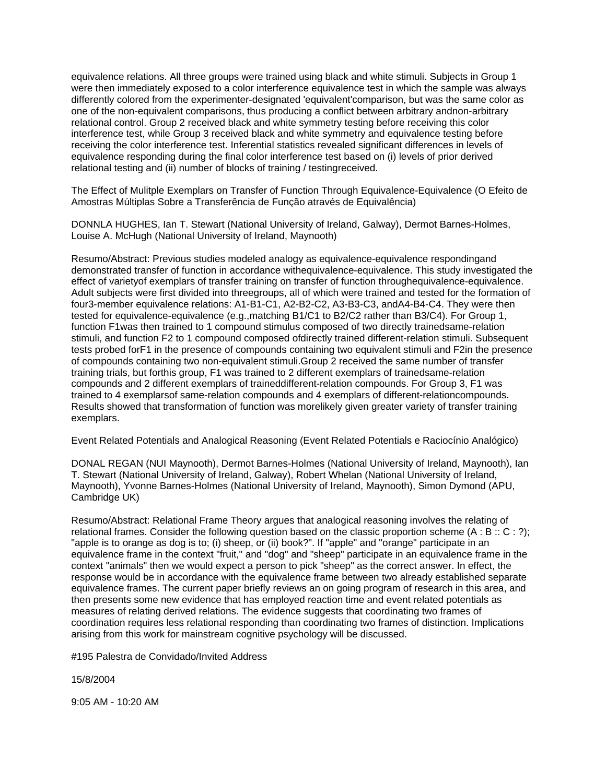equivalence relations. All three groups were trained using black and white stimuli. Subjects in Group 1 were then immediately exposed to a color interference equivalence test in which the sample was always differently colored from the experimenter-designated 'equivalent'comparison, but was the same color as one of the non-equivalent comparisons, thus producing a conflict between arbitrary andnon-arbitrary relational control. Group 2 received black and white symmetry testing before receiving this color interference test, while Group 3 received black and white symmetry and equivalence testing before receiving the color interference test. Inferential statistics revealed significant differences in levels of equivalence responding during the final color interference test based on (i) levels of prior derived relational testing and (ii) number of blocks of training / testingreceived.

The Effect of Mulitple Exemplars on Transfer of Function Through Equivalence-Equivalence (O Efeito de Amostras Múltiplas Sobre a Transferência de Função através de Equivalência)

DONNLA HUGHES, Ian T. Stewart (National University of Ireland, Galway), Dermot Barnes-Holmes, Louise A. McHugh (National University of Ireland, Maynooth)

Resumo/Abstract: Previous studies modeled analogy as equivalence-equivalence respondingand demonstrated transfer of function in accordance withequivalence-equivalence. This study investigated the effect of varietyof exemplars of transfer training on transfer of function throughequivalence-equivalence. Adult subjects were first divided into threegroups, all of which were trained and tested for the formation of four3-member equivalence relations: A1-B1-C1, A2-B2-C2, A3-B3-C3, andA4-B4-C4. They were then tested for equivalence-equivalence (e.g.,matching B1/C1 to B2/C2 rather than B3/C4). For Group 1, function F1was then trained to 1 compound stimulus composed of two directly trainedsame-relation stimuli, and function F2 to 1 compound composed ofdirectly trained different-relation stimuli. Subsequent tests probed forF1 in the presence of compounds containing two equivalent stimuli and F2in the presence of compounds containing two non-equivalent stimuli.Group 2 received the same number of transfer training trials, but forthis group, F1 was trained to 2 different exemplars of trainedsame-relation compounds and 2 different exemplars of traineddifferent-relation compounds. For Group 3, F1 was trained to 4 exemplarsof same-relation compounds and 4 exemplars of different-relationcompounds. Results showed that transformation of function was morelikely given greater variety of transfer training exemplars.

Event Related Potentials and Analogical Reasoning (Event Related Potentials e Raciocínio Analógico)

DONAL REGAN (NUI Maynooth), Dermot Barnes-Holmes (National University of Ireland, Maynooth), Ian T. Stewart (National University of Ireland, Galway), Robert Whelan (National University of Ireland, Maynooth), Yvonne Barnes-Holmes (National University of Ireland, Maynooth), Simon Dymond (APU, Cambridge UK)

Resumo/Abstract: Relational Frame Theory argues that analogical reasoning involves the relating of relational frames. Consider the following question based on the classic proportion scheme (A : B :: C : ?); "apple is to orange as dog is to; (i) sheep, or (ii) book?". If "apple" and "orange" participate in an equivalence frame in the context "fruit," and "dog" and "sheep" participate in an equivalence frame in the context "animals" then we would expect a person to pick "sheep" as the correct answer. In effect, the response would be in accordance with the equivalence frame between two already established separate equivalence frames. The current paper briefly reviews an on going program of research in this area, and then presents some new evidence that has employed reaction time and event related potentials as measures of relating derived relations. The evidence suggests that coordinating two frames of coordination requires less relational responding than coordinating two frames of distinction. Implications arising from this work for mainstream cognitive psychology will be discussed.

#195 Palestra de Convidado/Invited Address

15/8/2004

9:05 AM - 10:20 AM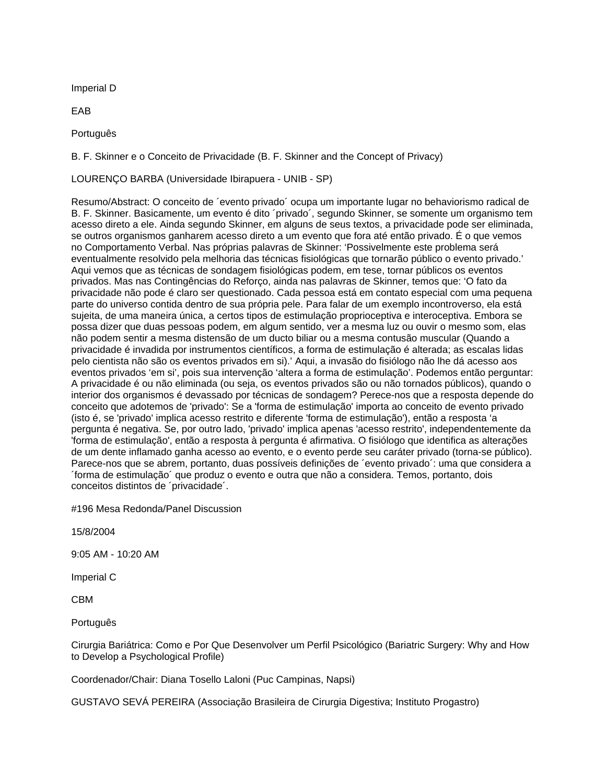Imperial D

EAB

Português

B. F. Skinner e o Conceito de Privacidade (B. F. Skinner and the Concept of Privacy)

LOURENÇO BARBA (Universidade Ibirapuera - UNIB - SP)

Resumo/Abstract: O conceito de ´evento privado´ ocupa um importante lugar no behaviorismo radical de B. F. Skinner. Basicamente, um evento é dito ´privado´, segundo Skinner, se somente um organismo tem acesso direto a ele. Ainda segundo Skinner, em alguns de seus textos, a privacidade pode ser eliminada, se outros organismos ganharem acesso direto a um evento que fora até então privado. É o que vemos no Comportamento Verbal. Nas próprias palavras de Skinner: 'Possivelmente este problema será eventualmente resolvido pela melhoria das técnicas fisiológicas que tornarão público o evento privado.' Aqui vemos que as técnicas de sondagem fisiológicas podem, em tese, tornar públicos os eventos privados. Mas nas Contingências do Reforço, ainda nas palavras de Skinner, temos que: 'O fato da privacidade não pode é claro ser questionado. Cada pessoa está em contato especial com uma pequena parte do universo contida dentro de sua própria pele. Para falar de um exemplo incontroverso, ela está sujeita, de uma maneira única, a certos tipos de estimulação proprioceptiva e interoceptiva. Embora se possa dizer que duas pessoas podem, em algum sentido, ver a mesma luz ou ouvir o mesmo som, elas não podem sentir a mesma distensão de um ducto biliar ou a mesma contusão muscular (Quando a privacidade é invadida por instrumentos científicos, a forma de estimulação é alterada; as escalas lidas pelo cientista não são os eventos privados em si).' Aqui, a invasão do fisiólogo não lhe dá acesso aos eventos privados 'em si', pois sua intervenção 'altera a forma de estimulação'. Podemos então perguntar: A privacidade é ou não eliminada (ou seja, os eventos privados são ou não tornados públicos), quando o interior dos organismos é devassado por técnicas de sondagem? Perece-nos que a resposta depende do conceito que adotemos de 'privado': Se a 'forma de estimulação' importa ao conceito de evento privado (isto é, se 'privado' implica acesso restrito e diferente 'forma de estimulação'), então a resposta 'a pergunta é negativa. Se, por outro lado, 'privado' implica apenas 'acesso restrito', independentemente da 'forma de estimulação', então a resposta à pergunta é afirmativa. O fisiólogo que identifica as alterações de um dente inflamado ganha acesso ao evento, e o evento perde seu caráter privado (torna-se público). Parece-nos que se abrem, portanto, duas possíveis definições de ´evento privado´: uma que considera a ´forma de estimulação´ que produz o evento e outra que não a considera. Temos, portanto, dois conceitos distintos de ´privacidade´.

#196 Mesa Redonda/Panel Discussion

15/8/2004

9:05 AM - 10:20 AM

Imperial C

CBM

Português

Cirurgia Bariátrica: Como e Por Que Desenvolver um Perfil Psicológico (Bariatric Surgery: Why and How to Develop a Psychological Profile)

Coordenador/Chair: Diana Tosello Laloni (Puc Campinas, Napsi)

GUSTAVO SEVÁ PEREIRA (Associação Brasileira de Cirurgia Digestiva; Instituto Progastro)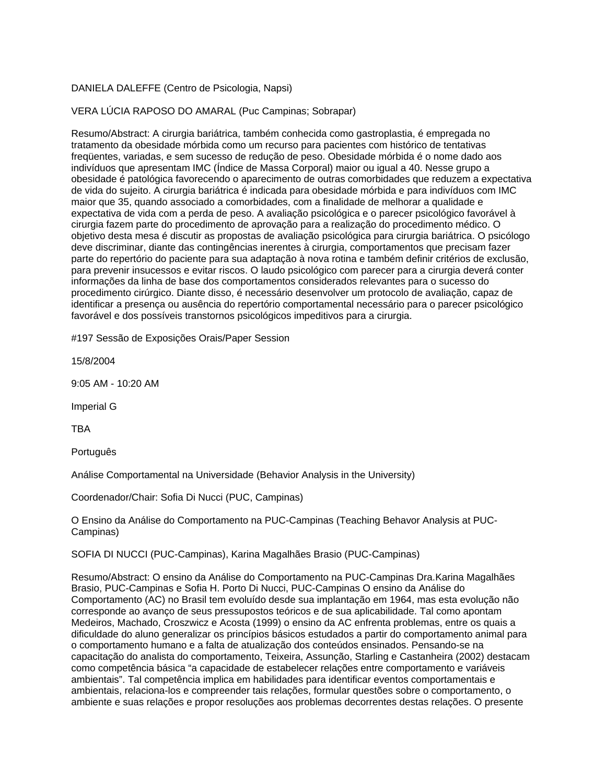## DANIELA DALEFFE (Centro de Psicologia, Napsi)

## VERA LÚCIA RAPOSO DO AMARAL (Puc Campinas; Sobrapar)

Resumo/Abstract: A cirurgia bariátrica, também conhecida como gastroplastia, é empregada no tratamento da obesidade mórbida como um recurso para pacientes com histórico de tentativas freqüentes, variadas, e sem sucesso de redução de peso. Obesidade mórbida é o nome dado aos indivíduos que apresentam IMC (Índice de Massa Corporal) maior ou igual a 40. Nesse grupo a obesidade é patológica favorecendo o aparecimento de outras comorbidades que reduzem a expectativa de vida do sujeito. A cirurgia bariátrica é indicada para obesidade mórbida e para indivíduos com IMC maior que 35, quando associado a comorbidades, com a finalidade de melhorar a qualidade e expectativa de vida com a perda de peso. A avaliação psicológica e o parecer psicológico favorável à cirurgia fazem parte do procedimento de aprovação para a realização do procedimento médico. O objetivo desta mesa é discutir as propostas de avaliação psicológica para cirurgia bariátrica. O psicólogo deve discriminar, diante das contingências inerentes à cirurgia, comportamentos que precisam fazer parte do repertório do paciente para sua adaptação à nova rotina e também definir critérios de exclusão, para prevenir insucessos e evitar riscos. O laudo psicológico com parecer para a cirurgia deverá conter informações da linha de base dos comportamentos considerados relevantes para o sucesso do procedimento cirúrgico. Diante disso, é necessário desenvolver um protocolo de avaliação, capaz de identificar a presença ou ausência do repertório comportamental necessário para o parecer psicológico favorável e dos possíveis transtornos psicológicos impeditivos para a cirurgia.

#197 Sessão de Exposições Orais/Paper Session

15/8/2004

9:05 AM - 10:20 AM

Imperial G

TBA

Português

Análise Comportamental na Universidade (Behavior Analysis in the University)

Coordenador/Chair: Sofia Di Nucci (PUC, Campinas)

O Ensino da Análise do Comportamento na PUC-Campinas (Teaching Behavor Analysis at PUC-Campinas)

SOFIA DI NUCCI (PUC-Campinas), Karina Magalhães Brasio (PUC-Campinas)

Resumo/Abstract: O ensino da Análise do Comportamento na PUC-Campinas Dra.Karina Magalhães Brasio, PUC-Campinas e Sofia H. Porto Di Nucci, PUC-Campinas O ensino da Análise do Comportamento (AC) no Brasil tem evoluído desde sua implantação em 1964, mas esta evolução não corresponde ao avanço de seus pressupostos teóricos e de sua aplicabilidade. Tal como apontam Medeiros, Machado, Croszwicz e Acosta (1999) o ensino da AC enfrenta problemas, entre os quais a dificuldade do aluno generalizar os princípios básicos estudados a partir do comportamento animal para o comportamento humano e a falta de atualização dos conteúdos ensinados. Pensando-se na capacitação do analista do comportamento, Teixeira, Assunção, Starling e Castanheira (2002) destacam como competência básica "a capacidade de estabelecer relações entre comportamento e variáveis ambientais". Tal competência implica em habilidades para identificar eventos comportamentais e ambientais, relaciona-los e compreender tais relações, formular questões sobre o comportamento, o ambiente e suas relações e propor resoluções aos problemas decorrentes destas relações. O presente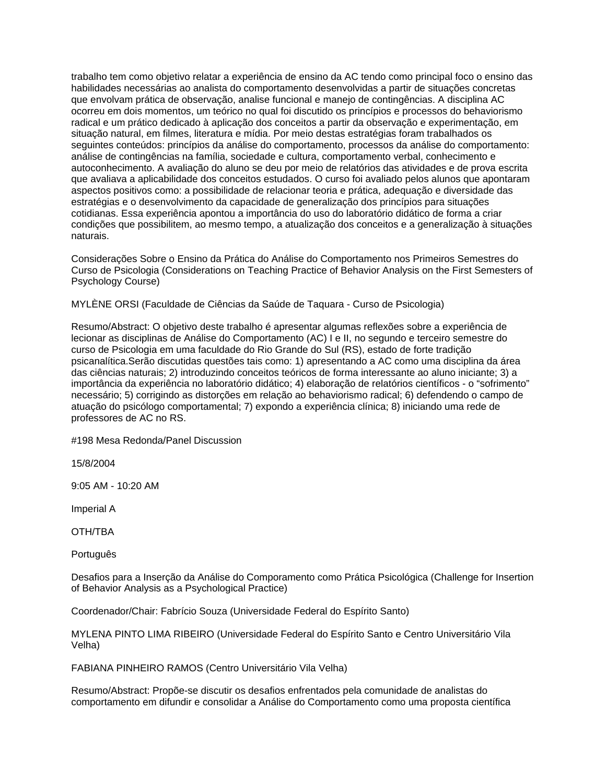trabalho tem como objetivo relatar a experiência de ensino da AC tendo como principal foco o ensino das habilidades necessárias ao analista do comportamento desenvolvidas a partir de situações concretas que envolvam prática de observação, analise funcional e manejo de contingências. A disciplina AC ocorreu em dois momentos, um teórico no qual foi discutido os princípios e processos do behaviorismo radical e um prático dedicado à aplicação dos conceitos a partir da observação e experimentação, em situação natural, em filmes, literatura e mídia. Por meio destas estratégias foram trabalhados os seguintes conteúdos: princípios da análise do comportamento, processos da análise do comportamento: análise de contingências na família, sociedade e cultura, comportamento verbal, conhecimento e autoconhecimento. A avaliação do aluno se deu por meio de relatórios das atividades e de prova escrita que avaliava a aplicabilidade dos conceitos estudados. O curso foi avaliado pelos alunos que apontaram aspectos positivos como: a possibilidade de relacionar teoria e prática, adequação e diversidade das estratégias e o desenvolvimento da capacidade de generalização dos princípios para situações cotidianas. Essa experiência apontou a importância do uso do laboratório didático de forma a criar condições que possibilitem, ao mesmo tempo, a atualização dos conceitos e a generalização à situações naturais.

Considerações Sobre o Ensino da Prática do Análise do Comportamento nos Primeiros Semestres do Curso de Psicologia (Considerations on Teaching Practice of Behavior Analysis on the First Semesters of Psychology Course)

MYLÈNE ORSI (Faculdade de Ciências da Saúde de Taquara - Curso de Psicologia)

Resumo/Abstract: O objetivo deste trabalho é apresentar algumas reflexões sobre a experiência de lecionar as disciplinas de Análise do Comportamento (AC) I e II, no segundo e terceiro semestre do curso de Psicologia em uma faculdade do Rio Grande do Sul (RS), estado de forte tradição psicanalítica.Serão discutidas questões tais como: 1) apresentando a AC como uma disciplina da área das ciências naturais; 2) introduzindo conceitos teóricos de forma interessante ao aluno iniciante; 3) a importância da experiência no laboratório didático; 4) elaboração de relatórios científicos - o "sofrimento" necessário; 5) corrigindo as distorções em relação ao behaviorismo radical; 6) defendendo o campo de atuação do psicólogo comportamental; 7) expondo a experiência clínica; 8) iniciando uma rede de professores de AC no RS.

#198 Mesa Redonda/Panel Discussion

15/8/2004

9:05 AM - 10:20 AM

Imperial A

OTH/TBA

Português

Desafios para a Inserção da Análise do Comporamento como Prática Psicológica (Challenge for Insertion of Behavior Analysis as a Psychological Practice)

Coordenador/Chair: Fabrício Souza (Universidade Federal do Espírito Santo)

MYLENA PINTO LIMA RIBEIRO (Universidade Federal do Espírito Santo e Centro Universitário Vila Velha)

FABIANA PINHEIRO RAMOS (Centro Universitário Vila Velha)

Resumo/Abstract: Propõe-se discutir os desafios enfrentados pela comunidade de analistas do comportamento em difundir e consolidar a Análise do Comportamento como uma proposta científica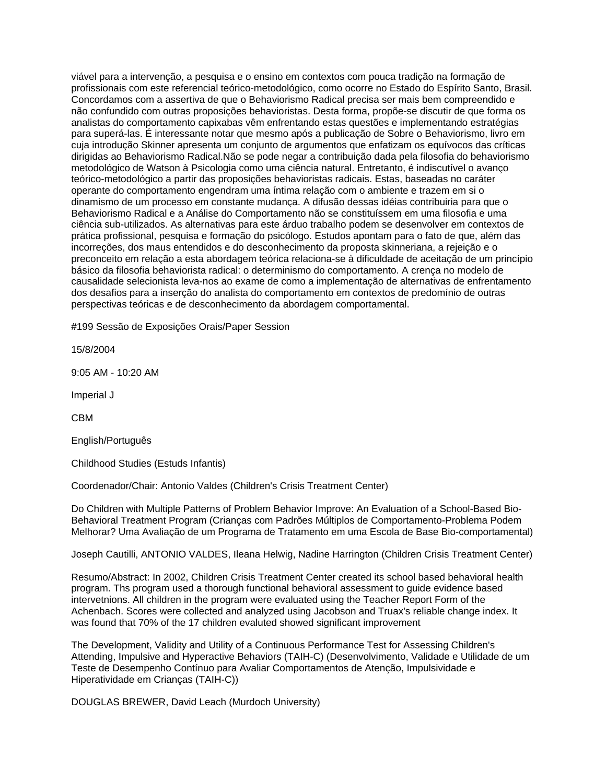viável para a intervenção, a pesquisa e o ensino em contextos com pouca tradição na formação de profissionais com este referencial teórico-metodológico, como ocorre no Estado do Espírito Santo, Brasil. Concordamos com a assertiva de que o Behaviorismo Radical precisa ser mais bem compreendido e não confundido com outras proposições behavioristas. Desta forma, propõe-se discutir de que forma os analistas do comportamento capixabas vêm enfrentando estas questões e implementando estratégias para superá-las. É interessante notar que mesmo após a publicação de Sobre o Behaviorismo, livro em cuja introdução Skinner apresenta um conjunto de argumentos que enfatizam os equívocos das críticas dirigidas ao Behaviorismo Radical.Não se pode negar a contribuição dada pela filosofia do behaviorismo metodológico de Watson à Psicologia como uma ciência natural. Entretanto, é indiscutível o avanço teórico-metodológico a partir das proposições behavioristas radicais. Estas, baseadas no caráter operante do comportamento engendram uma íntima relação com o ambiente e trazem em si o dinamismo de um processo em constante mudança. A difusão dessas idéias contribuiria para que o Behaviorismo Radical e a Análise do Comportamento não se constituíssem em uma filosofia e uma ciência sub-utilizados. As alternativas para este árduo trabalho podem se desenvolver em contextos de prática profissional, pesquisa e formação do psicólogo. Estudos apontam para o fato de que, além das incorreções, dos maus entendidos e do desconhecimento da proposta skinneriana, a rejeição e o preconceito em relação a esta abordagem teórica relaciona-se à dificuldade de aceitação de um princípio básico da filosofia behaviorista radical: o determinismo do comportamento. A crença no modelo de causalidade selecionista leva-nos ao exame de como a implementação de alternativas de enfrentamento dos desafios para a inserção do analista do comportamento em contextos de predomínio de outras perspectivas teóricas e de desconhecimento da abordagem comportamental.

#199 Sessão de Exposições Orais/Paper Session

15/8/2004

9:05 AM - 10:20 AM

Imperial J

CBM

English/Português

Childhood Studies (Estuds Infantis)

Coordenador/Chair: Antonio Valdes (Children's Crisis Treatment Center)

Do Children with Multiple Patterns of Problem Behavior Improve: An Evaluation of a School-Based Bio-Behavioral Treatment Program (Crianças com Padrões Múltiplos de Comportamento-Problema Podem Melhorar? Uma Avaliação de um Programa de Tratamento em uma Escola de Base Bio-comportamental)

Joseph Cautilli, ANTONIO VALDES, Ileana Helwig, Nadine Harrington (Children Crisis Treatment Center)

Resumo/Abstract: In 2002, Children Crisis Treatment Center created its school based behavioral health program. Ths program used a thorough functional behavioral assessment to guide evidence based intervetnions. All children in the program were evaluated using the Teacher Report Form of the Achenbach. Scores were collected and analyzed using Jacobson and Truax's reliable change index. It was found that 70% of the 17 children evaluted showed significant improvement

The Development, Validity and Utility of a Continuous Performance Test for Assessing Children's Attending, Impulsive and Hyperactive Behaviors (TAIH-C) (Desenvolvimento, Validade e Utilidade de um Teste de Desempenho Contínuo para Avaliar Comportamentos de Atenção, Impulsividade e Hiperatividade em Crianças (TAIH-C))

DOUGLAS BREWER, David Leach (Murdoch University)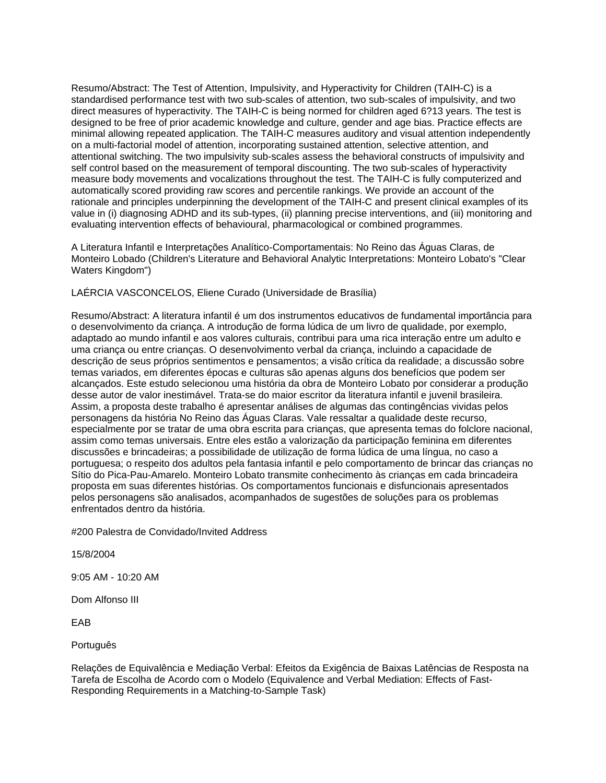Resumo/Abstract: The Test of Attention, Impulsivity, and Hyperactivity for Children (TAIH-C) is a standardised performance test with two sub-scales of attention, two sub-scales of impulsivity, and two direct measures of hyperactivity. The TAIH-C is being normed for children aged 6?13 years. The test is designed to be free of prior academic knowledge and culture, gender and age bias. Practice effects are minimal allowing repeated application. The TAIH-C measures auditory and visual attention independently on a multi-factorial model of attention, incorporating sustained attention, selective attention, and attentional switching. The two impulsivity sub-scales assess the behavioral constructs of impulsivity and self control based on the measurement of temporal discounting. The two sub-scales of hyperactivity measure body movements and vocalizations throughout the test. The TAIH-C is fully computerized and automatically scored providing raw scores and percentile rankings. We provide an account of the rationale and principles underpinning the development of the TAIH-C and present clinical examples of its value in (i) diagnosing ADHD and its sub-types, (ii) planning precise interventions, and (iii) monitoring and evaluating intervention effects of behavioural, pharmacological or combined programmes.

A Literatura Infantil e Interpretações Analítico-Comportamentais: No Reino das Águas Claras, de Monteiro Lobado (Children's Literature and Behavioral Analytic Interpretations: Monteiro Lobato's "Clear Waters Kingdom")

LAÉRCIA VASCONCELOS, Eliene Curado (Universidade de Brasília)

Resumo/Abstract: A literatura infantil é um dos instrumentos educativos de fundamental importância para o desenvolvimento da criança. A introdução de forma lúdica de um livro de qualidade, por exemplo, adaptado ao mundo infantil e aos valores culturais, contribui para uma rica interação entre um adulto e uma criança ou entre crianças. O desenvolvimento verbal da criança, incluindo a capacidade de descrição de seus próprios sentimentos e pensamentos; a visão crítica da realidade; a discussão sobre temas variados, em diferentes épocas e culturas são apenas alguns dos benefícios que podem ser alcançados. Este estudo selecionou uma história da obra de Monteiro Lobato por considerar a produção desse autor de valor inestimável. Trata-se do maior escritor da literatura infantil e juvenil brasileira. Assim, a proposta deste trabalho é apresentar análises de algumas das contingências vividas pelos personagens da história No Reino das Águas Claras. Vale ressaltar a qualidade deste recurso, especialmente por se tratar de uma obra escrita para crianças, que apresenta temas do folclore nacional, assim como temas universais. Entre eles estão a valorização da participação feminina em diferentes discussões e brincadeiras; a possibilidade de utilização de forma lúdica de uma língua, no caso a portuguesa; o respeito dos adultos pela fantasia infantil e pelo comportamento de brincar das crianças no Sítio do Pica-Pau-Amarelo. Monteiro Lobato transmite conhecimento às crianças em cada brincadeira proposta em suas diferentes histórias. Os comportamentos funcionais e disfuncionais apresentados pelos personagens são analisados, acompanhados de sugestões de soluções para os problemas enfrentados dentro da história.

#200 Palestra de Convidado/Invited Address

15/8/2004

9:05 AM - 10:20 AM

Dom Alfonso III

EAB

Português

Relações de Equivalência e Mediação Verbal: Efeitos da Exigência de Baixas Latências de Resposta na Tarefa de Escolha de Acordo com o Modelo (Equivalence and Verbal Mediation: Effects of Fast-Responding Requirements in a Matching-to-Sample Task)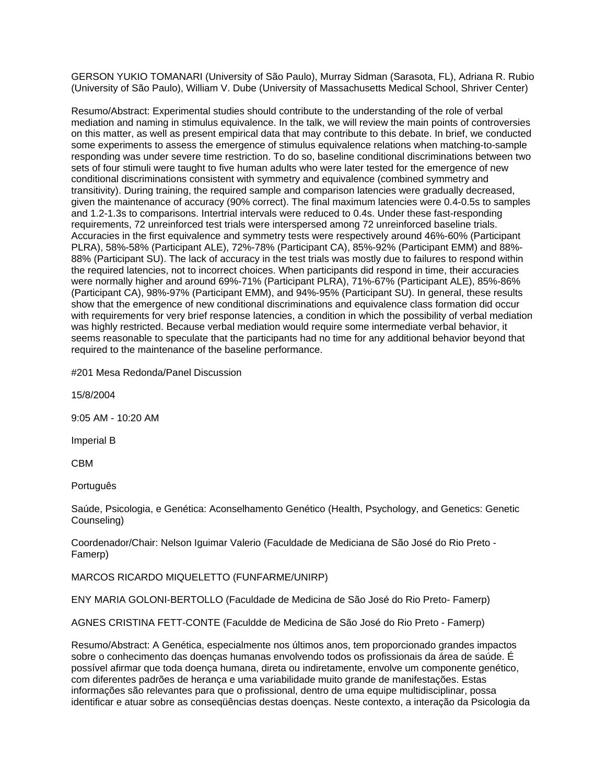GERSON YUKIO TOMANARI (University of São Paulo), Murray Sidman (Sarasota, FL), Adriana R. Rubio (University of São Paulo), William V. Dube (University of Massachusetts Medical School, Shriver Center)

Resumo/Abstract: Experimental studies should contribute to the understanding of the role of verbal mediation and naming in stimulus equivalence. In the talk, we will review the main points of controversies on this matter, as well as present empirical data that may contribute to this debate. In brief, we conducted some experiments to assess the emergence of stimulus equivalence relations when matching-to-sample responding was under severe time restriction. To do so, baseline conditional discriminations between two sets of four stimuli were taught to five human adults who were later tested for the emergence of new conditional discriminations consistent with symmetry and equivalence (combined symmetry and transitivity). During training, the required sample and comparison latencies were gradually decreased, given the maintenance of accuracy (90% correct). The final maximum latencies were 0.4-0.5s to samples and 1.2-1.3s to comparisons. Intertrial intervals were reduced to 0.4s. Under these fast-responding requirements, 72 unreinforced test trials were interspersed among 72 unreinforced baseline trials. Accuracies in the first equivalence and symmetry tests were respectively around 46%-60% (Participant PLRA), 58%-58% (Participant ALE), 72%-78% (Participant CA), 85%-92% (Participant EMM) and 88%- 88% (Participant SU). The lack of accuracy in the test trials was mostly due to failures to respond within the required latencies, not to incorrect choices. When participants did respond in time, their accuracies were normally higher and around 69%-71% (Participant PLRA), 71%-67% (Participant ALE), 85%-86% (Participant CA), 98%-97% (Participant EMM), and 94%-95% (Participant SU). In general, these results show that the emergence of new conditional discriminations and equivalence class formation did occur with requirements for very brief response latencies, a condition in which the possibility of verbal mediation was highly restricted. Because verbal mediation would require some intermediate verbal behavior, it seems reasonable to speculate that the participants had no time for any additional behavior beyond that required to the maintenance of the baseline performance.

#201 Mesa Redonda/Panel Discussion

15/8/2004

9:05 AM - 10:20 AM

Imperial B

CBM

Português

Saúde, Psicologia, e Genética: Aconselhamento Genético (Health, Psychology, and Genetics: Genetic Counseling)

Coordenador/Chair: Nelson Iguimar Valerio (Faculdade de Mediciana de São José do Rio Preto - Famerp)

MARCOS RICARDO MIQUELETTO (FUNFARME/UNIRP)

ENY MARIA GOLONI-BERTOLLO (Faculdade de Medicina de São José do Rio Preto- Famerp)

AGNES CRISTINA FETT-CONTE (Faculdde de Medicina de São José do Rio Preto - Famerp)

Resumo/Abstract: A Genética, especialmente nos últimos anos, tem proporcionado grandes impactos sobre o conhecimento das doenças humanas envolvendo todos os profissionais da área de saúde. É possível afirmar que toda doença humana, direta ou indiretamente, envolve um componente genético, com diferentes padrões de herança e uma variabilidade muito grande de manifestações. Estas informações são relevantes para que o profissional, dentro de uma equipe multidisciplinar, possa identificar e atuar sobre as conseqüências destas doenças. Neste contexto, a interação da Psicologia da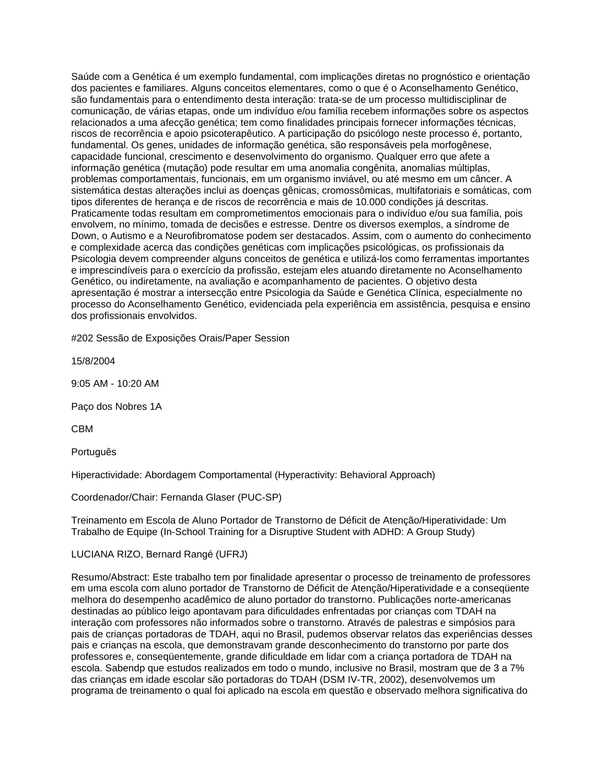Saúde com a Genética é um exemplo fundamental, com implicações diretas no prognóstico e orientação dos pacientes e familiares. Alguns conceitos elementares, como o que é o Aconselhamento Genético, são fundamentais para o entendimento desta interação: trata-se de um processo multidisciplinar de comunicação, de várias etapas, onde um indivíduo e/ou família recebem informações sobre os aspectos relacionados a uma afecção genética; tem como finalidades principais fornecer informações técnicas, riscos de recorrência e apoio psicoterapêutico. A participação do psicólogo neste processo é, portanto, fundamental. Os genes, unidades de informação genética, são responsáveis pela morfogênese, capacidade funcional, crescimento e desenvolvimento do organismo. Qualquer erro que afete a informação genética (mutação) pode resultar em uma anomalia congênita, anomalias múltiplas, problemas comportamentais, funcionais, em um organismo inviável, ou até mesmo em um câncer. A sistemática destas alterações inclui as doenças gênicas, cromossômicas, multifatoriais e somáticas, com tipos diferentes de herança e de riscos de recorrência e mais de 10.000 condições já descritas. Praticamente todas resultam em comprometimentos emocionais para o indivíduo e/ou sua família, pois envolvem, no mínimo, tomada de decisões e estresse. Dentre os diversos exemplos, a síndrome de Down, o Autismo e a Neurofibromatose podem ser destacados. Assim, com o aumento do conhecimento e complexidade acerca das condições genéticas com implicações psicológicas, os profissionais da Psicologia devem compreender alguns conceitos de genética e utilizá-los como ferramentas importantes e imprescindíveis para o exercício da profissão, estejam eles atuando diretamente no Aconselhamento Genético, ou indiretamente, na avaliação e acompanhamento de pacientes. O objetivo desta apresentação é mostrar a intersecção entre Psicologia da Saúde e Genética Clínica, especialmente no processo do Aconselhamento Genético, evidenciada pela experiência em assistência, pesquisa e ensino dos profissionais envolvidos.

#202 Sessão de Exposições Orais/Paper Session

15/8/2004

9:05 AM - 10:20 AM

Paço dos Nobres 1A

CBM

Português

Hiperactividade: Abordagem Comportamental (Hyperactivity: Behavioral Approach)

Coordenador/Chair: Fernanda Glaser (PUC-SP)

Treinamento em Escola de Aluno Portador de Transtorno de Déficit de Atenção/Hiperatividade: Um Trabalho de Equipe (In-School Training for a Disruptive Student with ADHD: A Group Study)

## LUCIANA RIZO, Bernard Rangé (UFRJ)

Resumo/Abstract: Este trabalho tem por finalidade apresentar o processo de treinamento de professores em uma escola com aluno portador de Transtorno de Déficit de Atenção/Hiperatividade e a conseqüente melhora do desempenho acadêmico de aluno portador do transtorno. Publicações norte-americanas destinadas ao público leigo apontavam para dificuldades enfrentadas por crianças com TDAH na interação com professores não informados sobre o transtorno. Através de palestras e simpósios para pais de crianças portadoras de TDAH, aqui no Brasil, pudemos observar relatos das experiências desses pais e crianças na escola, que demonstravam grande desconhecimento do transtorno por parte dos professores e, conseqüentemente, grande dificuldade em lidar com a criança portadora de TDAH na escola. Sabendp que estudos realizados em todo o mundo, inclusive no Brasil, mostram que de 3 a 7% das crianças em idade escolar são portadoras do TDAH (DSM IV-TR, 2002), desenvolvemos um programa de treinamento o qual foi aplicado na escola em questão e observado melhora significativa do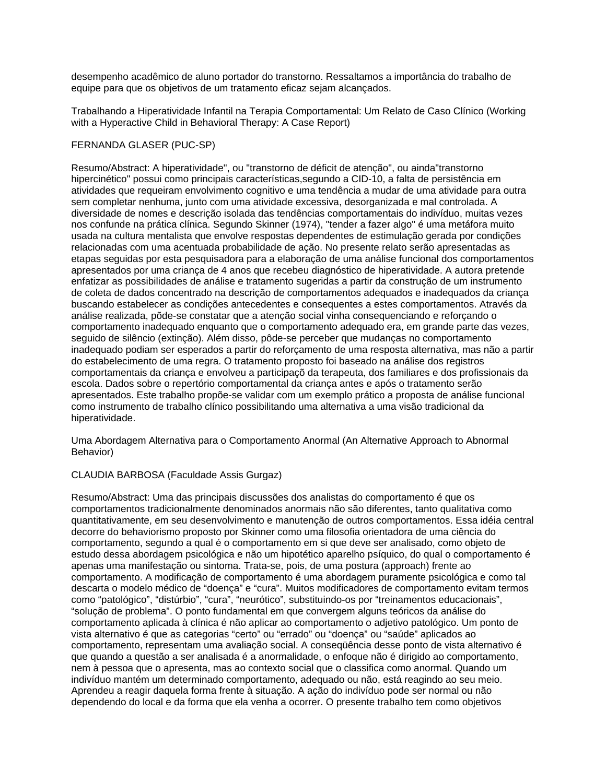desempenho acadêmico de aluno portador do transtorno. Ressaltamos a importância do trabalho de equipe para que os objetivos de um tratamento eficaz sejam alcançados.

Trabalhando a Hiperatividade Infantil na Terapia Comportamental: Um Relato de Caso Clínico (Working with a Hyperactive Child in Behavioral Therapy: A Case Report)

# FERNANDA GLASER (PUC-SP)

Resumo/Abstract: A hiperatividade", ou "transtorno de déficit de atenção", ou ainda"transtorno hipercinético" possui como principais características,segundo a CID-10, a falta de persistência em atividades que requeiram envolvimento cognitivo e uma tendência a mudar de uma atividade para outra sem completar nenhuma, junto com uma atividade excessiva, desorganizada e mal controlada. A diversidade de nomes e descrição isolada das tendências comportamentais do indivíduo, muitas vezes nos confunde na prática clínica. Segundo Skinner (1974), "tender a fazer algo" é uma metáfora muito usada na cultura mentalista que envolve respostas dependentes de estimulação gerada por condições relacionadas com uma acentuada probabilidade de ação. No presente relato serão apresentadas as etapas seguidas por esta pesquisadora para a elaboração de uma análise funcional dos comportamentos apresentados por uma criança de 4 anos que recebeu diagnóstico de hiperatividade. A autora pretende enfatizar as possibilidades de análise e tratamento sugeridas a partir da construção de um instrumento de coleta de dados concentrado na descrição de comportamentos adequados e inadequados da criança buscando estabelecer as condições antecedentes e consequentes a estes comportamentos. Através da análise realizada, põde-se constatar que a atenção social vinha consequenciando e reforçando o comportamento inadequado enquanto que o comportamento adequado era, em grande parte das vezes, seguido de silêncio (extinção). Além disso, pôde-se perceber que mudanças no comportamento inadequado podiam ser esperados a partir do reforçamento de uma resposta alternativa, mas não a partir do estabelecimento de uma regra. O tratamento proposto foi baseado na análise dos registros comportamentais da criança e envolveu a participaçõ da terapeuta, dos familiares e dos profissionais da escola. Dados sobre o repertório comportamental da criança antes e após o tratamento serão apresentados. Este trabalho propõe-se validar com um exemplo prático a proposta de análise funcional como instrumento de trabalho clínico possibilitando uma alternativa a uma visão tradicional da hiperatividade.

Uma Abordagem Alternativa para o Comportamento Anormal (An Alternative Approach to Abnormal Behavior)

### CLAUDIA BARBOSA (Faculdade Assis Gurgaz)

Resumo/Abstract: Uma das principais discussões dos analistas do comportamento é que os comportamentos tradicionalmente denominados anormais não são diferentes, tanto qualitativa como quantitativamente, em seu desenvolvimento e manutenção de outros comportamentos. Essa idéia central decorre do behaviorismo proposto por Skinner como uma filosofia orientadora de uma ciência do comportamento, segundo a qual é o comportamento em si que deve ser analisado, como objeto de estudo dessa abordagem psicológica e não um hipotético aparelho psíquico, do qual o comportamento é apenas uma manifestação ou sintoma. Trata-se, pois, de uma postura (approach) frente ao comportamento. A modificação de comportamento é uma abordagem puramente psicológica e como tal descarta o modelo médico de "doença" e "cura". Muitos modificadores de comportamento evitam termos como "patológico", "distúrbio", "cura", "neurótico", substituindo-os por "treinamentos educacionais", "solução de problema". O ponto fundamental em que convergem alguns teóricos da análise do comportamento aplicada à clínica é não aplicar ao comportamento o adjetivo patológico. Um ponto de vista alternativo é que as categorias "certo" ou "errado" ou "doença" ou "saúde" aplicados ao comportamento, representam uma avaliação social. A conseqüência desse ponto de vista alternativo é que quando a questão a ser analisada é a anormalidade, o enfoque não é dirigido ao comportamento, nem à pessoa que o apresenta, mas ao contexto social que o classifica como anormal. Quando um indivíduo mantém um determinado comportamento, adequado ou não, está reagindo ao seu meio. Aprendeu a reagir daquela forma frente à situação. A ação do indivíduo pode ser normal ou não dependendo do local e da forma que ela venha a ocorrer. O presente trabalho tem como objetivos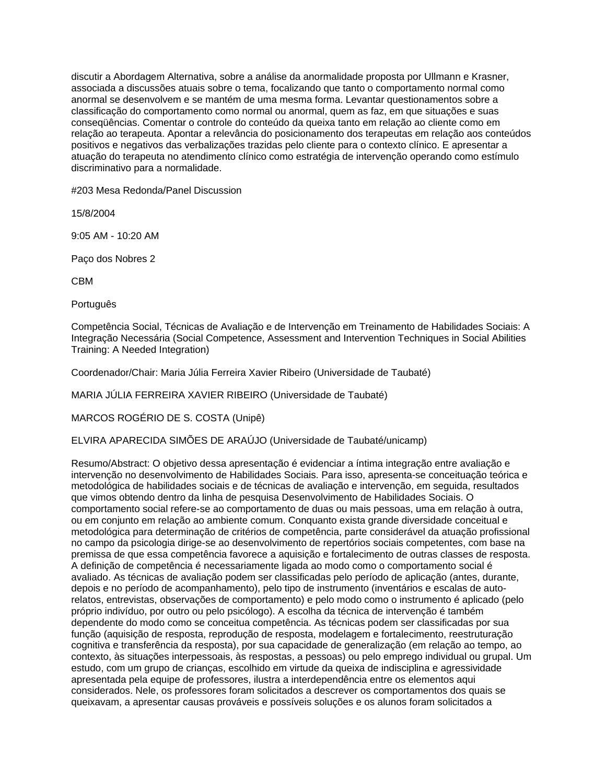discutir a Abordagem Alternativa, sobre a análise da anormalidade proposta por Ullmann e Krasner, associada a discussões atuais sobre o tema, focalizando que tanto o comportamento normal como anormal se desenvolvem e se mantém de uma mesma forma. Levantar questionamentos sobre a classificação do comportamento como normal ou anormal, quem as faz, em que situações e suas conseqüências. Comentar o controle do conteúdo da queixa tanto em relação ao cliente como em relação ao terapeuta. Apontar a relevância do posicionamento dos terapeutas em relação aos conteúdos positivos e negativos das verbalizações trazidas pelo cliente para o contexto clínico. E apresentar a atuação do terapeuta no atendimento clínico como estratégia de intervenção operando como estímulo discriminativo para a normalidade.

#203 Mesa Redonda/Panel Discussion

15/8/2004

9:05 AM - 10:20 AM

Paço dos Nobres 2

CBM

Português

Competência Social, Técnicas de Avaliação e de Intervenção em Treinamento de Habilidades Sociais: A Integração Necessária (Social Competence, Assessment and Intervention Techniques in Social Abilities Training: A Needed Integration)

Coordenador/Chair: Maria Júlia Ferreira Xavier Ribeiro (Universidade de Taubaté)

MARIA JÚLIA FERREIRA XAVIER RIBEIRO (Universidade de Taubaté)

MARCOS ROGÉRIO DE S. COSTA (Unipê)

ELVIRA APARECIDA SIMÕES DE ARAÚJO (Universidade de Taubaté/unicamp)

Resumo/Abstract: O objetivo dessa apresentação é evidenciar a íntima integração entre avaliação e intervenção no desenvolvimento de Habilidades Sociais. Para isso, apresenta-se conceituação teórica e metodológica de habilidades sociais e de técnicas de avaliação e intervenção, em seguida, resultados que vimos obtendo dentro da linha de pesquisa Desenvolvimento de Habilidades Sociais. O comportamento social refere-se ao comportamento de duas ou mais pessoas, uma em relação à outra, ou em conjunto em relação ao ambiente comum. Conquanto exista grande diversidade conceitual e metodológica para determinação de critérios de competência, parte considerável da atuação profissional no campo da psicologia dirige-se ao desenvolvimento de repertórios sociais competentes, com base na premissa de que essa competência favorece a aquisição e fortalecimento de outras classes de resposta. A definição de competência é necessariamente ligada ao modo como o comportamento social é avaliado. As técnicas de avaliação podem ser classificadas pelo período de aplicação (antes, durante, depois e no período de acompanhamento), pelo tipo de instrumento (inventários e escalas de autorelatos, entrevistas, observações de comportamento) e pelo modo como o instrumento é aplicado (pelo próprio indivíduo, por outro ou pelo psicólogo). A escolha da técnica de intervenção é também dependente do modo como se conceitua competência. As técnicas podem ser classificadas por sua função (aquisição de resposta, reprodução de resposta, modelagem e fortalecimento, reestruturação cognitiva e transferência da resposta), por sua capacidade de generalização (em relação ao tempo, ao contexto, às situações interpessoais, às respostas, a pessoas) ou pelo emprego individual ou grupal. Um estudo, com um grupo de crianças, escolhido em virtude da queixa de indisciplina e agressividade apresentada pela equipe de professores, ilustra a interdependência entre os elementos aqui considerados. Nele, os professores foram solicitados a descrever os comportamentos dos quais se queixavam, a apresentar causas prováveis e possíveis soluções e os alunos foram solicitados a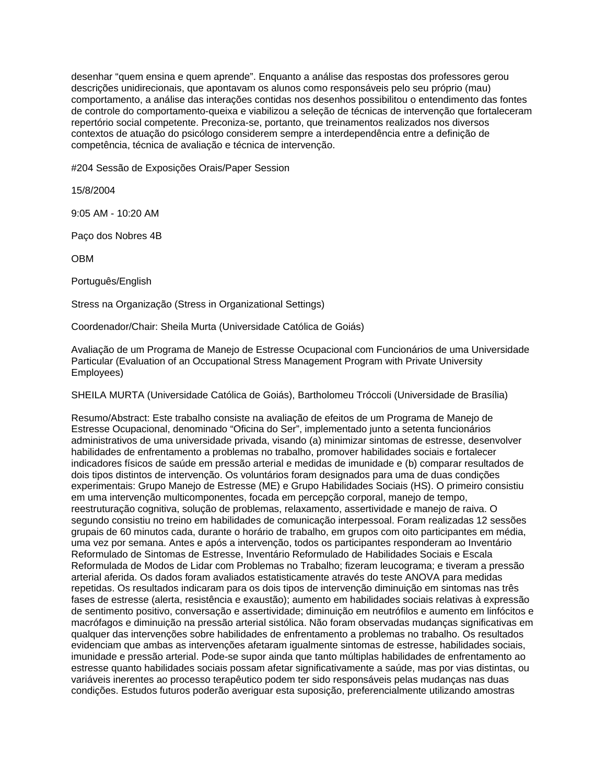desenhar "quem ensina e quem aprende". Enquanto a análise das respostas dos professores gerou descrições unidirecionais, que apontavam os alunos como responsáveis pelo seu próprio (mau) comportamento, a análise das interações contidas nos desenhos possibilitou o entendimento das fontes de controle do comportamento-queixa e viabilizou a seleção de técnicas de intervenção que fortaleceram repertório social competente. Preconiza-se, portanto, que treinamentos realizados nos diversos contextos de atuação do psicólogo considerem sempre a interdependência entre a definição de competência, técnica de avaliação e técnica de intervenção.

#204 Sessão de Exposições Orais/Paper Session

15/8/2004

9:05 AM - 10:20 AM

Paço dos Nobres 4B

OBM

Português/English

Stress na Organização (Stress in Organizational Settings)

Coordenador/Chair: Sheila Murta (Universidade Católica de Goiás)

Avaliação de um Programa de Manejo de Estresse Ocupacional com Funcionários de uma Universidade Particular (Evaluation of an Occupational Stress Management Program with Private University Employees)

SHEILA MURTA (Universidade Católica de Goiás), Bartholomeu Tróccoli (Universidade de Brasília)

Resumo/Abstract: Este trabalho consiste na avaliação de efeitos de um Programa de Manejo de Estresse Ocupacional, denominado "Oficina do Ser", implementado junto a setenta funcionários administrativos de uma universidade privada, visando (a) minimizar sintomas de estresse, desenvolver habilidades de enfrentamento a problemas no trabalho, promover habilidades sociais e fortalecer indicadores físicos de saúde em pressão arterial e medidas de imunidade e (b) comparar resultados de dois tipos distintos de intervenção. Os voluntários foram designados para uma de duas condições experimentais: Grupo Manejo de Estresse (ME) e Grupo Habilidades Sociais (HS). O primeiro consistiu em uma intervenção multicomponentes, focada em percepção corporal, manejo de tempo, reestruturação cognitiva, solução de problemas, relaxamento, assertividade e manejo de raiva. O segundo consistiu no treino em habilidades de comunicação interpessoal. Foram realizadas 12 sessões grupais de 60 minutos cada, durante o horário de trabalho, em grupos com oito participantes em média, uma vez por semana. Antes e após a intervenção, todos os participantes responderam ao Inventário Reformulado de Sintomas de Estresse, Inventário Reformulado de Habilidades Sociais e Escala Reformulada de Modos de Lidar com Problemas no Trabalho; fizeram leucograma; e tiveram a pressão arterial aferida. Os dados foram avaliados estatisticamente através do teste ANOVA para medidas repetidas. Os resultados indicaram para os dois tipos de intervenção diminuição em sintomas nas três fases de estresse (alerta, resistência e exaustão); aumento em habilidades sociais relativas à expressão de sentimento positivo, conversação e assertividade; diminuição em neutrófilos e aumento em linfócitos e macrófagos e diminuição na pressão arterial sistólica. Não foram observadas mudanças significativas em qualquer das intervenções sobre habilidades de enfrentamento a problemas no trabalho. Os resultados evidenciam que ambas as intervenções afetaram igualmente sintomas de estresse, habilidades sociais, imunidade e pressão arterial. Pode-se supor ainda que tanto múltiplas habilidades de enfrentamento ao estresse quanto habilidades sociais possam afetar significativamente a saúde, mas por vias distintas, ou variáveis inerentes ao processo terapêutico podem ter sido responsáveis pelas mudanças nas duas condições. Estudos futuros poderão averiguar esta suposição, preferencialmente utilizando amostras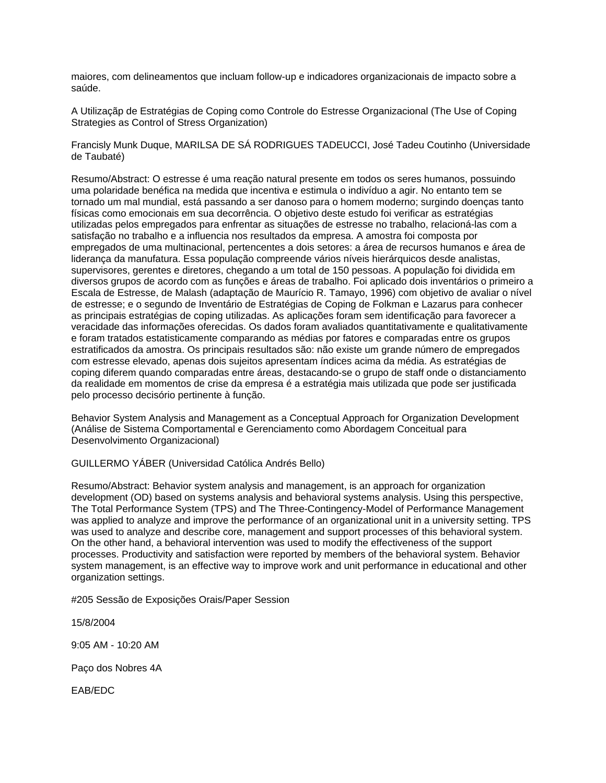maiores, com delineamentos que incluam follow-up e indicadores organizacionais de impacto sobre a saúde.

A Utilizaçãp de Estratégias de Coping como Controle do Estresse Organizacional (The Use of Coping Strategies as Control of Stress Organization)

Francisly Munk Duque, MARILSA DE SÁ RODRIGUES TADEUCCI, José Tadeu Coutinho (Universidade de Taubaté)

Resumo/Abstract: O estresse é uma reação natural presente em todos os seres humanos, possuindo uma polaridade benéfica na medida que incentiva e estimula o indivíduo a agir. No entanto tem se tornado um mal mundial, está passando a ser danoso para o homem moderno; surgindo doenças tanto físicas como emocionais em sua decorrência. O objetivo deste estudo foi verificar as estratégias utilizadas pelos empregados para enfrentar as situações de estresse no trabalho, relacioná-las com a satisfação no trabalho e a influencia nos resultados da empresa. A amostra foi composta por empregados de uma multinacional, pertencentes a dois setores: a área de recursos humanos e área de liderança da manufatura. Essa população compreende vários níveis hierárquicos desde analistas, supervisores, gerentes e diretores, chegando a um total de 150 pessoas. A população foi dividida em diversos grupos de acordo com as funções e áreas de trabalho. Foi aplicado dois inventários o primeiro a Escala de Estresse, de Malash (adaptação de Maurício R. Tamayo, 1996) com objetivo de avaliar o nível de estresse; e o segundo de Inventário de Estratégias de Coping de Folkman e Lazarus para conhecer as principais estratégias de coping utilizadas. As aplicações foram sem identificação para favorecer a veracidade das informações oferecidas. Os dados foram avaliados quantitativamente e qualitativamente e foram tratados estatisticamente comparando as médias por fatores e comparadas entre os grupos estratificados da amostra. Os principais resultados são: não existe um grande número de empregados com estresse elevado, apenas dois sujeitos apresentam índices acima da média. As estratégias de coping diferem quando comparadas entre áreas, destacando-se o grupo de staff onde o distanciamento da realidade em momentos de crise da empresa é a estratégia mais utilizada que pode ser justificada pelo processo decisório pertinente à função.

Behavior System Analysis and Management as a Conceptual Approach for Organization Development (Análise de Sistema Comportamental e Gerenciamento como Abordagem Conceitual para Desenvolvimento Organizacional)

GUILLERMO YÁBER (Universidad Católica Andrés Bello)

Resumo/Abstract: Behavior system analysis and management, is an approach for organization development (OD) based on systems analysis and behavioral systems analysis. Using this perspective, The Total Performance System (TPS) and The Three-Contingency-Model of Performance Management was applied to analyze and improve the performance of an organizational unit in a university setting. TPS was used to analyze and describe core, management and support processes of this behavioral system. On the other hand, a behavioral intervention was used to modify the effectiveness of the support processes. Productivity and satisfaction were reported by members of the behavioral system. Behavior system management, is an effective way to improve work and unit performance in educational and other organization settings.

#205 Sessão de Exposições Orais/Paper Session

15/8/2004

9:05 AM - 10:20 AM

Paço dos Nobres 4A

EAB/EDC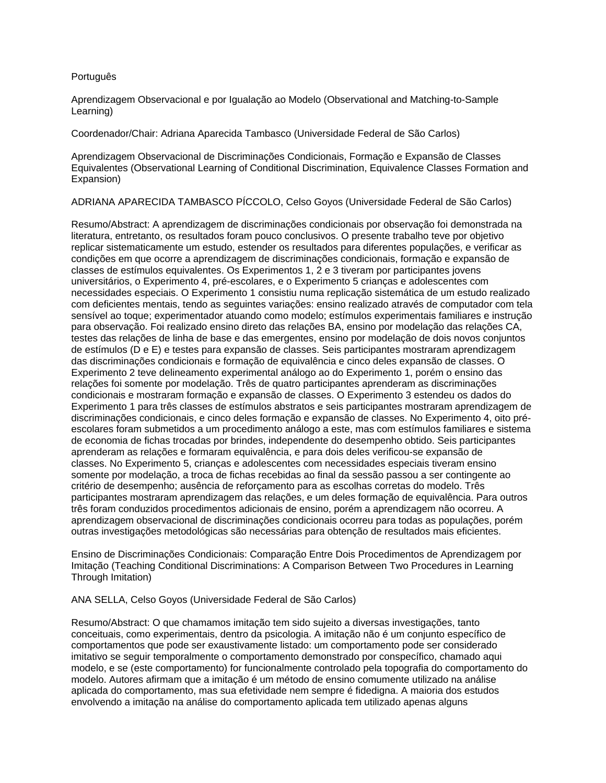### Português

Aprendizagem Observacional e por Igualação ao Modelo (Observational and Matching-to-Sample Learning)

Coordenador/Chair: Adriana Aparecida Tambasco (Universidade Federal de São Carlos)

Aprendizagem Observacional de Discriminações Condicionais, Formação e Expansão de Classes Equivalentes (Observational Learning of Conditional Discrimination, Equivalence Classes Formation and Expansion)

ADRIANA APARECIDA TAMBASCO PÍCCOLO, Celso Goyos (Universidade Federal de São Carlos)

Resumo/Abstract: A aprendizagem de discriminações condicionais por observação foi demonstrada na literatura, entretanto, os resultados foram pouco conclusivos. O presente trabalho teve por objetivo replicar sistematicamente um estudo, estender os resultados para diferentes populações, e verificar as condições em que ocorre a aprendizagem de discriminações condicionais, formação e expansão de classes de estímulos equivalentes. Os Experimentos 1, 2 e 3 tiveram por participantes jovens universitários, o Experimento 4, pré-escolares, e o Experimento 5 crianças e adolescentes com necessidades especiais. O Experimento 1 consistiu numa replicação sistemática de um estudo realizado com deficientes mentais, tendo as seguintes variações: ensino realizado através de computador com tela sensível ao toque; experimentador atuando como modelo; estímulos experimentais familiares e instrução para observação. Foi realizado ensino direto das relações BA, ensino por modelação das relações CA, testes das relações de linha de base e das emergentes, ensino por modelação de dois novos conjuntos de estímulos (D e E) e testes para expansão de classes. Seis participantes mostraram aprendizagem das discriminações condicionais e formação de equivalência e cinco deles expansão de classes. O Experimento 2 teve delineamento experimental análogo ao do Experimento 1, porém o ensino das relações foi somente por modelação. Três de quatro participantes aprenderam as discriminações condicionais e mostraram formação e expansão de classes. O Experimento 3 estendeu os dados do Experimento 1 para três classes de estímulos abstratos e seis participantes mostraram aprendizagem de discriminações condicionais, e cinco deles formação e expansão de classes. No Experimento 4, oito préescolares foram submetidos a um procedimento análogo a este, mas com estímulos familiares e sistema de economia de fichas trocadas por brindes, independente do desempenho obtido. Seis participantes aprenderam as relações e formaram equivalência, e para dois deles verificou-se expansão de classes. No Experimento 5, crianças e adolescentes com necessidades especiais tiveram ensino somente por modelação, a troca de fichas recebidas ao final da sessão passou a ser contingente ao critério de desempenho; ausência de reforçamento para as escolhas corretas do modelo. Três participantes mostraram aprendizagem das relações, e um deles formação de equivalência. Para outros três foram conduzidos procedimentos adicionais de ensino, porém a aprendizagem não ocorreu. A aprendizagem observacional de discriminações condicionais ocorreu para todas as populações, porém outras investigações metodológicas são necessárias para obtenção de resultados mais eficientes.

Ensino de Discriminações Condicionais: Comparação Entre Dois Procedimentos de Aprendizagem por Imitação (Teaching Conditional Discriminations: A Comparison Between Two Procedures in Learning Through Imitation)

ANA SELLA, Celso Goyos (Universidade Federal de São Carlos)

Resumo/Abstract: O que chamamos imitação tem sido sujeito a diversas investigações, tanto conceituais, como experimentais, dentro da psicologia. A imitação não é um conjunto específico de comportamentos que pode ser exaustivamente listado: um comportamento pode ser considerado imitativo se seguir temporalmente o comportamento demonstrado por conspecífico, chamado aqui modelo, e se (este comportamento) for funcionalmente controlado pela topografia do comportamento do modelo. Autores afirmam que a imitação é um método de ensino comumente utilizado na análise aplicada do comportamento, mas sua efetividade nem sempre é fidedigna. A maioria dos estudos envolvendo a imitação na análise do comportamento aplicada tem utilizado apenas alguns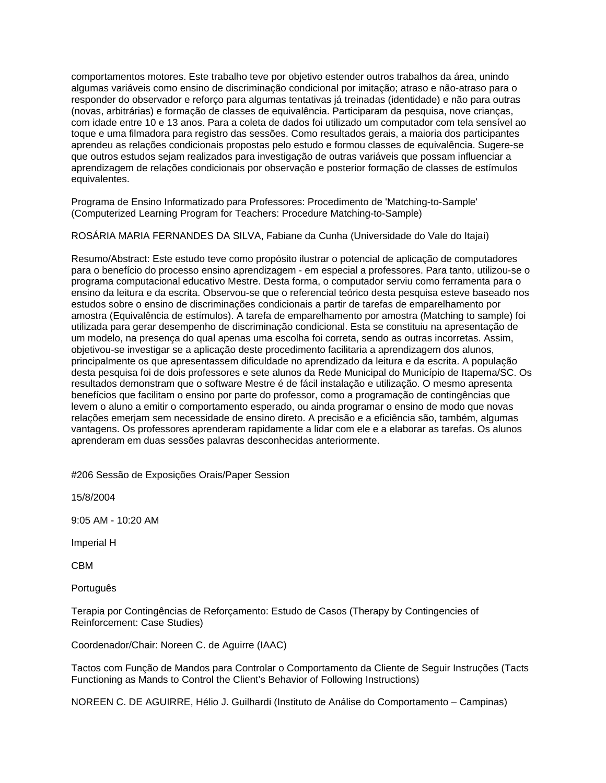comportamentos motores. Este trabalho teve por objetivo estender outros trabalhos da área, unindo algumas variáveis como ensino de discriminação condicional por imitação; atraso e não-atraso para o responder do observador e reforço para algumas tentativas já treinadas (identidade) e não para outras (novas, arbitrárias) e formação de classes de equivalência. Participaram da pesquisa, nove crianças, com idade entre 10 e 13 anos. Para a coleta de dados foi utilizado um computador com tela sensível ao toque e uma filmadora para registro das sessões. Como resultados gerais, a maioria dos participantes aprendeu as relações condicionais propostas pelo estudo e formou classes de equivalência. Sugere-se que outros estudos sejam realizados para investigação de outras variáveis que possam influenciar a aprendizagem de relações condicionais por observação e posterior formação de classes de estímulos equivalentes.

Programa de Ensino Informatizado para Professores: Procedimento de 'Matching-to-Sample' (Computerized Learning Program for Teachers: Procedure Matching-to-Sample)

ROSÁRIA MARIA FERNANDES DA SILVA, Fabiane da Cunha (Universidade do Vale do Itajaí)

Resumo/Abstract: Este estudo teve como propósito ilustrar o potencial de aplicação de computadores para o benefício do processo ensino aprendizagem - em especial a professores. Para tanto, utilizou-se o programa computacional educativo Mestre. Desta forma, o computador serviu como ferramenta para o ensino da leitura e da escrita. Observou-se que o referencial teórico desta pesquisa esteve baseado nos estudos sobre o ensino de discriminações condicionais a partir de tarefas de emparelhamento por amostra (Equivalência de estímulos). A tarefa de emparelhamento por amostra (Matching to sample) foi utilizada para gerar desempenho de discriminação condicional. Esta se constituiu na apresentação de um modelo, na presença do qual apenas uma escolha foi correta, sendo as outras incorretas. Assim, objetivou-se investigar se a aplicação deste procedimento facilitaria a aprendizagem dos alunos, principalmente os que apresentassem dificuldade no aprendizado da leitura e da escrita. A população desta pesquisa foi de dois professores e sete alunos da Rede Municipal do Município de Itapema/SC. Os resultados demonstram que o software Mestre é de fácil instalação e utilização. O mesmo apresenta benefícios que facilitam o ensino por parte do professor, como a programação de contingências que levem o aluno a emitir o comportamento esperado, ou ainda programar o ensino de modo que novas relações emerjam sem necessidade de ensino direto. A precisão e a eficiência são, também, algumas vantagens. Os professores aprenderam rapidamente a lidar com ele e a elaborar as tarefas. Os alunos aprenderam em duas sessões palavras desconhecidas anteriormente.

#206 Sessão de Exposições Orais/Paper Session

15/8/2004

9:05 AM - 10:20 AM

Imperial H

CBM

Português

Terapia por Contingências de Reforçamento: Estudo de Casos (Therapy by Contingencies of Reinforcement: Case Studies)

Coordenador/Chair: Noreen C. de Aguirre (IAAC)

Tactos com Função de Mandos para Controlar o Comportamento da Cliente de Seguir Instruções (Tacts Functioning as Mands to Control the Client's Behavior of Following Instructions)

NOREEN C. DE AGUIRRE, Hélio J. Guilhardi (Instituto de Análise do Comportamento – Campinas)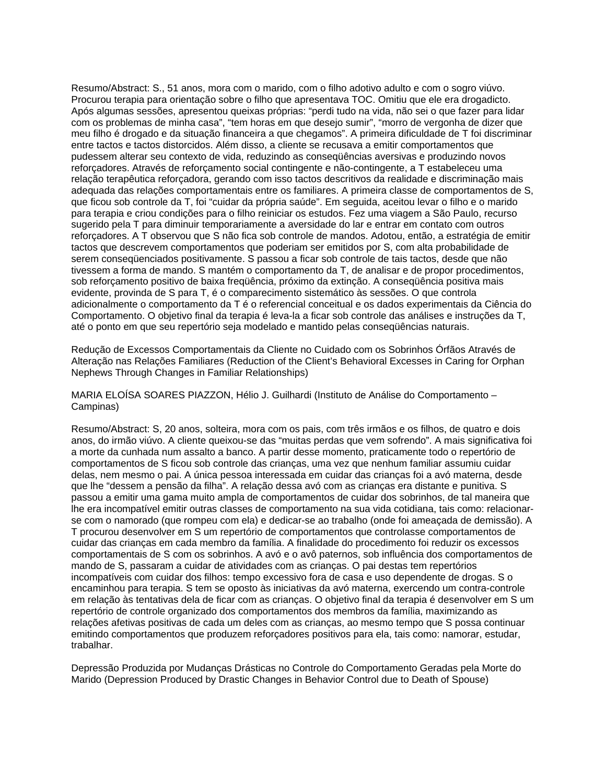Resumo/Abstract: S., 51 anos, mora com o marido, com o filho adotivo adulto e com o sogro viúvo. Procurou terapia para orientação sobre o filho que apresentava TOC. Omitiu que ele era drogadicto. Após algumas sessões, apresentou queixas próprias: "perdi tudo na vida, não sei o que fazer para lidar com os problemas de minha casa", "tem horas em que desejo sumir", "morro de vergonha de dizer que meu filho é drogado e da situação financeira a que chegamos". A primeira dificuldade de T foi discriminar entre tactos e tactos distorcidos. Além disso, a cliente se recusava a emitir comportamentos que pudessem alterar seu contexto de vida, reduzindo as conseqüências aversivas e produzindo novos reforçadores. Através de reforçamento social contingente e não-contingente, a T estabeleceu uma relação terapêutica reforçadora, gerando com isso tactos descritivos da realidade e discriminação mais adequada das relações comportamentais entre os familiares. A primeira classe de comportamentos de S, que ficou sob controle da T, foi "cuidar da própria saúde". Em seguida, aceitou levar o filho e o marido para terapia e criou condições para o filho reiniciar os estudos. Fez uma viagem a São Paulo, recurso sugerido pela T para diminuir temporariamente a aversidade do lar e entrar em contato com outros reforçadores. A T observou que S não fica sob controle de mandos. Adotou, então, a estratégia de emitir tactos que descrevem comportamentos que poderiam ser emitidos por S, com alta probabilidade de serem conseqüenciados positivamente. S passou a ficar sob controle de tais tactos, desde que não tivessem a forma de mando. S mantém o comportamento da T, de analisar e de propor procedimentos, sob reforçamento positivo de baixa freqüência, próximo da extinção. A conseqüência positiva mais evidente, provinda de S para T, é o comparecimento sistemático às sessões. O que controla adicionalmente o comportamento da T é o referencial conceitual e os dados experimentais da Ciência do Comportamento. O objetivo final da terapia é leva-la a ficar sob controle das análises e instruções da T, até o ponto em que seu repertório seja modelado e mantido pelas conseqüências naturais.

Redução de Excessos Comportamentais da Cliente no Cuidado com os Sobrinhos Órfãos Através de Alteração nas Relações Familiares (Reduction of the Client's Behavioral Excesses in Caring for Orphan Nephews Through Changes in Familiar Relationships)

MARIA ELOÍSA SOARES PIAZZON, Hélio J. Guilhardi (Instituto de Análise do Comportamento – Campinas)

Resumo/Abstract: S, 20 anos, solteira, mora com os pais, com três irmãos e os filhos, de quatro e dois anos, do irmão viúvo. A cliente queixou-se das "muitas perdas que vem sofrendo". A mais significativa foi a morte da cunhada num assalto a banco. A partir desse momento, praticamente todo o repertório de comportamentos de S ficou sob controle das crianças, uma vez que nenhum familiar assumiu cuidar delas, nem mesmo o pai. A única pessoa interessada em cuidar das crianças foi a avó materna, desde que lhe "dessem a pensão da filha". A relação dessa avó com as crianças era distante e punitiva. S passou a emitir uma gama muito ampla de comportamentos de cuidar dos sobrinhos, de tal maneira que lhe era incompatível emitir outras classes de comportamento na sua vida cotidiana, tais como: relacionarse com o namorado (que rompeu com ela) e dedicar-se ao trabalho (onde foi ameaçada de demissão). A T procurou desenvolver em S um repertório de comportamentos que controlasse comportamentos de cuidar das crianças em cada membro da família. A finalidade do procedimento foi reduzir os excessos comportamentais de S com os sobrinhos. A avó e o avô paternos, sob influência dos comportamentos de mando de S, passaram a cuidar de atividades com as crianças. O pai destas tem repertórios incompatíveis com cuidar dos filhos: tempo excessivo fora de casa e uso dependente de drogas. S o encaminhou para terapia. S tem se oposto às iniciativas da avó materna, exercendo um contra-controle em relação às tentativas dela de ficar com as crianças. O objetivo final da terapia é desenvolver em S um repertório de controle organizado dos comportamentos dos membros da família, maximizando as relações afetivas positivas de cada um deles com as crianças, ao mesmo tempo que S possa continuar emitindo comportamentos que produzem reforçadores positivos para ela, tais como: namorar, estudar, trabalhar.

Depressão Produzida por Mudanças Drásticas no Controle do Comportamento Geradas pela Morte do Marido (Depression Produced by Drastic Changes in Behavior Control due to Death of Spouse)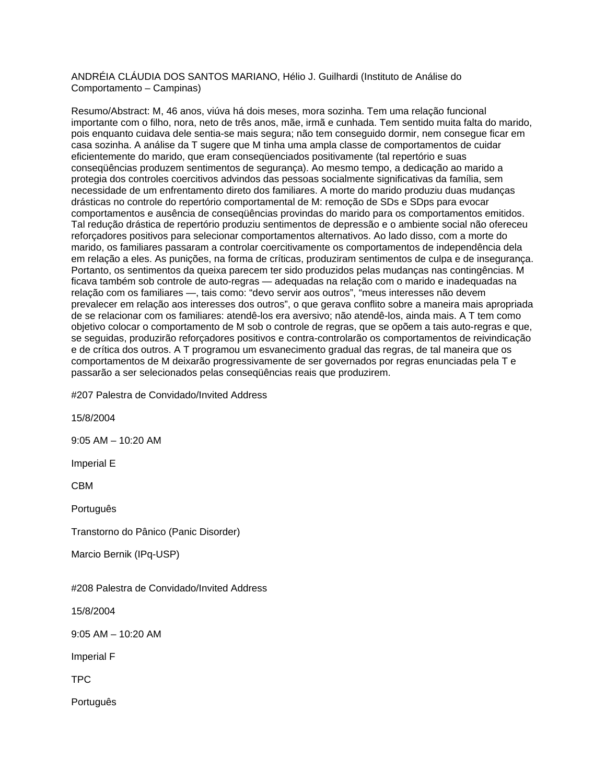ANDRÉIA CLÁUDIA DOS SANTOS MARIANO, Hélio J. Guilhardi (Instituto de Análise do Comportamento – Campinas)

Resumo/Abstract: M, 46 anos, viúva há dois meses, mora sozinha. Tem uma relação funcional importante com o filho, nora, neto de três anos, mãe, irmã e cunhada. Tem sentido muita falta do marido, pois enquanto cuidava dele sentia-se mais segura; não tem conseguido dormir, nem consegue ficar em casa sozinha. A análise da T sugere que M tinha uma ampla classe de comportamentos de cuidar eficientemente do marido, que eram conseqüenciados positivamente (tal repertório e suas conseqüências produzem sentimentos de segurança). Ao mesmo tempo, a dedicação ao marido a protegia dos controles coercitivos advindos das pessoas socialmente significativas da família, sem necessidade de um enfrentamento direto dos familiares. A morte do marido produziu duas mudanças drásticas no controle do repertório comportamental de M: remoção de SDs e SDps para evocar comportamentos e ausência de conseqüências provindas do marido para os comportamentos emitidos. Tal redução drástica de repertório produziu sentimentos de depressão e o ambiente social não ofereceu reforçadores positivos para selecionar comportamentos alternativos. Ao lado disso, com a morte do marido, os familiares passaram a controlar coercitivamente os comportamentos de independência dela em relação a eles. As punições, na forma de críticas, produziram sentimentos de culpa e de insegurança. Portanto, os sentimentos da queixa parecem ter sido produzidos pelas mudanças nas contingências. M ficava também sob controle de auto-regras — adequadas na relação com o marido e inadequadas na relação com os familiares —, tais como: "devo servir aos outros", "meus interesses não devem prevalecer em relação aos interesses dos outros", o que gerava conflito sobre a maneira mais apropriada de se relacionar com os familiares: atendê-los era aversivo; não atendê-los, ainda mais. A T tem como objetivo colocar o comportamento de M sob o controle de regras, que se opõem a tais auto-regras e que, se seguidas, produzirão reforçadores positivos e contra-controlarão os comportamentos de reivindicação e de crítica dos outros. A T programou um esvanecimento gradual das regras, de tal maneira que os comportamentos de M deixarão progressivamente de ser governados por regras enunciadas pela T e passarão a ser selecionados pelas conseqüências reais que produzirem.

#207 Palestra de Convidado/Invited Address

15/8/2004

9:05 AM – 10:20 AM

Imperial E

CBM

**Português** 

Transtorno do Pânico (Panic Disorder)

Marcio Bernik (IPq-USP)

#208 Palestra de Convidado/Invited Address

15/8/2004

9:05 AM – 10:20 AM

Imperial F

TPC

Português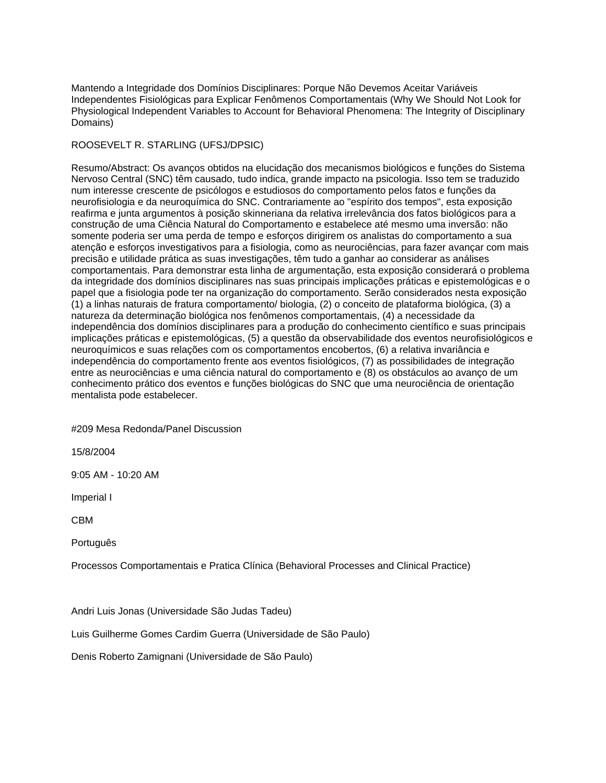Mantendo a Integridade dos Domínios Disciplinares: Porque Não Devemos Aceitar Variáveis Independentes Fisiológicas para Explicar Fenômenos Comportamentais (Why We Should Not Look for Physiological Independent Variables to Account for Behavioral Phenomena: The Integrity of Disciplinary Domains)

## ROOSEVELT R. STARLING (UFSJ/DPSIC)

Resumo/Abstract: Os avanços obtidos na elucidação dos mecanismos biológicos e funções do Sistema Nervoso Central (SNC) têm causado, tudo indica, grande impacto na psicologia. Isso tem se traduzido num interesse crescente de psicólogos e estudiosos do comportamento pelos fatos e funções da neurofisiologia e da neuroquímica do SNC. Contrariamente ao "espírito dos tempos", esta exposição reafirma e junta argumentos à posição skinneriana da relativa irrelevância dos fatos biológicos para a construção de uma Ciência Natural do Comportamento e estabelece até mesmo uma inversão: não somente poderia ser uma perda de tempo e esforços dirigirem os analistas do comportamento a sua atenção e esforços investigativos para a fisiologia, como as neurociências, para fazer avançar com mais precisão e utilidade prática as suas investigações, têm tudo a ganhar ao considerar as análises comportamentais. Para demonstrar esta linha de argumentação, esta exposição considerará o problema da integridade dos domínios disciplinares nas suas principais implicações práticas e epistemológicas e o papel que a fisiologia pode ter na organização do comportamento. Serão considerados nesta exposição (1) a linhas naturais de fratura comportamento/ biologia, (2) o conceito de plataforma biológica, (3) a natureza da determinação biológica nos fenômenos comportamentais, (4) a necessidade da independência dos domínios disciplinares para a produção do conhecimento científico e suas principais implicações práticas e epistemológicas, (5) a questão da observabilidade dos eventos neurofisiológicos e neuroquímicos e suas relações com os comportamentos encobertos, (6) a relativa invariância e independência do comportamento frente aos eventos fisiológicos, (7) as possibilidades de integração entre as neurociências e uma ciência natural do comportamento e (8) os obstáculos ao avanço de um conhecimento prático dos eventos e funções biológicas do SNC que uma neurociência de orientação mentalista pode estabelecer.

#209 Mesa Redonda/Panel Discussion

15/8/2004

9:05 AM - 10:20 AM

Imperial I

CBM

Português

Processos Comportamentais e Pratica Clínica (Behavioral Processes and Clinical Practice)

Andri Luis Jonas (Universidade São Judas Tadeu)

Luis Guilherme Gomes Cardim Guerra (Universidade de São Paulo)

Denis Roberto Zamignani (Universidade de São Paulo)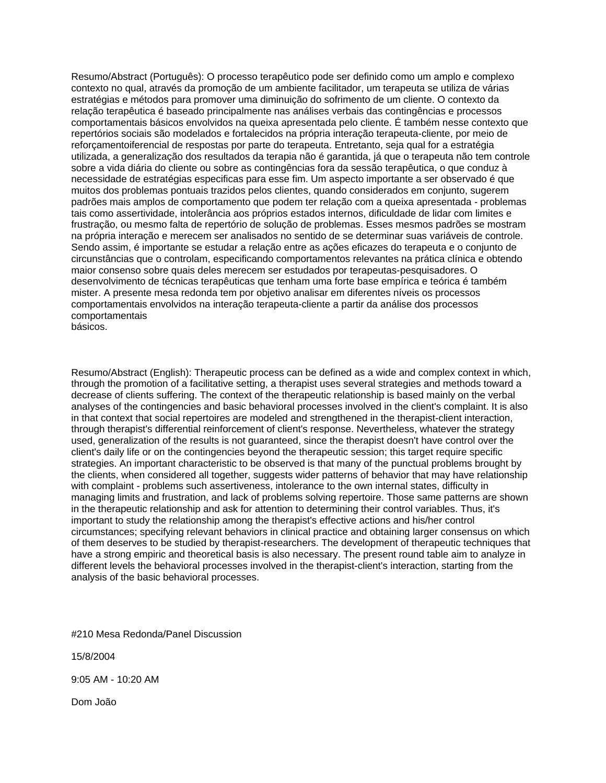Resumo/Abstract (Português): O processo terapêutico pode ser definido como um amplo e complexo contexto no qual, através da promoção de um ambiente facilitador, um terapeuta se utiliza de várias estratégias e métodos para promover uma diminuição do sofrimento de um cliente. O contexto da relação terapêutica é baseado principalmente nas análises verbais das contingências e processos comportamentais básicos envolvidos na queixa apresentada pelo cliente. É também nesse contexto que repertórios sociais são modelados e fortalecidos na própria interação terapeuta-cliente, por meio de reforçamentoiferencial de respostas por parte do terapeuta. Entretanto, seja qual for a estratégia utilizada, a generalização dos resultados da terapia não é garantida, já que o terapeuta não tem controle sobre a vida diária do cliente ou sobre as contingências fora da sessão terapêutica, o que conduz à necessidade de estratégias especificas para esse fim. Um aspecto importante a ser observado é que muitos dos problemas pontuais trazidos pelos clientes, quando considerados em conjunto, sugerem padrões mais amplos de comportamento que podem ter relação com a queixa apresentada - problemas tais como assertividade, intolerância aos próprios estados internos, dificuldade de lidar com limites e frustração, ou mesmo falta de repertório de solução de problemas. Esses mesmos padrões se mostram na própria interação e merecem ser analisados no sentido de se determinar suas variáveis de controle. Sendo assim, é importante se estudar a relação entre as ações eficazes do terapeuta e o conjunto de circunstâncias que o controlam, especificando comportamentos relevantes na prática clínica e obtendo maior consenso sobre quais deles merecem ser estudados por terapeutas-pesquisadores. O desenvolvimento de técnicas terapêuticas que tenham uma forte base empírica e teórica é também mister. A presente mesa redonda tem por objetivo analisar em diferentes níveis os processos comportamentais envolvidos na interação terapeuta-cliente a partir da análise dos processos comportamentais

básicos.

Resumo/Abstract (English): Therapeutic process can be defined as a wide and complex context in which, through the promotion of a facilitative setting, a therapist uses several strategies and methods toward a decrease of clients suffering. The context of the therapeutic relationship is based mainly on the verbal analyses of the contingencies and basic behavioral processes involved in the client's complaint. It is also in that context that social repertoires are modeled and strengthened in the therapist-client interaction, through therapist's differential reinforcement of client's response. Nevertheless, whatever the strategy used, generalization of the results is not guaranteed, since the therapist doesn't have control over the client's daily life or on the contingencies beyond the therapeutic session; this target require specific strategies. An important characteristic to be observed is that many of the punctual problems brought by the clients, when considered all together, suggests wider patterns of behavior that may have relationship with complaint - problems such assertiveness, intolerance to the own internal states, difficulty in managing limits and frustration, and lack of problems solving repertoire. Those same patterns are shown in the therapeutic relationship and ask for attention to determining their control variables. Thus, it's important to study the relationship among the therapist's effective actions and his/her control circumstances; specifying relevant behaviors in clinical practice and obtaining larger consensus on which of them deserves to be studied by therapist-researchers. The development of therapeutic techniques that have a strong empiric and theoretical basis is also necessary. The present round table aim to analyze in different levels the behavioral processes involved in the therapist-client's interaction, starting from the analysis of the basic behavioral processes.

#210 Mesa Redonda/Panel Discussion

15/8/2004

9:05 AM - 10:20 AM

Dom João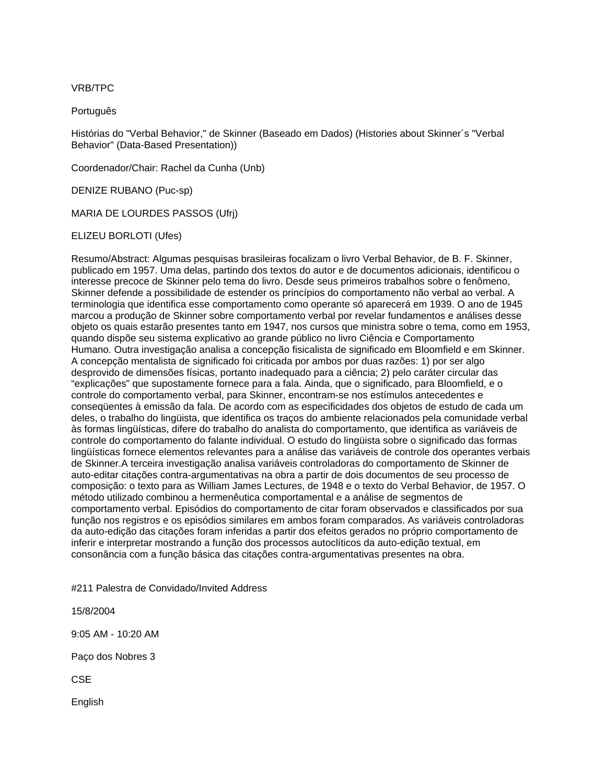### VRB/TPC

Português

Histórias do "Verbal Behavior," de Skinner (Baseado em Dados) (Histories about Skinner´s "Verbal Behavior" (Data-Based Presentation))

Coordenador/Chair: Rachel da Cunha (Unb)

DENIZE RUBANO (Puc-sp)

MARIA DE LOURDES PASSOS (Ufrj)

ELIZEU BORLOTI (Ufes)

Resumo/Abstract: Algumas pesquisas brasileiras focalizam o livro Verbal Behavior, de B. F. Skinner, publicado em 1957. Uma delas, partindo dos textos do autor e de documentos adicionais, identificou o interesse precoce de Skinner pelo tema do livro. Desde seus primeiros trabalhos sobre o fenômeno, Skinner defende a possibilidade de estender os princípios do comportamento não verbal ao verbal. A terminologia que identifica esse comportamento como operante só aparecerá em 1939. O ano de 1945 marcou a produção de Skinner sobre comportamento verbal por revelar fundamentos e análises desse objeto os quais estarão presentes tanto em 1947, nos cursos que ministra sobre o tema, como em 1953, quando dispõe seu sistema explicativo ao grande público no livro Ciência e Comportamento Humano. Outra investigação analisa a concepção fisicalista de significado em Bloomfield e em Skinner. A concepção mentalista de significado foi criticada por ambos por duas razões: 1) por ser algo desprovido de dimensões físicas, portanto inadequado para a ciência; 2) pelo caráter circular das "explicações" que supostamente fornece para a fala. Ainda, que o significado, para Bloomfield, e o controle do comportamento verbal, para Skinner, encontram-se nos estímulos antecedentes e conseqüentes à emissão da fala. De acordo com as especificidades dos objetos de estudo de cada um deles, o trabalho do lingüista, que identifica os traços do ambiente relacionados pela comunidade verbal às formas lingüísticas, difere do trabalho do analista do comportamento, que identifica as variáveis de controle do comportamento do falante individual. O estudo do lingüista sobre o significado das formas lingüísticas fornece elementos relevantes para a análise das variáveis de controle dos operantes verbais de Skinner.A terceira investigação analisa variáveis controladoras do comportamento de Skinner de auto-editar citações contra-argumentativas na obra a partir de dois documentos de seu processo de composição: o texto para as William James Lectures, de 1948 e o texto do Verbal Behavior, de 1957. O método utilizado combinou a hermenêutica comportamental e a análise de segmentos de comportamento verbal. Episódios do comportamento de citar foram observados e classificados por sua função nos registros e os episódios similares em ambos foram comparados. As variáveis controladoras da auto-edição das citações foram inferidas a partir dos efeitos gerados no próprio comportamento de inferir e interpretar mostrando a função dos processos autoclíticos da auto-edição textual, em consonância com a função básica das citações contra-argumentativas presentes na obra.

#211 Palestra de Convidado/Invited Address

15/8/2004

9:05 AM - 10:20 AM

Paço dos Nobres 3

**CSE** 

English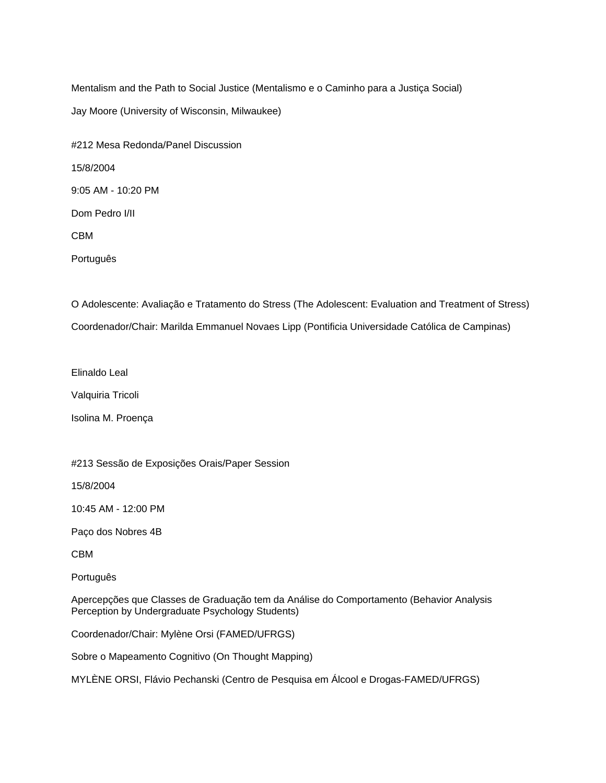Mentalism and the Path to Social Justice (Mentalismo e o Caminho para a Justiça Social) Jay Moore (University of Wisconsin, Milwaukee)

#212 Mesa Redonda/Panel Discussion 15/8/2004 9:05 AM - 10:20 PM Dom Pedro I/II CBM Português

O Adolescente: Avaliação e Tratamento do Stress (The Adolescent: Evaluation and Treatment of Stress) Coordenador/Chair: Marilda Emmanuel Novaes Lipp (Pontificia Universidade Católica de Campinas)

Elinaldo Leal

Valquiria Tricoli

Isolina M. Proença

#213 Sessão de Exposições Orais/Paper Session

15/8/2004

10:45 AM - 12:00 PM

Paço dos Nobres 4B

CBM

Português

Apercepções que Classes de Graduação tem da Análise do Comportamento (Behavior Analysis Perception by Undergraduate Psychology Students)

Coordenador/Chair: Mylène Orsi (FAMED/UFRGS)

Sobre o Mapeamento Cognitivo (On Thought Mapping)

MYLÈNE ORSI, Flávio Pechanski (Centro de Pesquisa em Álcool e Drogas-FAMED/UFRGS)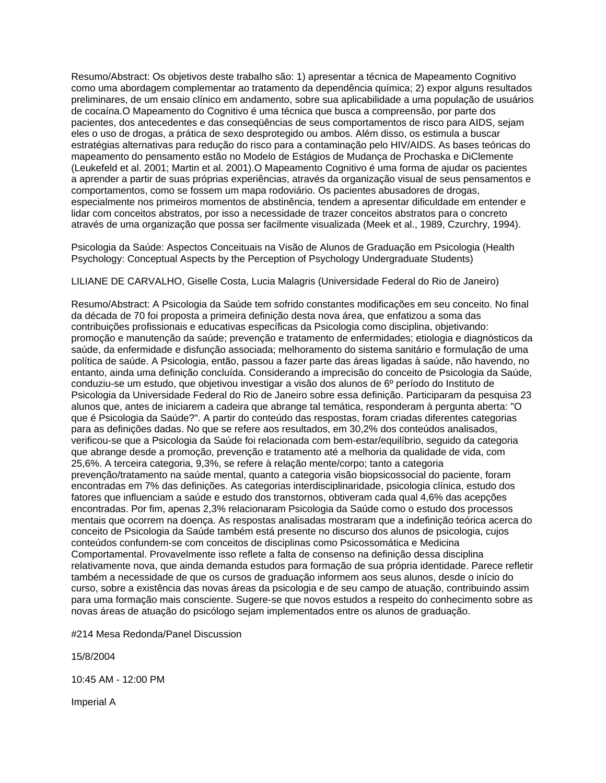Resumo/Abstract: Os objetivos deste trabalho são: 1) apresentar a técnica de Mapeamento Cognitivo como uma abordagem complementar ao tratamento da dependência química; 2) expor alguns resultados preliminares, de um ensaio clínico em andamento, sobre sua aplicabilidade a uma população de usuários de cocaína.O Mapeamento do Cognitivo é uma técnica que busca a compreensão, por parte dos pacientes, dos antecedentes e das conseqüências de seus comportamentos de risco para AIDS, sejam eles o uso de drogas, a prática de sexo desprotegido ou ambos. Além disso, os estimula a buscar estratégias alternativas para redução do risco para a contaminação pelo HIV/AIDS. As bases teóricas do mapeamento do pensamento estão no Modelo de Estágios de Mudança de Prochaska e DiClemente (Leukefeld et al. 2001; Martin et al. 2001).O Mapeamento Cognitivo é uma forma de ajudar os pacientes a aprender a partir de suas próprias experiências, através da organização visual de seus pensamentos e comportamentos, como se fossem um mapa rodoviário. Os pacientes abusadores de drogas, especialmente nos primeiros momentos de abstinência, tendem a apresentar dificuldade em entender e lidar com conceitos abstratos, por isso a necessidade de trazer conceitos abstratos para o concreto através de uma organização que possa ser facilmente visualizada (Meek et al., 1989, Czurchry, 1994).

Psicologia da Saúde: Aspectos Conceituais na Visão de Alunos de Graduação em Psicologia (Health Psychology: Conceptual Aspects by the Perception of Psychology Undergraduate Students)

LILIANE DE CARVALHO, Giselle Costa, Lucia Malagris (Universidade Federal do Rio de Janeiro)

Resumo/Abstract: A Psicologia da Saúde tem sofrido constantes modificações em seu conceito. No final da década de 70 foi proposta a primeira definição desta nova área, que enfatizou a soma das contribuições profissionais e educativas específicas da Psicologia como disciplina, objetivando: promoção e manutenção da saúde; prevenção e tratamento de enfermidades; etiologia e diagnósticos da saúde, da enfermidade e disfunção associada; melhoramento do sistema sanitário e formulação de uma política de saúde. A Psicologia, então, passou a fazer parte das áreas ligadas à saúde, não havendo, no entanto, ainda uma definição concluída. Considerando a imprecisão do conceito de Psicologia da Saúde, conduziu-se um estudo, que objetivou investigar a visão dos alunos de 6º período do Instituto de Psicologia da Universidade Federal do Rio de Janeiro sobre essa definição. Participaram da pesquisa 23 alunos que, antes de iniciarem a cadeira que abrange tal temática, responderam à pergunta aberta: "O que é Psicologia da Saúde?". A partir do conteúdo das respostas, foram criadas diferentes categorias para as definições dadas. No que se refere aos resultados, em 30,2% dos conteúdos analisados, verificou-se que a Psicologia da Saúde foi relacionada com bem-estar/equilíbrio, seguido da categoria que abrange desde a promoção, prevenção e tratamento até a melhoria da qualidade de vida, com 25,6%. A terceira categoria, 9,3%, se refere à relação mente/corpo; tanto a categoria prevenção/tratamento na saúde mental, quanto a categoria visão biopsicossocial do paciente, foram encontradas em 7% das definições. As categorias interdisciplinaridade, psicologia clínica, estudo dos fatores que influenciam a saúde e estudo dos transtornos, obtiveram cada qual 4,6% das acepções encontradas. Por fim, apenas 2,3% relacionaram Psicologia da Saúde como o estudo dos processos mentais que ocorrem na doença. As respostas analisadas mostraram que a indefinição teórica acerca do conceito de Psicologia da Saúde também está presente no discurso dos alunos de psicologia, cujos conteúdos confundem-se com conceitos de disciplinas como Psicossomática e Medicina Comportamental. Provavelmente isso reflete a falta de consenso na definição dessa disciplina relativamente nova, que ainda demanda estudos para formação de sua própria identidade. Parece refletir também a necessidade de que os cursos de graduação informem aos seus alunos, desde o início do curso, sobre a existência das novas áreas da psicologia e de seu campo de atuação, contribuindo assim para uma formação mais consciente. Sugere-se que novos estudos a respeito do conhecimento sobre as novas áreas de atuação do psicólogo sejam implementados entre os alunos de graduação.

#214 Mesa Redonda/Panel Discussion

15/8/2004

10:45 AM - 12:00 PM

Imperial A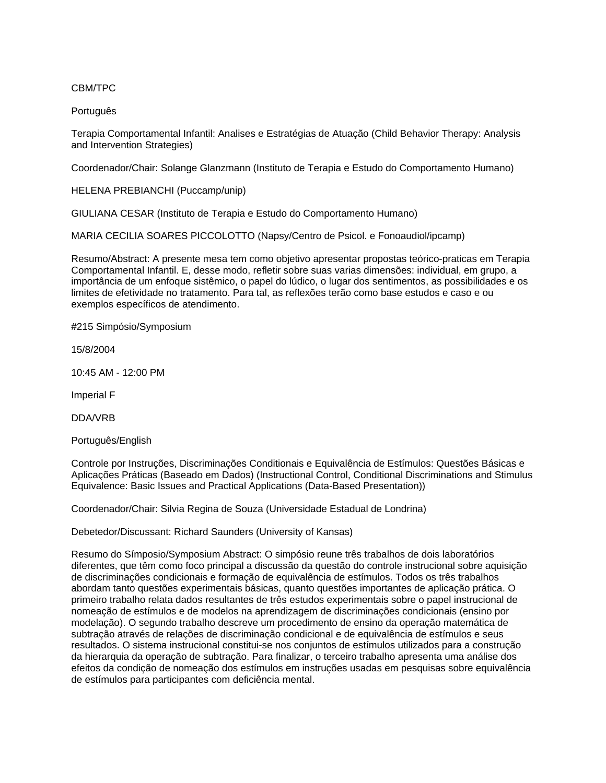## CBM/TPC

#### Português

Terapia Comportamental Infantil: Analises e Estratégias de Atuação (Child Behavior Therapy: Analysis and Intervention Strategies)

Coordenador/Chair: Solange Glanzmann (Instituto de Terapia e Estudo do Comportamento Humano)

HELENA PREBIANCHI (Puccamp/unip)

GIULIANA CESAR (Instituto de Terapia e Estudo do Comportamento Humano)

MARIA CECILIA SOARES PICCOLOTTO (Napsy/Centro de Psicol. e Fonoaudiol/ipcamp)

Resumo/Abstract: A presente mesa tem como objetivo apresentar propostas teórico-praticas em Terapia Comportamental Infantil. E, desse modo, refletir sobre suas varias dimensões: individual, em grupo, a importância de um enfoque sistêmico, o papel do lúdico, o lugar dos sentimentos, as possibilidades e os limites de efetividade no tratamento. Para tal, as reflexões terão como base estudos e caso e ou exemplos específicos de atendimento.

#215 Simpósio/Symposium

15/8/2004

10:45 AM - 12:00 PM

Imperial F

DDA/VRB

Português/English

Controle por Instruções, Discriminações Conditionais e Equivalência de Estímulos: Questões Básicas e Aplicações Práticas (Baseado em Dados) (Instructional Control, Conditional Discriminations and Stimulus Equivalence: Basic Issues and Practical Applications (Data-Based Presentation))

Coordenador/Chair: Silvia Regina de Souza (Universidade Estadual de Londrina)

Debetedor/Discussant: Richard Saunders (University of Kansas)

Resumo do Símposio/Symposium Abstract: O simpósio reune três trabalhos de dois laboratórios diferentes, que têm como foco principal a discussão da questão do controle instrucional sobre aquisição de discriminações condicionais e formação de equivalência de estímulos. Todos os três trabalhos abordam tanto questões experimentais básicas, quanto questões importantes de aplicação prática. O primeiro trabalho relata dados resultantes de três estudos experimentais sobre o papel instrucional de nomeação de estímulos e de modelos na aprendizagem de discriminações condicionais (ensino por modelação). O segundo trabalho descreve um procedimento de ensino da operação matemática de subtração através de relações de discriminação condicional e de equivalência de estímulos e seus resultados. O sistema instrucional constitui-se nos conjuntos de estímulos utilizados para a construção da hierarquia da operação de subtração. Para finalizar, o terceiro trabalho apresenta uma análise dos efeitos da condição de nomeação dos estímulos em instruções usadas em pesquisas sobre equivalência de estímulos para participantes com deficiência mental.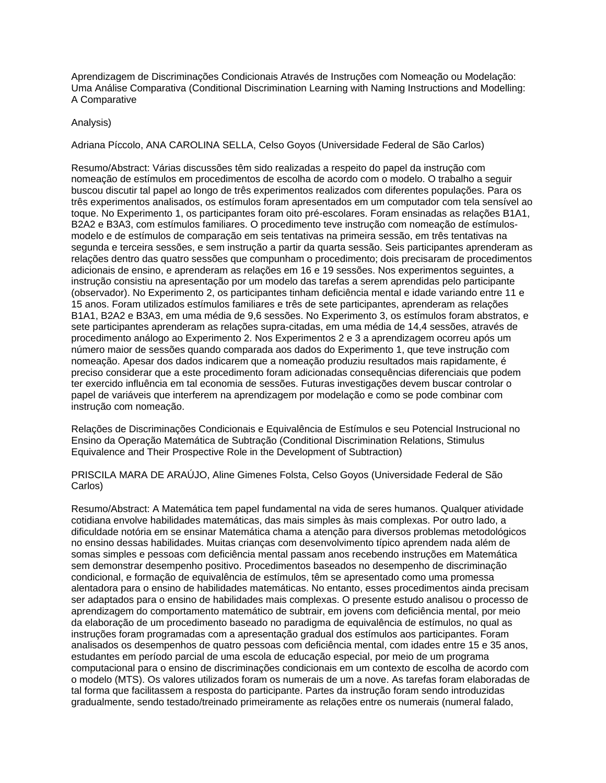Aprendizagem de Discriminações Condicionais Através de Instruções com Nomeação ou Modelação: Uma Análise Comparativa (Conditional Discrimination Learning with Naming Instructions and Modelling: A Comparative

#### Analysis)

Adriana Píccolo, ANA CAROLINA SELLA, Celso Goyos (Universidade Federal de São Carlos)

Resumo/Abstract: Várias discussões têm sido realizadas a respeito do papel da instrução com nomeação de estímulos em procedimentos de escolha de acordo com o modelo. O trabalho a seguir buscou discutir tal papel ao longo de três experimentos realizados com diferentes populações. Para os três experimentos analisados, os estímulos foram apresentados em um computador com tela sensível ao toque. No Experimento 1, os participantes foram oito pré-escolares. Foram ensinadas as relações B1A1, B2A2 e B3A3, com estímulos familiares. O procedimento teve instrução com nomeação de estímulosmodelo e de estímulos de comparação em seis tentativas na primeira sessão, em três tentativas na segunda e terceira sessões, e sem instrução a partir da quarta sessão. Seis participantes aprenderam as relações dentro das quatro sessões que compunham o procedimento; dois precisaram de procedimentos adicionais de ensino, e aprenderam as relações em 16 e 19 sessões. Nos experimentos seguintes, a instrução consistiu na apresentação por um modelo das tarefas a serem aprendidas pelo participante (observador). No Experimento 2, os participantes tinham deficiência mental e idade variando entre 11 e 15 anos. Foram utilizados estímulos familiares e três de sete participantes, aprenderam as relações B1A1, B2A2 e B3A3, em uma média de 9,6 sessões. No Experimento 3, os estímulos foram abstratos, e sete participantes aprenderam as relações supra-citadas, em uma média de 14,4 sessões, através de procedimento análogo ao Experimento 2. Nos Experimentos 2 e 3 a aprendizagem ocorreu após um número maior de sessões quando comparada aos dados do Experimento 1, que teve instrução com nomeação. Apesar dos dados indicarem que a nomeação produziu resultados mais rapidamente, é preciso considerar que a este procedimento foram adicionadas consequências diferenciais que podem ter exercido influência em tal economia de sessões. Futuras investigações devem buscar controlar o papel de variáveis que interferem na aprendizagem por modelação e como se pode combinar com instrução com nomeação.

Relações de Discriminações Condicionais e Equivalência de Estímulos e seu Potencial Instrucional no Ensino da Operação Matemática de Subtração (Conditional Discrimination Relations, Stimulus Equivalence and Their Prospective Role in the Development of Subtraction)

PRISCILA MARA DE ARAÚJO, Aline Gimenes Folsta, Celso Goyos (Universidade Federal de São Carlos)

Resumo/Abstract: A Matemática tem papel fundamental na vida de seres humanos. Qualquer atividade cotidiana envolve habilidades matemáticas, das mais simples às mais complexas. Por outro lado, a dificuldade notória em se ensinar Matemática chama a atenção para diversos problemas metodológicos no ensino dessas habilidades. Muitas crianças com desenvolvimento típico aprendem nada além de somas simples e pessoas com deficiência mental passam anos recebendo instruções em Matemática sem demonstrar desempenho positivo. Procedimentos baseados no desempenho de discriminação condicional, e formação de equivalência de estímulos, têm se apresentado como uma promessa alentadora para o ensino de habilidades matemáticas. No entanto, esses procedimentos ainda precisam ser adaptados para o ensino de habilidades mais complexas. O presente estudo analisou o processo de aprendizagem do comportamento matemático de subtrair, em jovens com deficiência mental, por meio da elaboração de um procedimento baseado no paradigma de equivalência de estímulos, no qual as instruções foram programadas com a apresentação gradual dos estímulos aos participantes. Foram analisados os desempenhos de quatro pessoas com deficiência mental, com idades entre 15 e 35 anos, estudantes em período parcial de uma escola de educação especial, por meio de um programa computacional para o ensino de discriminações condicionais em um contexto de escolha de acordo com o modelo (MTS). Os valores utilizados foram os numerais de um a nove. As tarefas foram elaboradas de tal forma que facilitassem a resposta do participante. Partes da instrução foram sendo introduzidas gradualmente, sendo testado/treinado primeiramente as relações entre os numerais (numeral falado,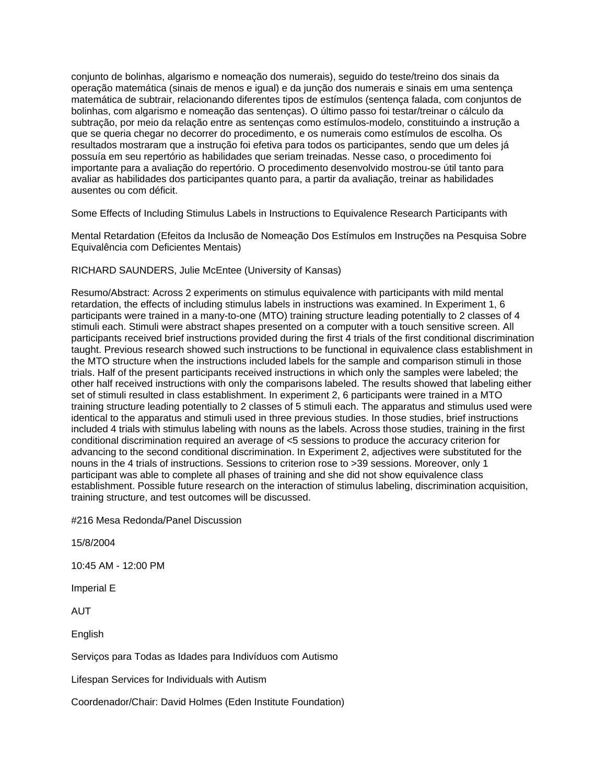conjunto de bolinhas, algarismo e nomeação dos numerais), seguido do teste/treino dos sinais da operação matemática (sinais de menos e igual) e da junção dos numerais e sinais em uma sentença matemática de subtrair, relacionando diferentes tipos de estímulos (sentença falada, com conjuntos de bolinhas, com algarismo e nomeação das sentenças). O último passo foi testar/treinar o cálculo da subtração, por meio da relação entre as sentenças como estímulos-modelo, constituindo a instrução a que se queria chegar no decorrer do procedimento, e os numerais como estímulos de escolha. Os resultados mostraram que a instrução foi efetiva para todos os participantes, sendo que um deles já possuía em seu repertório as habilidades que seriam treinadas. Nesse caso, o procedimento foi importante para a avaliação do repertório. O procedimento desenvolvido mostrou-se útil tanto para avaliar as habilidades dos participantes quanto para, a partir da avaliação, treinar as habilidades ausentes ou com déficit.

Some Effects of Including Stimulus Labels in Instructions to Equivalence Research Participants with

Mental Retardation (Efeitos da Inclusão de Nomeação Dos Estímulos em Instruções na Pesquisa Sobre Equivalência com Deficientes Mentais)

#### RICHARD SAUNDERS, Julie McEntee (University of Kansas)

Resumo/Abstract: Across 2 experiments on stimulus equivalence with participants with mild mental retardation, the effects of including stimulus labels in instructions was examined. In Experiment 1, 6 participants were trained in a many-to-one (MTO) training structure leading potentially to 2 classes of 4 stimuli each. Stimuli were abstract shapes presented on a computer with a touch sensitive screen. All participants received brief instructions provided during the first 4 trials of the first conditional discrimination taught. Previous research showed such instructions to be functional in equivalence class establishment in the MTO structure when the instructions included labels for the sample and comparison stimuli in those trials. Half of the present participants received instructions in which only the samples were labeled; the other half received instructions with only the comparisons labeled. The results showed that labeling either set of stimuli resulted in class establishment. In experiment 2, 6 participants were trained in a MTO training structure leading potentially to 2 classes of 5 stimuli each. The apparatus and stimulus used were identical to the apparatus and stimuli used in three previous studies. In those studies, brief instructions included 4 trials with stimulus labeling with nouns as the labels. Across those studies, training in the first conditional discrimination required an average of <5 sessions to produce the accuracy criterion for advancing to the second conditional discrimination. In Experiment 2, adjectives were substituted for the nouns in the 4 trials of instructions. Sessions to criterion rose to >39 sessions. Moreover, only 1 participant was able to complete all phases of training and she did not show equivalence class establishment. Possible future research on the interaction of stimulus labeling, discrimination acquisition, training structure, and test outcomes will be discussed.

#216 Mesa Redonda/Panel Discussion

15/8/2004

10:45 AM - 12:00 PM

Imperial E

AUT

English

Serviços para Todas as Idades para Indivíduos com Autismo

Lifespan Services for Individuals with Autism

Coordenador/Chair: David Holmes (Eden Institute Foundation)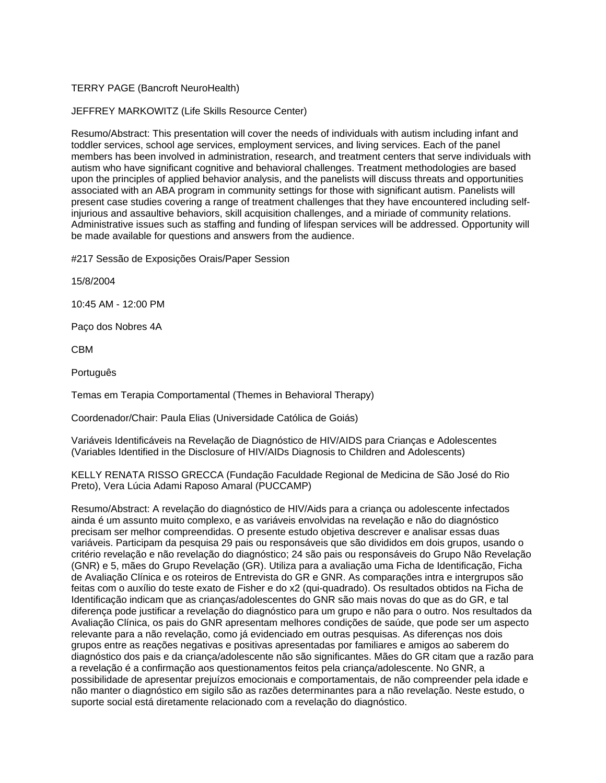## TERRY PAGE (Bancroft NeuroHealth)

### JEFFREY MARKOWITZ (Life Skills Resource Center)

Resumo/Abstract: This presentation will cover the needs of individuals with autism including infant and toddler services, school age services, employment services, and living services. Each of the panel members has been involved in administration, research, and treatment centers that serve individuals with autism who have significant cognitive and behavioral challenges. Treatment methodologies are based upon the principles of applied behavior analysis, and the panelists will discuss threats and opportunities associated with an ABA program in community settings for those with significant autism. Panelists will present case studies covering a range of treatment challenges that they have encountered including selfinjurious and assaultive behaviors, skill acquisition challenges, and a miriade of community relations. Administrative issues such as staffing and funding of lifespan services will be addressed. Opportunity will be made available for questions and answers from the audience.

#217 Sessão de Exposições Orais/Paper Session

15/8/2004

10:45 AM - 12:00 PM

Paço dos Nobres 4A

CBM

Português

Temas em Terapia Comportamental (Themes in Behavioral Therapy)

Coordenador/Chair: Paula Elias (Universidade Católica de Goiás)

Variáveis Identificáveis na Revelação de Diagnóstico de HIV/AIDS para Crianças e Adolescentes (Variables Identified in the Disclosure of HIV/AIDs Diagnosis to Children and Adolescents)

KELLY RENATA RISSO GRECCA (Fundação Faculdade Regional de Medicina de São José do Rio Preto), Vera Lúcia Adami Raposo Amaral (PUCCAMP)

Resumo/Abstract: A revelação do diagnóstico de HIV/Aids para a criança ou adolescente infectados ainda é um assunto muito complexo, e as variáveis envolvidas na revelação e não do diagnóstico precisam ser melhor compreendidas. O presente estudo objetiva descrever e analisar essas duas variáveis. Participam da pesquisa 29 pais ou responsáveis que são divididos em dois grupos, usando o critério revelação e não revelação do diagnóstico; 24 são pais ou responsáveis do Grupo Não Revelação (GNR) e 5, mães do Grupo Revelação (GR). Utiliza para a avaliação uma Ficha de Identificação, Ficha de Avaliação Clínica e os roteiros de Entrevista do GR e GNR. As comparações intra e intergrupos são feitas com o auxílio do teste exato de Fisher e do x2 (qui-quadrado). Os resultados obtidos na Ficha de Identificação indicam que as crianças/adolescentes do GNR são mais novas do que as do GR, e tal diferença pode justificar a revelação do diagnóstico para um grupo e não para o outro. Nos resultados da Avaliação Clínica, os pais do GNR apresentam melhores condições de saúde, que pode ser um aspecto relevante para a não revelação, como já evidenciado em outras pesquisas. As diferenças nos dois grupos entre as reações negativas e positivas apresentadas por familiares e amigos ao saberem do diagnóstico dos pais e da criança/adolescente não são significantes. Mães do GR citam que a razão para a revelação é a confirmação aos questionamentos feitos pela criança/adolescente. No GNR, a possibilidade de apresentar prejuízos emocionais e comportamentais, de não compreender pela idade e não manter o diagnóstico em sigilo são as razões determinantes para a não revelação. Neste estudo, o suporte social está diretamente relacionado com a revelação do diagnóstico.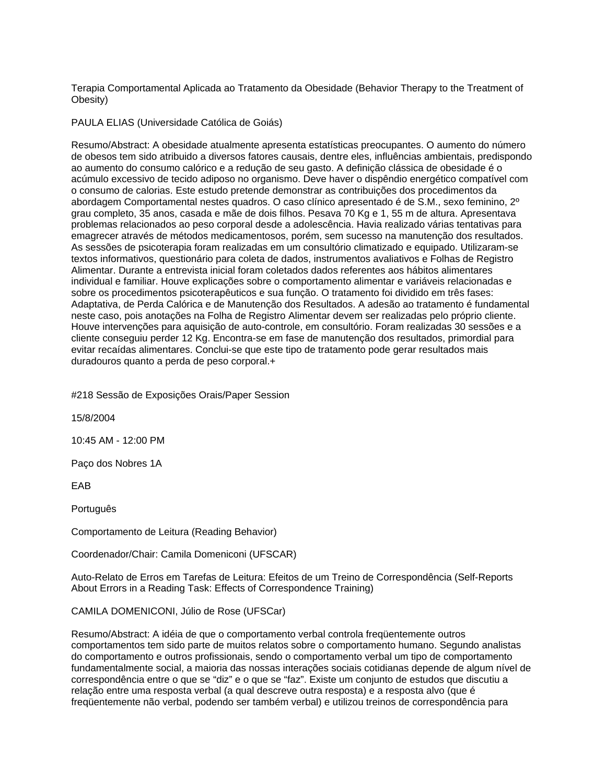Terapia Comportamental Aplicada ao Tratamento da Obesidade (Behavior Therapy to the Treatment of Obesity)

#### PAULA ELIAS (Universidade Católica de Goiás)

Resumo/Abstract: A obesidade atualmente apresenta estatísticas preocupantes. O aumento do número de obesos tem sido atribuido a diversos fatores causais, dentre eles, influências ambientais, predispondo ao aumento do consumo calórico e a redução de seu gasto. A definição clássica de obesidade é o acúmulo excessivo de tecido adiposo no organismo. Deve haver o dispêndio energético compatível com o consumo de calorias. Este estudo pretende demonstrar as contribuições dos procedimentos da abordagem Comportamental nestes quadros. O caso clínico apresentado é de S.M., sexo feminino, 2º grau completo, 35 anos, casada e mãe de dois filhos. Pesava 70 Kg e 1, 55 m de altura. Apresentava problemas relacionados ao peso corporal desde a adolescência. Havia realizado várias tentativas para emagrecer através de métodos medicamentosos, porém, sem sucesso na manutenção dos resultados. As sessões de psicoterapia foram realizadas em um consultório climatizado e equipado. Utilizaram-se textos informativos, questionário para coleta de dados, instrumentos avaliativos e Folhas de Registro Alimentar. Durante a entrevista inicial foram coletados dados referentes aos hábitos alimentares individual e familiar. Houve explicações sobre o comportamento alimentar e variáveis relacionadas e sobre os procedimentos psicoterapêuticos e sua função. O tratamento foi dividido em três fases: Adaptativa, de Perda Calórica e de Manutenção dos Resultados. A adesão ao tratamento é fundamental neste caso, pois anotações na Folha de Registro Alimentar devem ser realizadas pelo próprio cliente. Houve intervenções para aquisição de auto-controle, em consultório. Foram realizadas 30 sessões e a cliente conseguiu perder 12 Kg. Encontra-se em fase de manutenção dos resultados, primordial para evitar recaídas alimentares. Conclui-se que este tipo de tratamento pode gerar resultados mais duradouros quanto a perda de peso corporal.+

#218 Sessão de Exposições Orais/Paper Session

15/8/2004

10:45 AM - 12:00 PM

Paço dos Nobres 1A

EAB

**Português** 

Comportamento de Leitura (Reading Behavior)

Coordenador/Chair: Camila Domeniconi (UFSCAR)

Auto-Relato de Erros em Tarefas de Leitura: Efeitos de um Treino de Correspondência (Self-Reports About Errors in a Reading Task: Effects of Correspondence Training)

CAMILA DOMENICONI, Júlio de Rose (UFSCar)

Resumo/Abstract: A idéia de que o comportamento verbal controla freqüentemente outros comportamentos tem sido parte de muitos relatos sobre o comportamento humano. Segundo analistas do comportamento e outros profissionais, sendo o comportamento verbal um tipo de comportamento fundamentalmente social, a maioria das nossas interações sociais cotidianas depende de algum nível de correspondência entre o que se "diz" e o que se "faz". Existe um conjunto de estudos que discutiu a relação entre uma resposta verbal (a qual descreve outra resposta) e a resposta alvo (que é freqüentemente não verbal, podendo ser também verbal) e utilizou treinos de correspondência para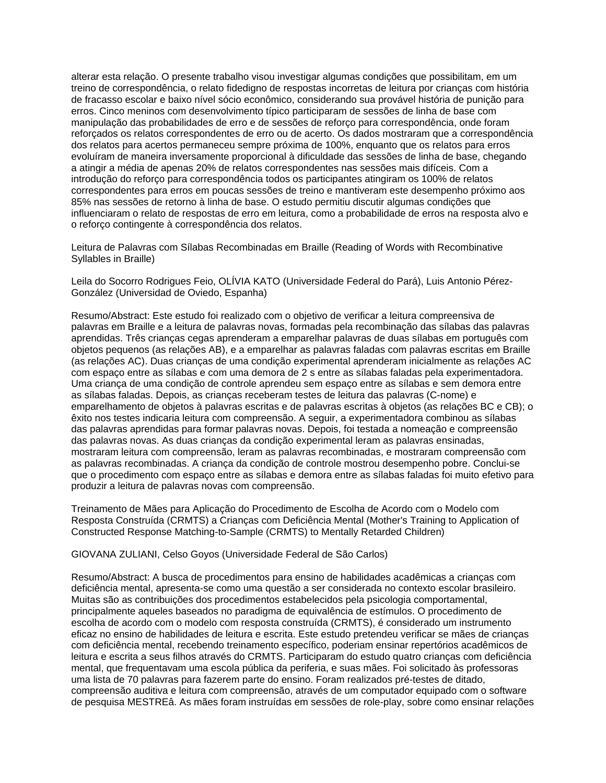alterar esta relação. O presente trabalho visou investigar algumas condições que possibilitam, em um treino de correspondência, o relato fidedigno de respostas incorretas de leitura por crianças com história de fracasso escolar e baixo nível sócio econômico, considerando sua provável história de punição para erros. Cinco meninos com desenvolvimento típico participaram de sessões de linha de base com manipulação das probabilidades de erro e de sessões de reforço para correspondência, onde foram reforçados os relatos correspondentes de erro ou de acerto. Os dados mostraram que a correspondência dos relatos para acertos permaneceu sempre próxima de 100%, enquanto que os relatos para erros evoluíram de maneira inversamente proporcional à dificuldade das sessões de linha de base, chegando a atingir a média de apenas 20% de relatos correspondentes nas sessões mais difíceis. Com a introdução do reforço para correspondência todos os participantes atingiram os 100% de relatos correspondentes para erros em poucas sessões de treino e mantiveram este desempenho próximo aos 85% nas sessões de retorno à linha de base. O estudo permitiu discutir algumas condições que influenciaram o relato de respostas de erro em leitura, como a probabilidade de erros na resposta alvo e o reforço contingente à correspondência dos relatos.

Leitura de Palavras com Sílabas Recombinadas em Braille (Reading of Words with Recombinative Syllables in Braille)

Leila do Socorro Rodrigues Feio, OLÍVIA KATO (Universidade Federal do Pará), Luis Antonio Pérez-González (Universidad de Oviedo, Espanha)

Resumo/Abstract: Este estudo foi realizado com o objetivo de verificar a leitura compreensiva de palavras em Braille e a leitura de palavras novas, formadas pela recombinação das sílabas das palavras aprendidas. Três crianças cegas aprenderam a emparelhar palavras de duas sílabas em português com objetos pequenos (as relações AB), e a emparelhar as palavras faladas com palavras escritas em Braille (as relações AC). Duas crianças de uma condição experimental aprenderam inicialmente as relações AC com espaço entre as sílabas e com uma demora de 2 s entre as sílabas faladas pela experimentadora. Uma criança de uma condição de controle aprendeu sem espaço entre as sílabas e sem demora entre as sílabas faladas. Depois, as crianças receberam testes de leitura das palavras (C-nome) e emparelhamento de objetos à palavras escritas e de palavras escritas à objetos (as relações BC e CB); o êxito nos testes indicaria leitura com compreensão. A seguir, a experimentadora combinou as sílabas das palavras aprendidas para formar palavras novas. Depois, foi testada a nomeação e compreensão das palavras novas. As duas crianças da condição experimental leram as palavras ensinadas, mostraram leitura com compreensão, leram as palavras recombinadas, e mostraram compreensão com as palavras recombinadas. A criança da condição de controle mostrou desempenho pobre. Conclui-se que o procedimento com espaço entre as sílabas e demora entre as sílabas faladas foi muito efetivo para produzir a leitura de palavras novas com compreensão.

Treinamento de Mães para Aplicação do Procedimento de Escolha de Acordo com o Modelo com Resposta Construída (CRMTS) a Crianças com Deficiência Mental (Mother's Training to Application of Constructed Response Matching-to-Sample (CRMTS) to Mentally Retarded Children)

GIOVANA ZULIANI, Celso Goyos (Universidade Federal de São Carlos)

Resumo/Abstract: A busca de procedimentos para ensino de habilidades acadêmicas a crianças com deficiência mental, apresenta-se como uma questão a ser considerada no contexto escolar brasileiro. Muitas são as contribuições dos procedimentos estabelecidos pela psicologia comportamental, principalmente aqueles baseados no paradigma de equivalência de estímulos. O procedimento de escolha de acordo com o modelo com resposta construída (CRMTS), é considerado um instrumento eficaz no ensino de habilidades de leitura e escrita. Este estudo pretendeu verificar se mães de crianças com deficiência mental, recebendo treinamento específico, poderiam ensinar repertórios acadêmicos de leitura e escrita a seus filhos através do CRMTS. Participaram do estudo quatro crianças com deficiência mental, que frequentavam uma escola pública da periferia, e suas mães. Foi solicitado às professoras uma lista de 70 palavras para fazerem parte do ensino. Foram realizados pré-testes de ditado, compreensão auditiva e leitura com compreensão, através de um computador equipado com o software de pesquisa MESTREâ. As mães foram instruídas em sessões de role-play, sobre como ensinar relações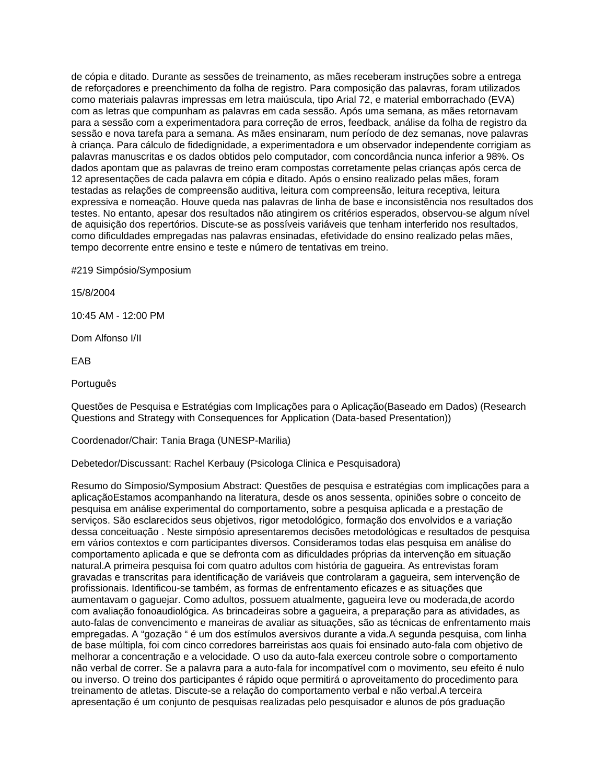de cópia e ditado. Durante as sessões de treinamento, as mães receberam instruções sobre a entrega de reforçadores e preenchimento da folha de registro. Para composição das palavras, foram utilizados como materiais palavras impressas em letra maiúscula, tipo Arial 72, e material emborrachado (EVA) com as letras que compunham as palavras em cada sessão. Após uma semana, as mães retornavam para a sessão com a experimentadora para correção de erros, feedback, análise da folha de registro da sessão e nova tarefa para a semana. As mães ensinaram, num período de dez semanas, nove palavras à criança. Para cálculo de fidedignidade, a experimentadora e um observador independente corrigiam as palavras manuscritas e os dados obtidos pelo computador, com concordância nunca inferior a 98%. Os dados apontam que as palavras de treino eram compostas corretamente pelas crianças após cerca de 12 apresentações de cada palavra em cópia e ditado. Após o ensino realizado pelas mães, foram testadas as relações de compreensão auditiva, leitura com compreensão, leitura receptiva, leitura expressiva e nomeação. Houve queda nas palavras de linha de base e inconsistência nos resultados dos testes. No entanto, apesar dos resultados não atingirem os critérios esperados, observou-se algum nível de aquisição dos repertórios. Discute-se as possíveis variáveis que tenham interferido nos resultados, como dificuldades empregadas nas palavras ensinadas, efetividade do ensino realizado pelas mães, tempo decorrente entre ensino e teste e número de tentativas em treino.

#219 Simpósio/Symposium

15/8/2004

10:45 AM - 12:00 PM

Dom Alfonso I/II

EAB

**Português** 

Questões de Pesquisa e Estratégias com Implicações para o Aplicação(Baseado em Dados) (Research Questions and Strategy with Consequences for Application (Data-based Presentation))

Coordenador/Chair: Tania Braga (UNESP-Marilia)

Debetedor/Discussant: Rachel Kerbauy (Psicologa Clinica e Pesquisadora)

Resumo do Símposio/Symposium Abstract: Questões de pesquisa e estratégias com implicações para a aplicaçãoEstamos acompanhando na literatura, desde os anos sessenta, opiniões sobre o conceito de pesquisa em análise experimental do comportamento, sobre a pesquisa aplicada e a prestação de serviços. São esclarecidos seus objetivos, rigor metodológico, formação dos envolvidos e a variação dessa conceituação . Neste simpósio apresentaremos decisões metodológicas e resultados de pesquisa em vários contextos e com participantes diversos. Consideramos todas elas pesquisa em análise do comportamento aplicada e que se defronta com as dificuldades próprias da intervenção em situação natural.A primeira pesquisa foi com quatro adultos com história de gagueira. As entrevistas foram gravadas e transcritas para identificação de variáveis que controlaram a gagueira, sem intervenção de profissionais. Identificou-se também, as formas de enfrentamento eficazes e as situações que aumentavam o gaguejar. Como adultos, possuem atualmente, gagueira leve ou moderada,de acordo com avaliação fonoaudiológica. As brincadeiras sobre a gagueira, a preparação para as atividades, as auto-falas de convencimento e maneiras de avaliar as situações, são as técnicas de enfrentamento mais empregadas. A "gozação " é um dos estímulos aversivos durante a vida.A segunda pesquisa, com linha de base múltipla, foi com cinco corredores barreiristas aos quais foi ensinado auto-fala com objetivo de melhorar a concentração e a velocidade. O uso da auto-fala exerceu controle sobre o comportamento não verbal de correr. Se a palavra para a auto-fala for incompatível com o movimento, seu efeito é nulo ou inverso. O treino dos participantes é rápido oque permitirá o aproveitamento do procedimento para treinamento de atletas. Discute-se a relação do comportamento verbal e não verbal.A terceira apresentação é um conjunto de pesquisas realizadas pelo pesquisador e alunos de pós graduação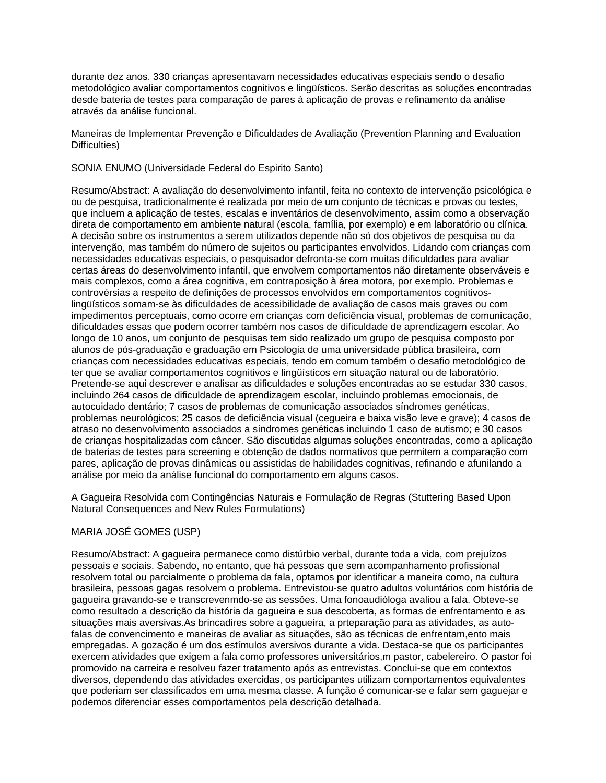durante dez anos. 330 crianças apresentavam necessidades educativas especiais sendo o desafio metodológico avaliar comportamentos cognitivos e lingüísticos. Serão descritas as soluções encontradas desde bateria de testes para comparação de pares à aplicação de provas e refinamento da análise através da análise funcional.

Maneiras de Implementar Prevenção e Dificuldades de Avaliação (Prevention Planning and Evaluation Difficulties)

#### SONIA ENUMO (Universidade Federal do Espirito Santo)

Resumo/Abstract: A avaliação do desenvolvimento infantil, feita no contexto de intervenção psicológica e ou de pesquisa, tradicionalmente é realizada por meio de um conjunto de técnicas e provas ou testes, que incluem a aplicação de testes, escalas e inventários de desenvolvimento, assim como a observação direta de comportamento em ambiente natural (escola, família, por exemplo) e em laboratório ou clínica. A decisão sobre os instrumentos a serem utilizados depende não só dos objetivos de pesquisa ou da intervenção, mas também do número de sujeitos ou participantes envolvidos. Lidando com crianças com necessidades educativas especiais, o pesquisador defronta-se com muitas dificuldades para avaliar certas áreas do desenvolvimento infantil, que envolvem comportamentos não diretamente observáveis e mais complexos, como a área cognitiva, em contraposição à área motora, por exemplo. Problemas e controvérsias a respeito de definições de processos envolvidos em comportamentos cognitivoslingüísticos somam-se às dificuldades de acessibilidade de avaliação de casos mais graves ou com impedimentos perceptuais, como ocorre em crianças com deficiência visual, problemas de comunicação, dificuldades essas que podem ocorrer também nos casos de dificuldade de aprendizagem escolar. Ao longo de 10 anos, um conjunto de pesquisas tem sido realizado um grupo de pesquisa composto por alunos de pós-graduação e graduação em Psicologia de uma universidade pública brasileira, com crianças com necessidades educativas especiais, tendo em comum também o desafio metodológico de ter que se avaliar comportamentos cognitivos e lingüísticos em situação natural ou de laboratório. Pretende-se aqui descrever e analisar as dificuldades e soluções encontradas ao se estudar 330 casos, incluindo 264 casos de dificuldade de aprendizagem escolar, incluindo problemas emocionais, de autocuidado dentário; 7 casos de problemas de comunicação associados síndromes genéticas, problemas neurológicos; 25 casos de deficiência visual (cegueira e baixa visão leve e grave); 4 casos de atraso no desenvolvimento associados a síndromes genéticas incluindo 1 caso de autismo; e 30 casos de crianças hospitalizadas com câncer. São discutidas algumas soluções encontradas, como a aplicação de baterias de testes para screening e obtenção de dados normativos que permitem a comparação com pares, aplicação de provas dinâmicas ou assistidas de habilidades cognitivas, refinando e afunilando a análise por meio da análise funcional do comportamento em alguns casos.

A Gagueira Resolvida com Contingências Naturais e Formulação de Regras (Stuttering Based Upon Natural Consequences and New Rules Formulations)

### MARIA JOSÉ GOMES (USP)

Resumo/Abstract: A gagueira permanece como distúrbio verbal, durante toda a vida, com prejuízos pessoais e sociais. Sabendo, no entanto, que há pessoas que sem acompanhamento profissional resolvem total ou parcialmente o problema da fala, optamos por identificar a maneira como, na cultura brasileira, pessoas gagas resolvem o problema. Entrevistou-se quatro adultos voluntários com história de gagueira gravando-se e transcrevenmdo-se as sessôes. Uma fonoaudióloga avaliou a fala. Obteve-se como resultado a descrição da história da gagueira e sua descoberta, as formas de enfrentamento e as situações mais aversivas.As brincadires sobre a gagueira, a prteparação para as atividades, as autofalas de convencimento e maneiras de avaliar as situações, são as técnicas de enfrentam,ento mais empregadas. A gozação é um dos estímulos aversivos durante a vida. Destaca-se que os participantes exercem atividades que exigem a fala como professores universitários,m pastor, cabelereiro. O pastor foi promovido na carreira e resolveu fazer tratamento após as entrevistas. Conclui-se que em contextos diversos, dependendo das atividades exercidas, os participantes utilizam comportamentos equivalentes que poderiam ser classificados em uma mesma classe. A função é comunicar-se e falar sem gaguejar e podemos diferenciar esses comportamentos pela descrição detalhada.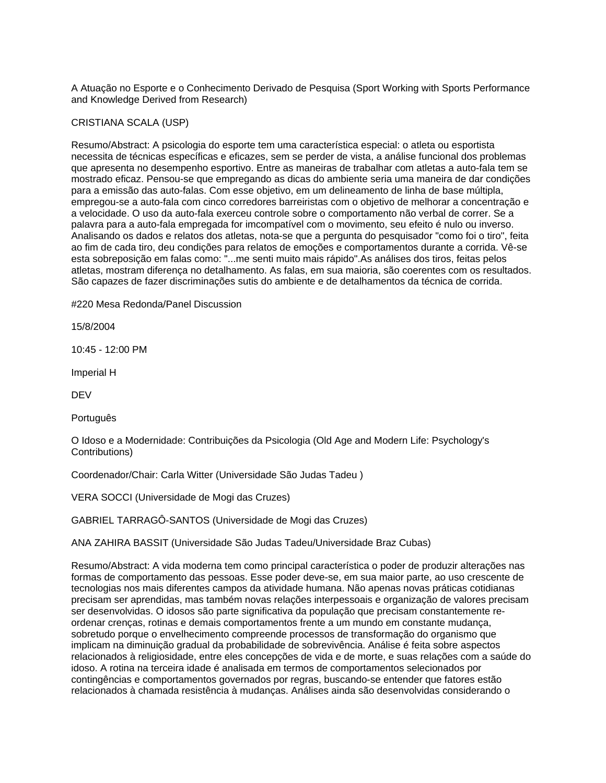A Atuação no Esporte e o Conhecimento Derivado de Pesquisa (Sport Working with Sports Performance and Knowledge Derived from Research)

#### CRISTIANA SCALA (USP)

Resumo/Abstract: A psicologia do esporte tem uma característica especial: o atleta ou esportista necessita de técnicas específicas e eficazes, sem se perder de vista, a análise funcional dos problemas que apresenta no desempenho esportivo. Entre as maneiras de trabalhar com atletas a auto-fala tem se mostrado eficaz. Pensou-se que empregando as dicas do ambiente seria uma maneira de dar condições para a emissão das auto-falas. Com esse objetivo, em um delineamento de linha de base múltipla, empregou-se a auto-fala com cinco corredores barreiristas com o objetivo de melhorar a concentração e a velocidade. O uso da auto-fala exerceu controle sobre o comportamento não verbal de correr. Se a palavra para a auto-fala empregada for imcompatível com o movimento, seu efeito é nulo ou inverso. Analisando os dados e relatos dos atletas, nota-se que a pergunta do pesquisador "como foi o tiro", feita ao fim de cada tiro, deu condições para relatos de emoções e comportamentos durante a corrida. Vê-se esta sobreposição em falas como: "...me senti muito mais rápido".As análises dos tiros, feitas pelos atletas, mostram diferença no detalhamento. As falas, em sua maioria, são coerentes com os resultados. São capazes de fazer discriminações sutis do ambiente e de detalhamentos da técnica de corrida.

#220 Mesa Redonda/Panel Discussion

15/8/2004

10:45 - 12:00 PM

Imperial H

DEV

Português

O Idoso e a Modernidade: Contribuições da Psicologia (Old Age and Modern Life: Psychology's Contributions)

Coordenador/Chair: Carla Witter (Universidade São Judas Tadeu )

VERA SOCCI (Universidade de Mogi das Cruzes)

GABRIEL TARRAGÔ-SANTOS (Universidade de Mogi das Cruzes)

ANA ZAHIRA BASSIT (Universidade São Judas Tadeu/Universidade Braz Cubas)

Resumo/Abstract: A vida moderna tem como principal característica o poder de produzir alterações nas formas de comportamento das pessoas. Esse poder deve-se, em sua maior parte, ao uso crescente de tecnologias nos mais diferentes campos da atividade humana. Não apenas novas práticas cotidianas precisam ser aprendidas, mas também novas relações interpessoais e organização de valores precisam ser desenvolvidas. O idosos são parte significativa da população que precisam constantemente reordenar crenças, rotinas e demais comportamentos frente a um mundo em constante mudança, sobretudo porque o envelhecimento compreende processos de transformação do organismo que implicam na diminuição gradual da probabilidade de sobrevivência. Análise é feita sobre aspectos relacionados à religiosidade, entre eles concepções de vida e de morte, e suas relações com a saúde do idoso. A rotina na terceira idade é analisada em termos de comportamentos selecionados por contingências e comportamentos governados por regras, buscando-se entender que fatores estão relacionados à chamada resistência à mudanças. Análises ainda são desenvolvidas considerando o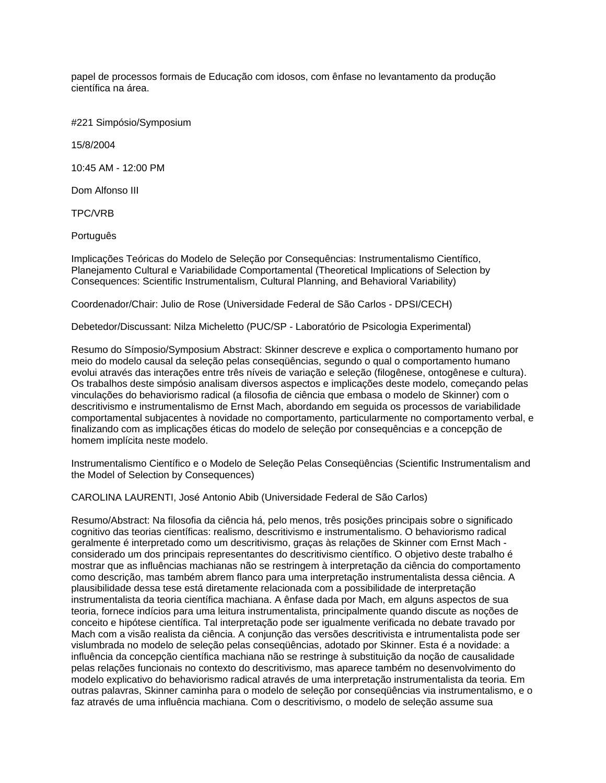papel de processos formais de Educação com idosos, com ênfase no levantamento da produção científica na área.

#221 Simpósio/Symposium

15/8/2004

10:45 AM - 12:00 PM

Dom Alfonso III

TPC/VRB

Português

Implicações Teóricas do Modelo de Seleção por Consequências: Instrumentalismo Científico, Planejamento Cultural e Variabilidade Comportamental (Theoretical Implications of Selection by Consequences: Scientific Instrumentalism, Cultural Planning, and Behavioral Variability)

Coordenador/Chair: Julio de Rose (Universidade Federal de São Carlos - DPSI/CECH)

Debetedor/Discussant: Nilza Micheletto (PUC/SP - Laboratório de Psicologia Experimental)

Resumo do Símposio/Symposium Abstract: Skinner descreve e explica o comportamento humano por meio do modelo causal da seleção pelas conseqüências, segundo o qual o comportamento humano evolui através das interações entre três níveis de variação e seleção (filogênese, ontogênese e cultura). Os trabalhos deste simpósio analisam diversos aspectos e implicações deste modelo, começando pelas vinculações do behaviorismo radical (a filosofia de ciência que embasa o modelo de Skinner) com o descritivismo e instrumentalismo de Ernst Mach, abordando em seguida os processos de variabilidade comportamental subjacentes à novidade no comportamento, particularmente no comportamento verbal, e finalizando com as implicações éticas do modelo de seleção por consequências e a concepção de homem implícita neste modelo.

Instrumentalismo Científico e o Modelo de Seleção Pelas Conseqüências (Scientific Instrumentalism and the Model of Selection by Consequences)

CAROLINA LAURENTI, José Antonio Abib (Universidade Federal de São Carlos)

Resumo/Abstract: Na filosofia da ciência há, pelo menos, três posições principais sobre o significado cognitivo das teorias científicas: realismo, descritivismo e instrumentalismo. O behaviorismo radical geralmente é interpretado como um descritivismo, graças às relações de Skinner com Ernst Mach considerado um dos principais representantes do descritivismo científico. O objetivo deste trabalho é mostrar que as influências machianas não se restringem à interpretação da ciência do comportamento como descrição, mas também abrem flanco para uma interpretação instrumentalista dessa ciência. A plausibilidade dessa tese está diretamente relacionada com a possibilidade de interpretação instrumentalista da teoria científica machiana. A ênfase dada por Mach, em alguns aspectos de sua teoria, fornece indícios para uma leitura instrumentalista, principalmente quando discute as noções de conceito e hipótese científica. Tal interpretação pode ser igualmente verificada no debate travado por Mach com a visão realista da ciência. A conjunção das versões descritivista e intrumentalista pode ser vislumbrada no modelo de seleção pelas conseqüências, adotado por Skinner. Esta é a novidade: a influência da concepção científica machiana não se restringe à substituição da noção de causalidade pelas relações funcionais no contexto do descritivismo, mas aparece também no desenvolvimento do modelo explicativo do behaviorismo radical através de uma interpretação instrumentalista da teoria. Em outras palavras, Skinner caminha para o modelo de seleção por conseqüências via instrumentalismo, e o faz através de uma influência machiana. Com o descritivismo, o modelo de seleção assume sua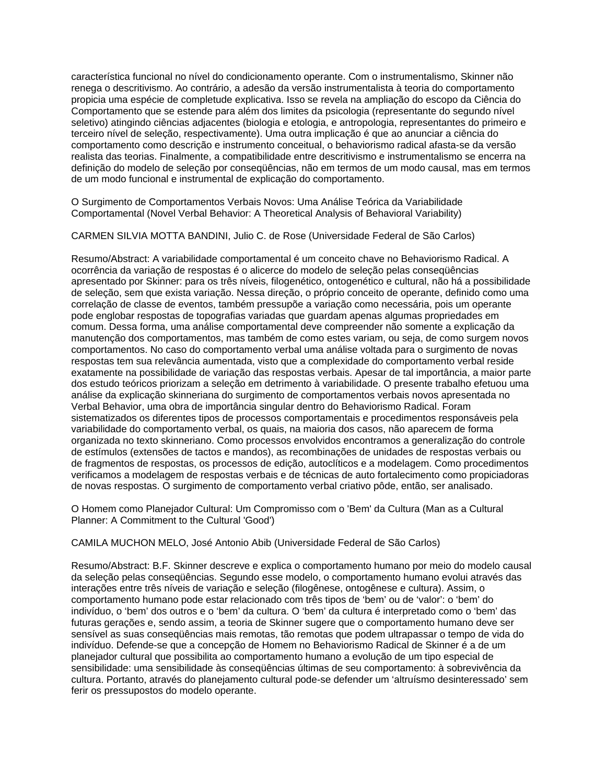característica funcional no nível do condicionamento operante. Com o instrumentalismo, Skinner não renega o descritivismo. Ao contrário, a adesão da versão instrumentalista à teoria do comportamento propicia uma espécie de completude explicativa. Isso se revela na ampliação do escopo da Ciência do Comportamento que se estende para além dos limites da psicologia (representante do segundo nível seletivo) atingindo ciências adjacentes (biologia e etologia, e antropologia, representantes do primeiro e terceiro nível de seleção, respectivamente). Uma outra implicação é que ao anunciar a ciência do comportamento como descrição e instrumento conceitual, o behaviorismo radical afasta-se da versão realista das teorias. Finalmente, a compatibilidade entre descritivismo e instrumentalismo se encerra na definição do modelo de seleção por conseqüências, não em termos de um modo causal, mas em termos de um modo funcional e instrumental de explicação do comportamento.

O Surgimento de Comportamentos Verbais Novos: Uma Análise Teórica da Variabilidade Comportamental (Novel Verbal Behavior: A Theoretical Analysis of Behavioral Variability)

CARMEN SILVIA MOTTA BANDINI, Julio C. de Rose (Universidade Federal de São Carlos)

Resumo/Abstract: A variabilidade comportamental é um conceito chave no Behaviorismo Radical. A ocorrência da variação de respostas é o alicerce do modelo de seleção pelas conseqüências apresentado por Skinner: para os três níveis, filogenético, ontogenético e cultural, não há a possibilidade de seleção, sem que exista variação. Nessa direção, o próprio conceito de operante, definido como uma correlação de classe de eventos, também pressupõe a variação como necessária, pois um operante pode englobar respostas de topografias variadas que guardam apenas algumas propriedades em comum. Dessa forma, uma análise comportamental deve compreender não somente a explicação da manutenção dos comportamentos, mas também de como estes variam, ou seja, de como surgem novos comportamentos. No caso do comportamento verbal uma análise voltada para o surgimento de novas respostas tem sua relevância aumentada, visto que a complexidade do comportamento verbal reside exatamente na possibilidade de variação das respostas verbais. Apesar de tal importância, a maior parte dos estudo teóricos priorizam a seleção em detrimento à variabilidade. O presente trabalho efetuou uma análise da explicação skinneriana do surgimento de comportamentos verbais novos apresentada no Verbal Behavior, uma obra de importância singular dentro do Behaviorismo Radical. Foram sistematizados os diferentes tipos de processos comportamentais e procedimentos responsáveis pela variabilidade do comportamento verbal, os quais, na maioria dos casos, não aparecem de forma organizada no texto skinneriano. Como processos envolvidos encontramos a generalização do controle de estímulos (extensões de tactos e mandos), as recombinações de unidades de respostas verbais ou de fragmentos de respostas, os processos de edição, autoclíticos e a modelagem. Como procedimentos verificamos a modelagem de respostas verbais e de técnicas de auto fortalecimento como propiciadoras de novas respostas. O surgimento de comportamento verbal criativo pôde, então, ser analisado.

O Homem como Planejador Cultural: Um Compromisso com o 'Bem' da Cultura (Man as a Cultural Planner: A Commitment to the Cultural 'Good')

CAMILA MUCHON MELO, José Antonio Abib (Universidade Federal de São Carlos)

Resumo/Abstract: B.F. Skinner descreve e explica o comportamento humano por meio do modelo causal da seleção pelas conseqüências. Segundo esse modelo, o comportamento humano evolui através das interações entre três níveis de variação e seleção (filogênese, ontogênese e cultura). Assim, o comportamento humano pode estar relacionado com três tipos de 'bem' ou de 'valor': o 'bem' do indivíduo, o 'bem' dos outros e o 'bem' da cultura. O 'bem' da cultura é interpretado como o 'bem' das futuras gerações e, sendo assim, a teoria de Skinner sugere que o comportamento humano deve ser sensível as suas conseqüências mais remotas, tão remotas que podem ultrapassar o tempo de vida do indivíduo. Defende-se que a concepção de Homem no Behaviorismo Radical de Skinner é a de um planejador cultural que possibilita ao comportamento humano a evolução de um tipo especial de sensibilidade: uma sensibilidade às conseqüências últimas de seu comportamento: à sobrevivência da cultura. Portanto, através do planejamento cultural pode-se defender um 'altruísmo desinteressado' sem ferir os pressupostos do modelo operante.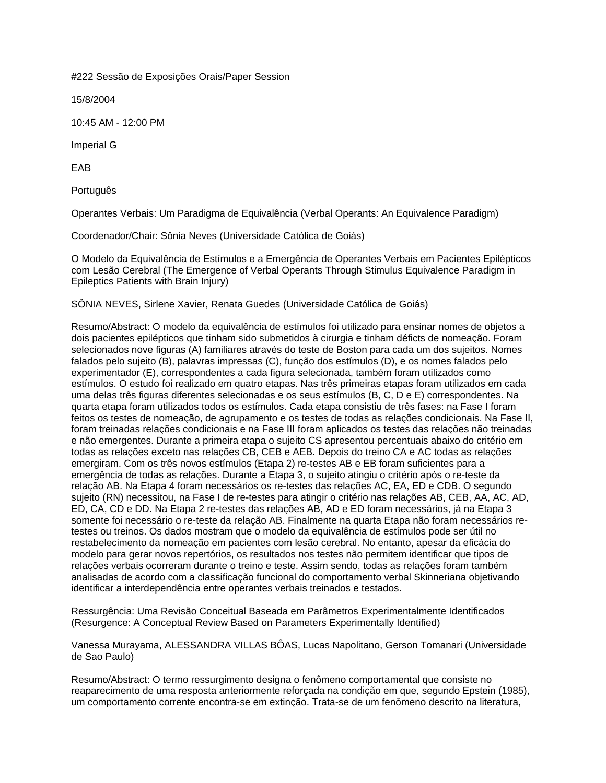#222 Sessão de Exposições Orais/Paper Session

15/8/2004

10:45 AM - 12:00 PM

Imperial G

EAB

Português

Operantes Verbais: Um Paradigma de Equivalência (Verbal Operants: An Equivalence Paradigm)

Coordenador/Chair: Sônia Neves (Universidade Católica de Goiás)

O Modelo da Equivalência de Estímulos e a Emergência de Operantes Verbais em Pacientes Epilépticos com Lesão Cerebral (The Emergence of Verbal Operants Through Stimulus Equivalence Paradigm in Epileptics Patients with Brain Injury)

SÔNIA NEVES, Sirlene Xavier, Renata Guedes (Universidade Católica de Goiás)

Resumo/Abstract: O modelo da equivalência de estímulos foi utilizado para ensinar nomes de objetos a dois pacientes epilépticos que tinham sido submetidos à cirurgia e tinham déficts de nomeação. Foram selecionados nove figuras (A) familiares através do teste de Boston para cada um dos sujeitos. Nomes falados pelo sujeito (B), palavras impressas (C), função dos estímulos (D), e os nomes falados pelo experimentador (E), correspondentes a cada figura selecionada, também foram utilizados como estímulos. O estudo foi realizado em quatro etapas. Nas três primeiras etapas foram utilizados em cada uma delas três figuras diferentes selecionadas e os seus estímulos (B, C, D e E) correspondentes. Na quarta etapa foram utilizados todos os estímulos. Cada etapa consistiu de três fases: na Fase I foram feitos os testes de nomeação, de agrupamento e os testes de todas as relações condicionais. Na Fase II, foram treinadas relações condicionais e na Fase III foram aplicados os testes das relações não treinadas e não emergentes. Durante a primeira etapa o sujeito CS apresentou percentuais abaixo do critério em todas as relações exceto nas relações CB, CEB e AEB. Depois do treino CA e AC todas as relações emergiram. Com os três novos estímulos (Etapa 2) re-testes AB e EB foram suficientes para a emergência de todas as relações. Durante a Etapa 3, o sujeito atingiu o critério após o re-teste da relação AB. Na Etapa 4 foram necessários os re-testes das relações AC, EA, ED e CDB. O segundo sujeito (RN) necessitou, na Fase I de re-testes para atingir o critério nas relações AB, CEB, AA, AC, AD, ED, CA, CD e DD. Na Etapa 2 re-testes das relações AB, AD e ED foram necessários, já na Etapa 3 somente foi necessário o re-teste da relação AB. Finalmente na quarta Etapa não foram necessários retestes ou treinos. Os dados mostram que o modelo da equivalência de estímulos pode ser útil no restabelecimento da nomeação em pacientes com lesão cerebral. No entanto, apesar da eficácia do modelo para gerar novos repertórios, os resultados nos testes não permitem identificar que tipos de relações verbais ocorreram durante o treino e teste. Assim sendo, todas as relações foram também analisadas de acordo com a classificação funcional do comportamento verbal Skinneriana objetivando identificar a interdependência entre operantes verbais treinados e testados.

Ressurgência: Uma Revisão Conceitual Baseada em Parâmetros Experimentalmente Identificados (Resurgence: A Conceptual Review Based on Parameters Experimentally Identified)

Vanessa Murayama, ALESSANDRA VILLAS BÔAS, Lucas Napolitano, Gerson Tomanari (Universidade de Sao Paulo)

Resumo/Abstract: O termo ressurgimento designa o fenômeno comportamental que consiste no reaparecimento de uma resposta anteriormente reforçada na condição em que, segundo Epstein (1985), um comportamento corrente encontra-se em extinção. Trata-se de um fenômeno descrito na literatura,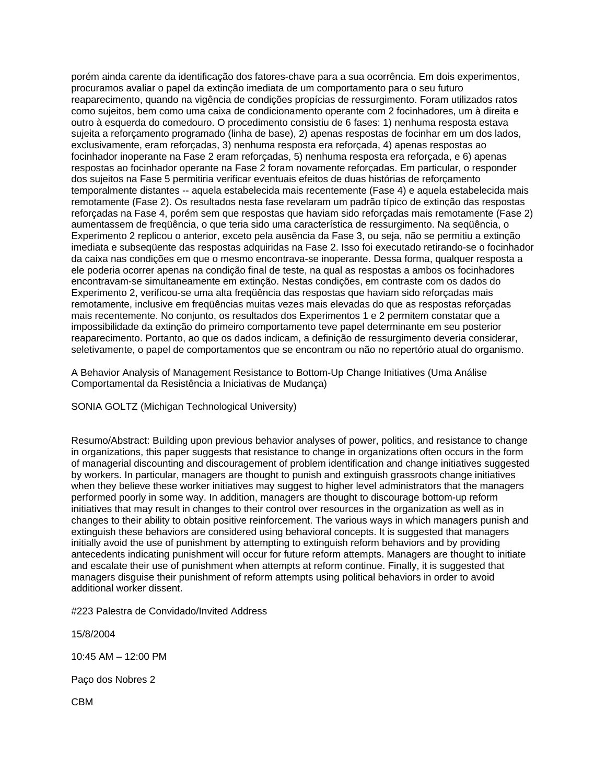porém ainda carente da identificação dos fatores-chave para a sua ocorrência. Em dois experimentos, procuramos avaliar o papel da extinção imediata de um comportamento para o seu futuro reaparecimento, quando na vigência de condições propícias de ressurgimento. Foram utilizados ratos como sujeitos, bem como uma caixa de condicionamento operante com 2 focinhadores, um à direita e outro à esquerda do comedouro. O procedimento consistiu de 6 fases: 1) nenhuma resposta estava sujeita a reforçamento programado (linha de base), 2) apenas respostas de focinhar em um dos lados, exclusivamente, eram reforçadas, 3) nenhuma resposta era reforçada, 4) apenas respostas ao focinhador inoperante na Fase 2 eram reforçadas, 5) nenhuma resposta era reforçada, e 6) apenas respostas ao focinhador operante na Fase 2 foram novamente reforçadas. Em particular, o responder dos sujeitos na Fase 5 permitiria verificar eventuais efeitos de duas histórias de reforçamento temporalmente distantes -- aquela estabelecida mais recentemente (Fase 4) e aquela estabelecida mais remotamente (Fase 2). Os resultados nesta fase revelaram um padrão típico de extinção das respostas reforçadas na Fase 4, porém sem que respostas que haviam sido reforçadas mais remotamente (Fase 2) aumentassem de freqüência, o que teria sido uma característica de ressurgimento. Na seqüência, o Experimento 2 replicou o anterior, exceto pela ausência da Fase 3, ou seja, não se permitiu a extinção imediata e subseqüente das respostas adquiridas na Fase 2. Isso foi executado retirando-se o focinhador da caixa nas condições em que o mesmo encontrava-se inoperante. Dessa forma, qualquer resposta a ele poderia ocorrer apenas na condição final de teste, na qual as respostas a ambos os focinhadores encontravam-se simultaneamente em extinção. Nestas condições, em contraste com os dados do Experimento 2, verificou-se uma alta freqüência das respostas que haviam sido reforçadas mais remotamente, inclusive em freqüências muitas vezes mais elevadas do que as respostas reforçadas mais recentemente. No conjunto, os resultados dos Experimentos 1 e 2 permitem constatar que a impossibilidade da extinção do primeiro comportamento teve papel determinante em seu posterior reaparecimento. Portanto, ao que os dados indicam, a definição de ressurgimento deveria considerar, seletivamente, o papel de comportamentos que se encontram ou não no repertório atual do organismo.

A Behavior Analysis of Management Resistance to Bottom-Up Change Initiatives (Uma Análise Comportamental da Resistência a Iniciativas de Mudança)

SONIA GOLTZ (Michigan Technological University)

Resumo/Abstract: Building upon previous behavior analyses of power, politics, and resistance to change in organizations, this paper suggests that resistance to change in organizations often occurs in the form of managerial discounting and discouragement of problem identification and change initiatives suggested by workers. In particular, managers are thought to punish and extinguish grassroots change initiatives when they believe these worker initiatives may suggest to higher level administrators that the managers performed poorly in some way. In addition, managers are thought to discourage bottom-up reform initiatives that may result in changes to their control over resources in the organization as well as in changes to their ability to obtain positive reinforcement. The various ways in which managers punish and extinguish these behaviors are considered using behavioral concepts. It is suggested that managers initially avoid the use of punishment by attempting to extinguish reform behaviors and by providing antecedents indicating punishment will occur for future reform attempts. Managers are thought to initiate and escalate their use of punishment when attempts at reform continue. Finally, it is suggested that managers disguise their punishment of reform attempts using political behaviors in order to avoid additional worker dissent.

#223 Palestra de Convidado/Invited Address

15/8/2004

10:45 AM – 12:00 PM

Paço dos Nobres 2

CBM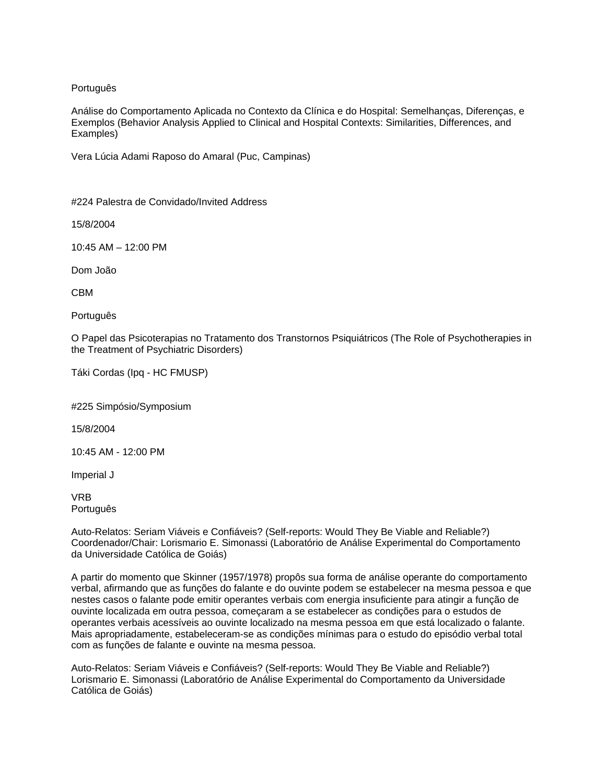## Português

Análise do Comportamento Aplicada no Contexto da Clínica e do Hospital: Semelhanças, Diferenças, e Exemplos (Behavior Analysis Applied to Clinical and Hospital Contexts: Similarities, Differences, and Examples)

Vera Lúcia Adami Raposo do Amaral (Puc, Campinas)

#224 Palestra de Convidado/Invited Address

15/8/2004

10:45 AM – 12:00 PM

Dom João

CBM

Português

O Papel das Psicoterapias no Tratamento dos Transtornos Psiquiátricos (The Role of Psychotherapies in the Treatment of Psychiatric Disorders)

Táki Cordas (Ipq - HC FMUSP)

#225 Simpósio/Symposium

15/8/2004

10:45 AM - 12:00 PM

Imperial J

VRB Português

Auto-Relatos: Seriam Viáveis e Confiáveis? (Self-reports: Would They Be Viable and Reliable?) Coordenador/Chair: Lorismario E. Simonassi (Laboratório de Análise Experimental do Comportamento da Universidade Católica de Goiás)

A partir do momento que Skinner (1957/1978) propôs sua forma de análise operante do comportamento verbal, afirmando que as funções do falante e do ouvinte podem se estabelecer na mesma pessoa e que nestes casos o falante pode emitir operantes verbais com energia insuficiente para atingir a função de ouvinte localizada em outra pessoa, começaram a se estabelecer as condições para o estudos de operantes verbais acessíveis ao ouvinte localizado na mesma pessoa em que está localizado o falante. Mais apropriadamente, estabeleceram-se as condições mínimas para o estudo do episódio verbal total com as funções de falante e ouvinte na mesma pessoa.

Auto-Relatos: Seriam Viáveis e Confiáveis? (Self-reports: Would They Be Viable and Reliable?) Lorismario E. Simonassi (Laboratório de Análise Experimental do Comportamento da Universidade Católica de Goiás)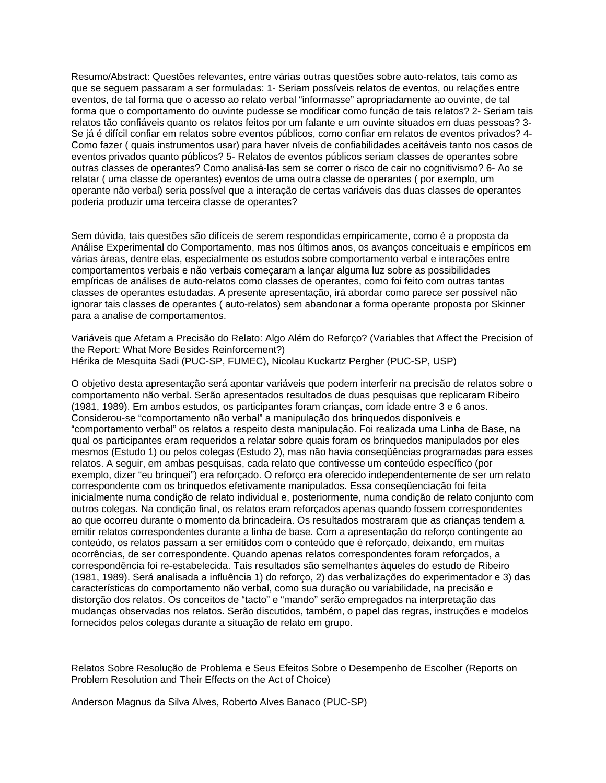Resumo/Abstract: Questões relevantes, entre várias outras questões sobre auto-relatos, tais como as que se seguem passaram a ser formuladas: 1- Seriam possíveis relatos de eventos, ou relações entre eventos, de tal forma que o acesso ao relato verbal "informasse" apropriadamente ao ouvinte, de tal forma que o comportamento do ouvinte pudesse se modificar como função de tais relatos? 2- Seriam tais relatos tão confiáveis quanto os relatos feitos por um falante e um ouvinte situados em duas pessoas? 3- Se já é difícil confiar em relatos sobre eventos públicos, como confiar em relatos de eventos privados? 4- Como fazer ( quais instrumentos usar) para haver níveis de confiabilidades aceitáveis tanto nos casos de eventos privados quanto públicos? 5- Relatos de eventos públicos seriam classes de operantes sobre outras classes de operantes? Como analisá-las sem se correr o risco de cair no cognitivismo? 6- Ao se relatar ( uma classe de operantes) eventos de uma outra classe de operantes ( por exemplo, um operante não verbal) seria possível que a interação de certas variáveis das duas classes de operantes poderia produzir uma terceira classe de operantes?

Sem dúvida, tais questões são difíceis de serem respondidas empiricamente, como é a proposta da Análise Experimental do Comportamento, mas nos últimos anos, os avanços conceituais e empíricos em várias áreas, dentre elas, especialmente os estudos sobre comportamento verbal e interações entre comportamentos verbais e não verbais começaram a lançar alguma luz sobre as possibilidades empíricas de análises de auto-relatos como classes de operantes, como foi feito com outras tantas classes de operantes estudadas. A presente apresentação, irá abordar como parece ser possível não ignorar tais classes de operantes ( auto-relatos) sem abandonar a forma operante proposta por Skinner para a analise de comportamentos.

Variáveis que Afetam a Precisão do Relato: Algo Além do Reforço? (Variables that Affect the Precision of the Report: What More Besides Reinforcement?) Hérika de Mesquita Sadi (PUC-SP, FUMEC), Nicolau Kuckartz Pergher (PUC-SP, USP)

O objetivo desta apresentação será apontar variáveis que podem interferir na precisão de relatos sobre o comportamento não verbal. Serão apresentados resultados de duas pesquisas que replicaram Ribeiro (1981, 1989). Em ambos estudos, os participantes foram crianças, com idade entre 3 e 6 anos. Considerou-se "comportamento não verbal" a manipulação dos brinquedos disponíveis e "comportamento verbal" os relatos a respeito desta manipulação. Foi realizada uma Linha de Base, na qual os participantes eram requeridos a relatar sobre quais foram os brinquedos manipulados por eles mesmos (Estudo 1) ou pelos colegas (Estudo 2), mas não havia conseqüências programadas para esses relatos. A seguir, em ambas pesquisas, cada relato que contivesse um conteúdo específico (por exemplo, dizer "eu brinquei") era reforçado. O reforço era oferecido independentemente de ser um relato correspondente com os brinquedos efetivamente manipulados. Essa conseqüenciação foi feita inicialmente numa condição de relato individual e, posteriormente, numa condição de relato conjunto com outros colegas. Na condição final, os relatos eram reforçados apenas quando fossem correspondentes ao que ocorreu durante o momento da brincadeira. Os resultados mostraram que as crianças tendem a emitir relatos correspondentes durante a linha de base. Com a apresentação do reforço contingente ao conteúdo, os relatos passam a ser emitidos com o conteúdo que é reforçado, deixando, em muitas ocorrências, de ser correspondente. Quando apenas relatos correspondentes foram reforçados, a correspondência foi re-estabelecida. Tais resultados são semelhantes àqueles do estudo de Ribeiro (1981, 1989). Será analisada a influência 1) do reforço, 2) das verbalizações do experimentador e 3) das características do comportamento não verbal, como sua duração ou variabilidade, na precisão e distorção dos relatos. Os conceitos de "tacto" e "mando" serão empregados na interpretação das mudanças observadas nos relatos. Serão discutidos, também, o papel das regras, instruções e modelos fornecidos pelos colegas durante a situação de relato em grupo.

Relatos Sobre Resolução de Problema e Seus Efeitos Sobre o Desempenho de Escolher (Reports on Problem Resolution and Their Effects on the Act of Choice)

Anderson Magnus da Silva Alves, Roberto Alves Banaco (PUC-SP)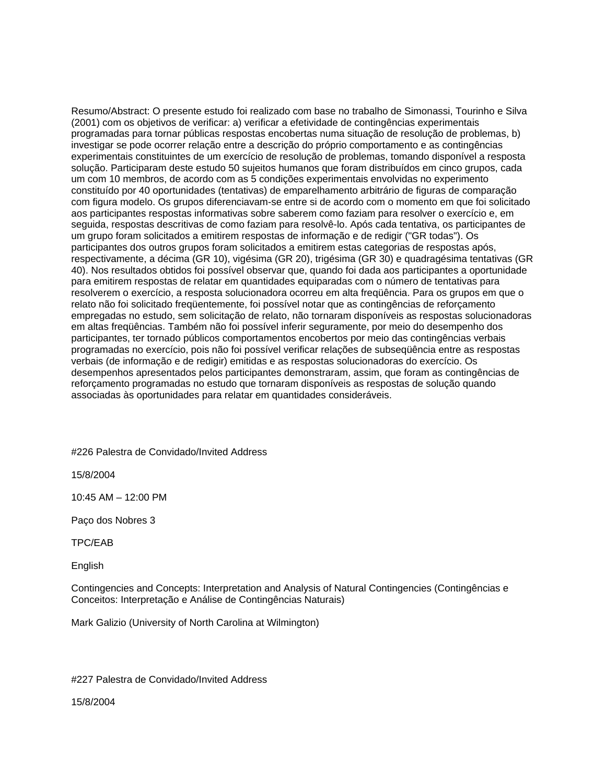Resumo/Abstract: O presente estudo foi realizado com base no trabalho de Simonassi, Tourinho e Silva (2001) com os objetivos de verificar: a) verificar a efetividade de contingências experimentais programadas para tornar públicas respostas encobertas numa situação de resolução de problemas, b) investigar se pode ocorrer relação entre a descrição do próprio comportamento e as contingências experimentais constituintes de um exercício de resolução de problemas, tomando disponível a resposta solução. Participaram deste estudo 50 sujeitos humanos que foram distribuídos em cinco grupos, cada um com 10 membros, de acordo com as 5 condições experimentais envolvidas no experimento constituído por 40 oportunidades (tentativas) de emparelhamento arbitrário de figuras de comparação com figura modelo. Os grupos diferenciavam-se entre si de acordo com o momento em que foi solicitado aos participantes respostas informativas sobre saberem como faziam para resolver o exercício e, em seguida, respostas descritivas de como faziam para resolvê-lo. Após cada tentativa, os participantes de um grupo foram solicitados a emitirem respostas de informação e de redigir ("GR todas"). Os participantes dos outros grupos foram solicitados a emitirem estas categorias de respostas após, respectivamente, a décima (GR 10), vigésima (GR 20), trigésima (GR 30) e quadragésima tentativas (GR 40). Nos resultados obtidos foi possível observar que, quando foi dada aos participantes a oportunidade para emitirem respostas de relatar em quantidades equiparadas com o número de tentativas para resolverem o exercício, a resposta solucionadora ocorreu em alta freqüência. Para os grupos em que o relato não foi solicitado freqüentemente, foi possível notar que as contingências de reforçamento empregadas no estudo, sem solicitação de relato, não tornaram disponíveis as respostas solucionadoras em altas freqüências. Também não foi possível inferir seguramente, por meio do desempenho dos participantes, ter tornado públicos comportamentos encobertos por meio das contingências verbais programadas no exercício, pois não foi possível verificar relações de subseqüência entre as respostas verbais (de informação e de redigir) emitidas e as respostas solucionadoras do exercício. Os desempenhos apresentados pelos participantes demonstraram, assim, que foram as contingências de reforçamento programadas no estudo que tornaram disponíveis as respostas de solução quando associadas às oportunidades para relatar em quantidades consideráveis.

#226 Palestra de Convidado/Invited Address

15/8/2004

10:45 AM – 12:00 PM

Paço dos Nobres 3

TPC/EAB

English

Contingencies and Concepts: Interpretation and Analysis of Natural Contingencies (Contingências e Conceitos: Interpretação e Análise de Contingências Naturais)

Mark Galizio (University of North Carolina at Wilmington)

#227 Palestra de Convidado/Invited Address

15/8/2004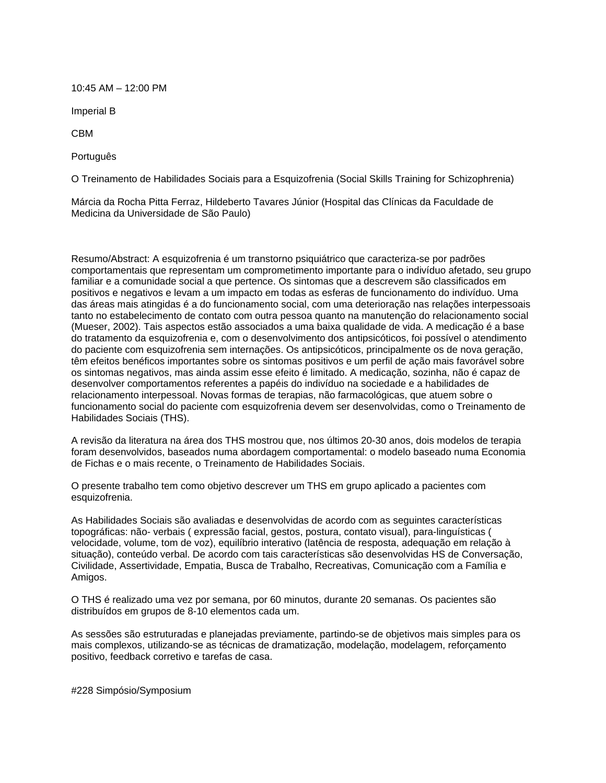10:45 AM – 12:00 PM

Imperial B

CBM

Português

O Treinamento de Habilidades Sociais para a Esquizofrenia (Social Skills Training for Schizophrenia)

Márcia da Rocha Pitta Ferraz, Hildeberto Tavares Júnior (Hospital das Clínicas da Faculdade de Medicina da Universidade de São Paulo)

Resumo/Abstract: A esquizofrenia é um transtorno psiquiátrico que caracteriza-se por padrões comportamentais que representam um comprometimento importante para o indivíduo afetado, seu grupo familiar e a comunidade social a que pertence. Os sintomas que a descrevem são classificados em positivos e negativos e levam a um impacto em todas as esferas de funcionamento do indivíduo. Uma das áreas mais atingidas é a do funcionamento social, com uma deterioração nas relações interpessoais tanto no estabelecimento de contato com outra pessoa quanto na manutenção do relacionamento social (Mueser, 2002). Tais aspectos estão associados a uma baixa qualidade de vida. A medicação é a base do tratamento da esquizofrenia e, com o desenvolvimento dos antipsicóticos, foi possível o atendimento do paciente com esquizofrenia sem internações. Os antipsicóticos, principalmente os de nova geração, têm efeitos benéficos importantes sobre os sintomas positivos e um perfil de ação mais favorável sobre os sintomas negativos, mas ainda assim esse efeito é limitado. A medicação, sozinha, não é capaz de desenvolver comportamentos referentes a papéis do indivíduo na sociedade e a habilidades de relacionamento interpessoal. Novas formas de terapias, não farmacológicas, que atuem sobre o funcionamento social do paciente com esquizofrenia devem ser desenvolvidas, como o Treinamento de Habilidades Sociais (THS).

A revisão da literatura na área dos THS mostrou que, nos últimos 20-30 anos, dois modelos de terapia foram desenvolvidos, baseados numa abordagem comportamental: o modelo baseado numa Economia de Fichas e o mais recente, o Treinamento de Habilidades Sociais.

O presente trabalho tem como objetivo descrever um THS em grupo aplicado a pacientes com esquizofrenia.

As Habilidades Sociais são avaliadas e desenvolvidas de acordo com as seguintes características topográficas: não- verbais ( expressão facial, gestos, postura, contato visual), para-linguísticas ( velocidade, volume, tom de voz), equilíbrio interativo (latência de resposta, adequação em relação à situação), conteúdo verbal. De acordo com tais características são desenvolvidas HS de Conversação, Civilidade, Assertividade, Empatia, Busca de Trabalho, Recreativas, Comunicação com a Família e Amigos.

O THS é realizado uma vez por semana, por 60 minutos, durante 20 semanas. Os pacientes são distribuídos em grupos de 8-10 elementos cada um.

As sessões são estruturadas e planejadas previamente, partindo-se de objetivos mais simples para os mais complexos, utilizando-se as técnicas de dramatização, modelação, modelagem, reforçamento positivo, feedback corretivo e tarefas de casa.

#228 Simpósio/Symposium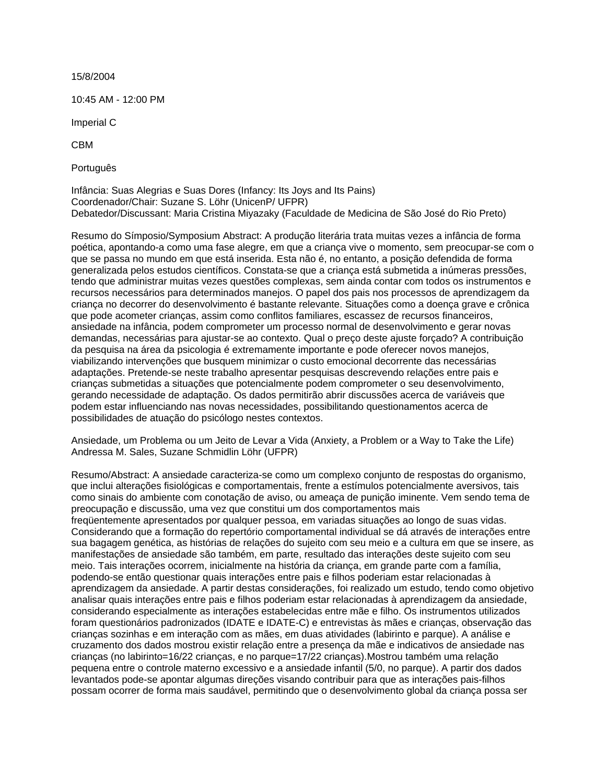15/8/2004

10:45 AM - 12:00 PM

Imperial C

CBM

Português

Infância: Suas Alegrias e Suas Dores (Infancy: Its Joys and Its Pains) Coordenador/Chair: Suzane S. Löhr (UnicenP/ UFPR) Debatedor/Discussant: Maria Cristina Miyazaky (Faculdade de Medicina de São José do Rio Preto)

Resumo do Símposio/Symposium Abstract: A produção literária trata muitas vezes a infância de forma poética, apontando-a como uma fase alegre, em que a criança vive o momento, sem preocupar-se com o que se passa no mundo em que está inserida. Esta não é, no entanto, a posição defendida de forma generalizada pelos estudos científicos. Constata-se que a criança está submetida a inúmeras pressões, tendo que administrar muitas vezes questões complexas, sem ainda contar com todos os instrumentos e recursos necessários para determinados manejos. O papel dos pais nos processos de aprendizagem da criança no decorrer do desenvolvimento é bastante relevante. Situações como a doença grave e crônica que pode acometer crianças, assim como conflitos familiares, escassez de recursos financeiros, ansiedade na infância, podem comprometer um processo normal de desenvolvimento e gerar novas demandas, necessárias para ajustar-se ao contexto. Qual o preço deste ajuste forçado? A contribuição da pesquisa na área da psicologia é extremamente importante e pode oferecer novos manejos, viabilizando intervenções que busquem minimizar o custo emocional decorrente das necessárias adaptações. Pretende-se neste trabalho apresentar pesquisas descrevendo relações entre pais e crianças submetidas a situações que potencialmente podem comprometer o seu desenvolvimento, gerando necessidade de adaptação. Os dados permitirão abrir discussões acerca de variáveis que podem estar influenciando nas novas necessidades, possibilitando questionamentos acerca de possibilidades de atuação do psicólogo nestes contextos.

Ansiedade, um Problema ou um Jeito de Levar a Vida (Anxiety, a Problem or a Way to Take the Life) Andressa M. Sales, Suzane Schmidlin Löhr (UFPR)

Resumo/Abstract: A ansiedade caracteriza-se como um complexo conjunto de respostas do organismo, que inclui alterações fisiológicas e comportamentais, frente a estímulos potencialmente aversivos, tais como sinais do ambiente com conotação de aviso, ou ameaça de punição iminente. Vem sendo tema de preocupação e discussão, uma vez que constitui um dos comportamentos mais freqüentemente apresentados por qualquer pessoa, em variadas situações ao longo de suas vidas. Considerando que a formação do repertório comportamental individual se dá através de interações entre sua bagagem genética, as histórias de relações do sujeito com seu meio e a cultura em que se insere, as manifestações de ansiedade são também, em parte, resultado das interações deste sujeito com seu meio. Tais interações ocorrem, inicialmente na história da criança, em grande parte com a família, podendo-se então questionar quais interações entre pais e filhos poderiam estar relacionadas à aprendizagem da ansiedade. A partir destas considerações, foi realizado um estudo, tendo como objetivo analisar quais interações entre pais e filhos poderiam estar relacionadas à aprendizagem da ansiedade, considerando especialmente as interações estabelecidas entre mãe e filho. Os instrumentos utilizados foram questionários padronizados (IDATE e IDATE-C) e entrevistas às mães e crianças, observação das crianças sozinhas e em interação com as mães, em duas atividades (labirinto e parque). A análise e cruzamento dos dados mostrou existir relação entre a presença da mãe e indicativos de ansiedade nas crianças (no labirinto=16/22 crianças, e no parque=17/22 crianças).Mostrou também uma relação pequena entre o controle materno excessivo e a ansiedade infantil (5/0, no parque). A partir dos dados levantados pode-se apontar algumas direções visando contribuir para que as interações pais-filhos possam ocorrer de forma mais saudável, permitindo que o desenvolvimento global da criança possa ser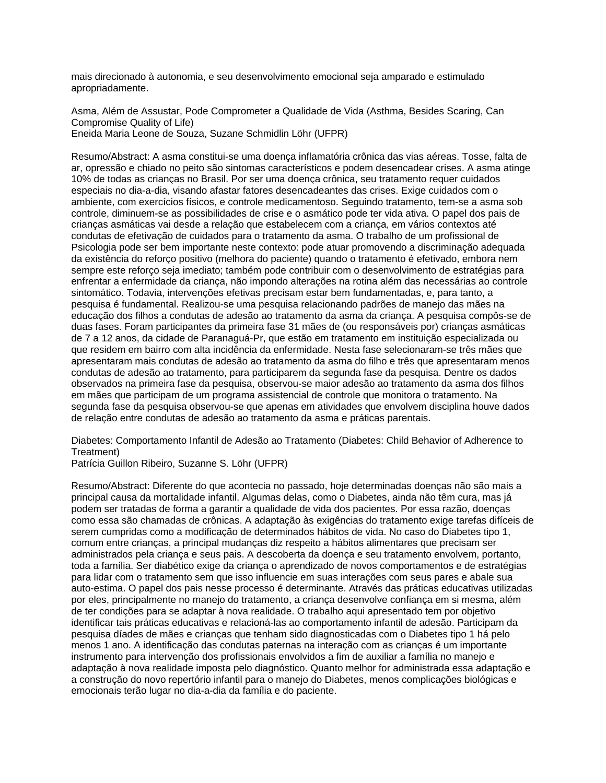mais direcionado à autonomia, e seu desenvolvimento emocional seja amparado e estimulado apropriadamente.

Asma, Além de Assustar, Pode Comprometer a Qualidade de Vida (Asthma, Besides Scaring, Can Compromise Quality of Life) Eneida Maria Leone de Souza, Suzane Schmidlin Löhr (UFPR)

Resumo/Abstract: A asma constitui-se uma doença inflamatória crônica das vias aéreas. Tosse, falta de ar, opressão e chiado no peito são sintomas característicos e podem desencadear crises. A asma atinge 10% de todas as crianças no Brasil. Por ser uma doença crônica, seu tratamento requer cuidados especiais no dia-a-dia, visando afastar fatores desencadeantes das crises. Exige cuidados com o ambiente, com exercícios físicos, e controle medicamentoso. Seguindo tratamento, tem-se a asma sob controle, diminuem-se as possibilidades de crise e o asmático pode ter vida ativa. O papel dos pais de crianças asmáticas vai desde a relação que estabelecem com a criança, em vários contextos até condutas de efetivação de cuidados para o tratamento da asma. O trabalho de um profissional de Psicologia pode ser bem importante neste contexto: pode atuar promovendo a discriminação adequada da existência do reforço positivo (melhora do paciente) quando o tratamento é efetivado, embora nem sempre este reforço seja imediato; também pode contribuir com o desenvolvimento de estratégias para enfrentar a enfermidade da criança, não impondo alterações na rotina além das necessárias ao controle sintomático. Todavia, intervenções efetivas precisam estar bem fundamentadas, e, para tanto, a pesquisa é fundamental. Realizou-se uma pesquisa relacionando padrões de manejo das mães na educação dos filhos a condutas de adesão ao tratamento da asma da criança. A pesquisa compôs-se de duas fases. Foram participantes da primeira fase 31 mães de (ou responsáveis por) crianças asmáticas de 7 a 12 anos, da cidade de Paranaguá-Pr, que estão em tratamento em instituição especializada ou que residem em bairro com alta incidência da enfermidade. Nesta fase selecionaram-se três mães que apresentaram mais condutas de adesão ao tratamento da asma do filho e três que apresentaram menos condutas de adesão ao tratamento, para participarem da segunda fase da pesquisa. Dentre os dados observados na primeira fase da pesquisa, observou-se maior adesão ao tratamento da asma dos filhos em mães que participam de um programa assistencial de controle que monitora o tratamento. Na segunda fase da pesquisa observou-se que apenas em atividades que envolvem disciplina houve dados de relação entre condutas de adesão ao tratamento da asma e práticas parentais.

Diabetes: Comportamento Infantil de Adesão ao Tratamento (Diabetes: Child Behavior of Adherence to Treatment)

Patrícia Guillon Ribeiro, Suzanne S. Löhr (UFPR)

Resumo/Abstract: Diferente do que acontecia no passado, hoje determinadas doenças não são mais a principal causa da mortalidade infantil. Algumas delas, como o Diabetes, ainda não têm cura, mas já podem ser tratadas de forma a garantir a qualidade de vida dos pacientes. Por essa razão, doenças como essa são chamadas de crônicas. A adaptação às exigências do tratamento exige tarefas difíceis de serem cumpridas como a modificação de determinados hábitos de vida. No caso do Diabetes tipo 1, comum entre crianças, a principal mudanças diz respeito a hábitos alimentares que precisam ser administrados pela criança e seus pais. A descoberta da doença e seu tratamento envolvem, portanto, toda a família. Ser diabético exige da criança o aprendizado de novos comportamentos e de estratégias para lidar com o tratamento sem que isso influencie em suas interações com seus pares e abale sua auto-estima. O papel dos pais nesse processo é determinante. Através das práticas educativas utilizadas por eles, principalmente no manejo do tratamento, a criança desenvolve confiança em si mesma, além de ter condições para se adaptar à nova realidade. O trabalho aqui apresentado tem por objetivo identificar tais práticas educativas e relacioná-las ao comportamento infantil de adesão. Participam da pesquisa díades de mães e crianças que tenham sido diagnosticadas com o Diabetes tipo 1 há pelo menos 1 ano. A identificação das condutas paternas na interação com as crianças é um importante instrumento para intervenção dos profissionais envolvidos a fim de auxiliar a família no manejo e adaptação à nova realidade imposta pelo diagnóstico. Quanto melhor for administrada essa adaptação e a construção do novo repertório infantil para o manejo do Diabetes, menos complicações biológicas e emocionais terão lugar no dia-a-dia da família e do paciente.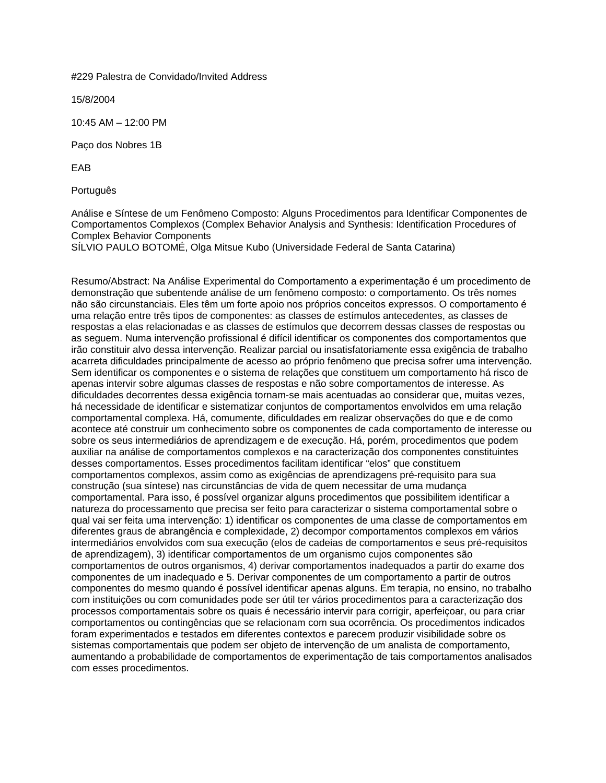#229 Palestra de Convidado/Invited Address

15/8/2004

10:45 AM – 12:00 PM

Paço dos Nobres 1B

EAB

Português

Análise e Síntese de um Fenômeno Composto: Alguns Procedimentos para Identificar Componentes de Comportamentos Complexos (Complex Behavior Analysis and Synthesis: Identification Procedures of Complex Behavior Components

SÍLVIO PAULO BOTOMÉ, Olga Mitsue Kubo (Universidade Federal de Santa Catarina)

Resumo/Abstract: Na Análise Experimental do Comportamento a experimentação é um procedimento de demonstração que subentende análise de um fenômeno composto: o comportamento. Os três nomes não são circunstanciais. Eles têm um forte apoio nos próprios conceitos expressos. O comportamento é uma relação entre três tipos de componentes: as classes de estímulos antecedentes, as classes de respostas a elas relacionadas e as classes de estímulos que decorrem dessas classes de respostas ou as seguem. Numa intervenção profissional é difícil identificar os componentes dos comportamentos que irão constituir alvo dessa intervenção. Realizar parcial ou insatisfatoriamente essa exigência de trabalho acarreta dificuldades principalmente de acesso ao próprio fenômeno que precisa sofrer uma intervenção. Sem identificar os componentes e o sistema de relações que constituem um comportamento há risco de apenas intervir sobre algumas classes de respostas e não sobre comportamentos de interesse. As dificuldades decorrentes dessa exigência tornam-se mais acentuadas ao considerar que, muitas vezes, há necessidade de identificar e sistematizar conjuntos de comportamentos envolvidos em uma relação comportamental complexa. Há, comumente, dificuldades em realizar observações do que e de como acontece até construir um conhecimento sobre os componentes de cada comportamento de interesse ou sobre os seus intermediários de aprendizagem e de execução. Há, porém, procedimentos que podem auxiliar na análise de comportamentos complexos e na caracterização dos componentes constituintes desses comportamentos. Esses procedimentos facilitam identificar "elos" que constituem comportamentos complexos, assim como as exigências de aprendizagens pré-requisito para sua construção (sua síntese) nas circunstâncias de vida de quem necessitar de uma mudança comportamental. Para isso, é possível organizar alguns procedimentos que possibilitem identificar a natureza do processamento que precisa ser feito para caracterizar o sistema comportamental sobre o qual vai ser feita uma intervenção: 1) identificar os componentes de uma classe de comportamentos em diferentes graus de abrangência e complexidade, 2) decompor comportamentos complexos em vários intermediários envolvidos com sua execução (elos de cadeias de comportamentos e seus pré-requisitos de aprendizagem), 3) identificar comportamentos de um organismo cujos componentes são comportamentos de outros organismos, 4) derivar comportamentos inadequados a partir do exame dos componentes de um inadequado e 5. Derivar componentes de um comportamento a partir de outros componentes do mesmo quando é possível identificar apenas alguns. Em terapia, no ensino, no trabalho com instituições ou com comunidades pode ser útil ter vários procedimentos para a caracterização dos processos comportamentais sobre os quais é necessário intervir para corrigir, aperfeiçoar, ou para criar comportamentos ou contingências que se relacionam com sua ocorrência. Os procedimentos indicados foram experimentados e testados em diferentes contextos e parecem produzir visibilidade sobre os sistemas comportamentais que podem ser objeto de intervenção de um analista de comportamento, aumentando a probabilidade de comportamentos de experimentação de tais comportamentos analisados com esses procedimentos.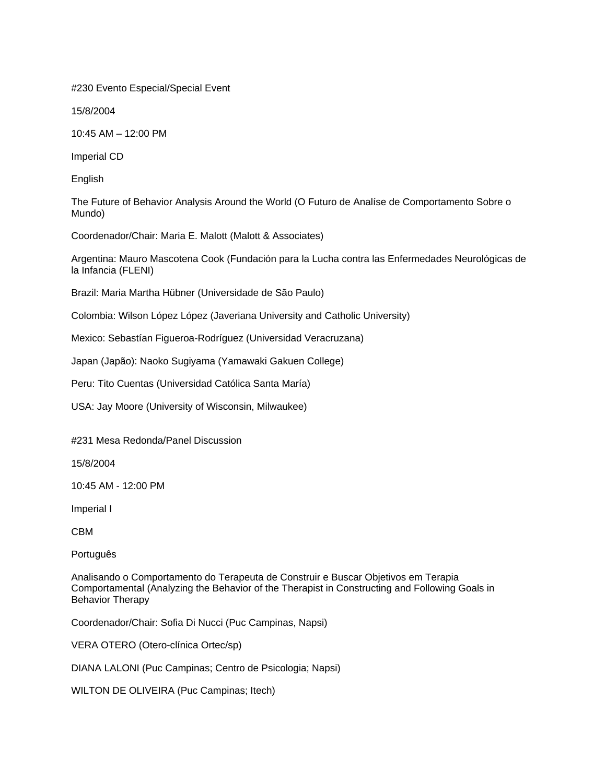#230 Evento Especial/Special Event

15/8/2004

10:45 AM – 12:00 PM

Imperial CD

English

The Future of Behavior Analysis Around the World (O Futuro de Analíse de Comportamento Sobre o Mundo)

Coordenador/Chair: Maria E. Malott (Malott & Associates)

Argentina: Mauro Mascotena Cook (Fundación para la Lucha contra las Enfermedades Neurológicas de la Infancia (FLENI)

Brazil: Maria Martha Hübner (Universidade de São Paulo)

Colombia: Wilson López López (Javeriana University and Catholic University)

Mexico: Sebastían Figueroa-Rodríguez (Universidad Veracruzana)

Japan (Japão): Naoko Sugiyama (Yamawaki Gakuen College)

Peru: Tito Cuentas (Universidad Católica Santa María)

USA: Jay Moore (University of Wisconsin, Milwaukee)

#231 Mesa Redonda/Panel Discussion

15/8/2004

10:45 AM - 12:00 PM

Imperial I

CBM

Português

Analisando o Comportamento do Terapeuta de Construir e Buscar Objetivos em Terapia Comportamental (Analyzing the Behavior of the Therapist in Constructing and Following Goals in Behavior Therapy

Coordenador/Chair: Sofia Di Nucci (Puc Campinas, Napsi)

VERA OTERO (Otero-clínica Ortec/sp)

DIANA LALONI (Puc Campinas; Centro de Psicologia; Napsi)

WILTON DE OLIVEIRA (Puc Campinas; Itech)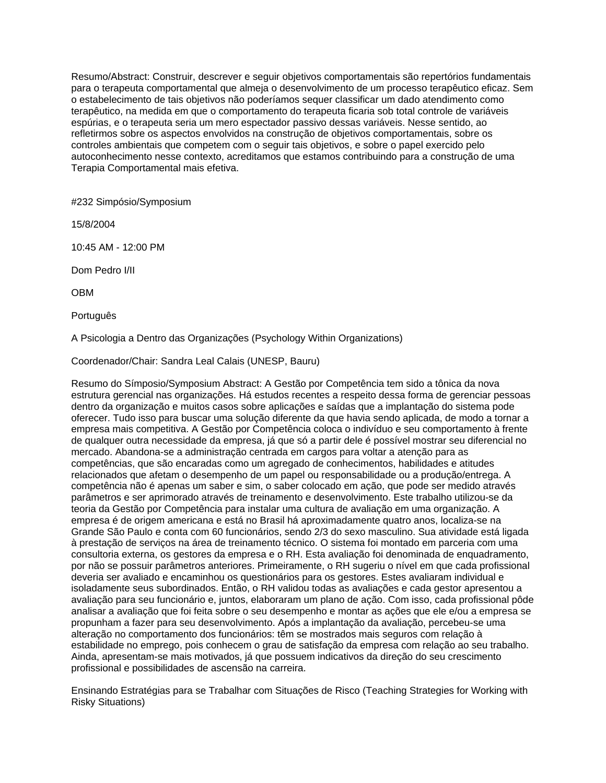Resumo/Abstract: Construir, descrever e seguir objetivos comportamentais são repertórios fundamentais para o terapeuta comportamental que almeja o desenvolvimento de um processo terapêutico eficaz. Sem o estabelecimento de tais objetivos não poderíamos sequer classificar um dado atendimento como terapêutico, na medida em que o comportamento do terapeuta ficaria sob total controle de variáveis espúrias, e o terapeuta seria um mero espectador passivo dessas variáveis. Nesse sentido, ao refletirmos sobre os aspectos envolvidos na construção de objetivos comportamentais, sobre os controles ambientais que competem com o seguir tais objetivos, e sobre o papel exercido pelo autoconhecimento nesse contexto, acreditamos que estamos contribuindo para a construção de uma Terapia Comportamental mais efetiva.

#232 Simpósio/Symposium

15/8/2004

10:45 AM - 12:00 PM

Dom Pedro I/II

OBM

Português

A Psicologia a Dentro das Organizações (Psychology Within Organizations)

Coordenador/Chair: Sandra Leal Calais (UNESP, Bauru)

Resumo do Símposio/Symposium Abstract: A Gestão por Competência tem sido a tônica da nova estrutura gerencial nas organizações. Há estudos recentes a respeito dessa forma de gerenciar pessoas dentro da organização e muitos casos sobre aplicações e saídas que a implantação do sistema pode oferecer. Tudo isso para buscar uma solução diferente da que havia sendo aplicada, de modo a tornar a empresa mais competitiva. A Gestão por Competência coloca o indivíduo e seu comportamento à frente de qualquer outra necessidade da empresa, já que só a partir dele é possível mostrar seu diferencial no mercado. Abandona-se a administração centrada em cargos para voltar a atenção para as competências, que são encaradas como um agregado de conhecimentos, habilidades e atitudes relacionados que afetam o desempenho de um papel ou responsabilidade ou a produção/entrega. A competência não é apenas um saber e sim, o saber colocado em ação, que pode ser medido através parâmetros e ser aprimorado através de treinamento e desenvolvimento. Este trabalho utilizou-se da teoria da Gestão por Competência para instalar uma cultura de avaliação em uma organização. A empresa é de origem americana e está no Brasil há aproximadamente quatro anos, localiza-se na Grande São Paulo e conta com 60 funcionários, sendo 2/3 do sexo masculino. Sua atividade está ligada à prestação de serviços na área de treinamento técnico. O sistema foi montado em parceria com uma consultoria externa, os gestores da empresa e o RH. Esta avaliação foi denominada de enquadramento, por não se possuir parâmetros anteriores. Primeiramente, o RH sugeriu o nível em que cada profissional deveria ser avaliado e encaminhou os questionários para os gestores. Estes avaliaram individual e isoladamente seus subordinados. Então, o RH validou todas as avaliações e cada gestor apresentou a avaliação para seu funcionário e, juntos, elaboraram um plano de ação. Com isso, cada profissional pôde analisar a avaliação que foi feita sobre o seu desempenho e montar as ações que ele e/ou a empresa se propunham a fazer para seu desenvolvimento. Após a implantação da avaliação, percebeu-se uma alteração no comportamento dos funcionários: têm se mostrados mais seguros com relação à estabilidade no emprego, pois conhecem o grau de satisfação da empresa com relação ao seu trabalho. Ainda, apresentam-se mais motivados, já que possuem indicativos da direção do seu crescimento profissional e possibilidades de ascensão na carreira.

Ensinando Estratégias para se Trabalhar com Situações de Risco (Teaching Strategies for Working with Risky Situations)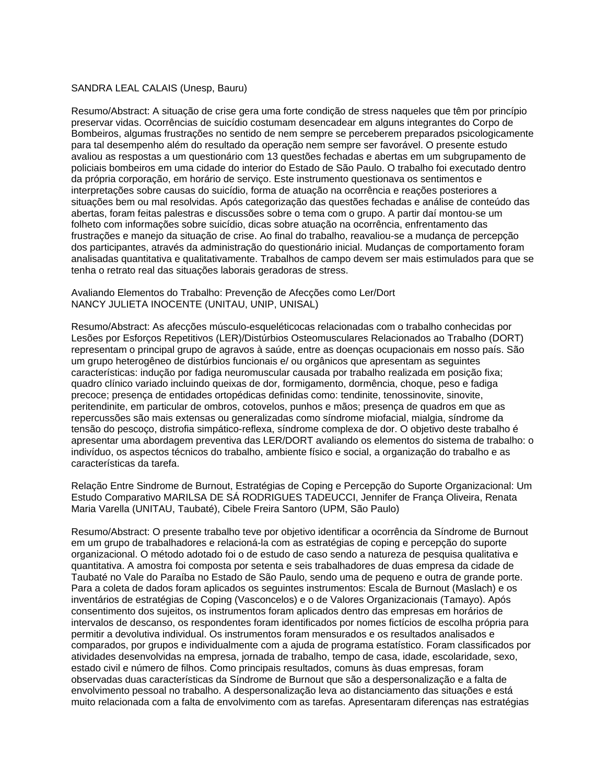#### SANDRA LEAL CALAIS (Unesp, Bauru)

Resumo/Abstract: A situação de crise gera uma forte condição de stress naqueles que têm por princípio preservar vidas. Ocorrências de suicídio costumam desencadear em alguns integrantes do Corpo de Bombeiros, algumas frustrações no sentido de nem sempre se perceberem preparados psicologicamente para tal desempenho além do resultado da operação nem sempre ser favorável. O presente estudo avaliou as respostas a um questionário com 13 questões fechadas e abertas em um subgrupamento de policiais bombeiros em uma cidade do interior do Estado de São Paulo. O trabalho foi executado dentro da própria corporação, em horário de serviço. Este instrumento questionava os sentimentos e interpretações sobre causas do suicídio, forma de atuação na ocorrência e reações posteriores a situações bem ou mal resolvidas. Após categorização das questões fechadas e análise de conteúdo das abertas, foram feitas palestras e discussões sobre o tema com o grupo. A partir daí montou-se um folheto com informações sobre suicídio, dicas sobre atuação na ocorrência, enfrentamento das frustrações e manejo da situação de crise. Ao final do trabalho, reavaliou-se a mudança de percepção dos participantes, através da administração do questionário inicial. Mudanças de comportamento foram analisadas quantitativa e qualitativamente. Trabalhos de campo devem ser mais estimulados para que se tenha o retrato real das situações laborais geradoras de stress.

Avaliando Elementos do Trabalho: Prevenção de Afecções como Ler/Dort NANCY JULIETA INOCENTE (UNITAU, UNIP, UNISAL)

Resumo/Abstract: As afecções músculo-esqueléticocas relacionadas com o trabalho conhecidas por Lesões por Esforços Repetitivos (LER)/Distúrbios Osteomusculares Relacionados ao Trabalho (DORT) representam o principal grupo de agravos à saúde, entre as doenças ocupacionais em nosso país. São um grupo heterogêneo de distúrbios funcionais e/ ou orgânicos que apresentam as seguintes características: indução por fadiga neuromuscular causada por trabalho realizada em posição fixa; quadro clínico variado incluindo queixas de dor, formigamento, dormência, choque, peso e fadiga precoce; presença de entidades ortopédicas definidas como: tendinite, tenossinovite, sinovite, peritendinite, em particular de ombros, cotovelos, punhos e mãos; presença de quadros em que as repercussões são mais extensas ou generalizadas como síndrome miofacial, mialgia, síndrome da tensão do pescoço, distrofia simpático-reflexa, síndrome complexa de dor. O objetivo deste trabalho é apresentar uma abordagem preventiva das LER/DORT avaliando os elementos do sistema de trabalho: o indivíduo, os aspectos técnicos do trabalho, ambiente físico e social, a organização do trabalho e as características da tarefa.

Relação Entre Sindrome de Burnout, Estratégias de Coping e Percepção do Suporte Organizacional: Um Estudo Comparativo MARILSA DE SÁ RODRIGUES TADEUCCI, Jennifer de França Oliveira, Renata Maria Varella (UNITAU, Taubaté), Cibele Freira Santoro (UPM, São Paulo)

Resumo/Abstract: O presente trabalho teve por objetivo identificar a ocorrência da Síndrome de Burnout em um grupo de trabalhadores e relacioná-la com as estratégias de coping e percepção do suporte organizacional. O método adotado foi o de estudo de caso sendo a natureza de pesquisa qualitativa e quantitativa. A amostra foi composta por setenta e seis trabalhadores de duas empresa da cidade de Taubaté no Vale do Paraíba no Estado de São Paulo, sendo uma de pequeno e outra de grande porte. Para a coleta de dados foram aplicados os seguintes instrumentos: Escala de Burnout (Maslach) e os inventários de estratégias de Coping (Vasconcelos) e o de Valores Organizacionais (Tamayo). Após consentimento dos sujeitos, os instrumentos foram aplicados dentro das empresas em horários de intervalos de descanso, os respondentes foram identificados por nomes fictícios de escolha própria para permitir a devolutiva individual. Os instrumentos foram mensurados e os resultados analisados e comparados, por grupos e individualmente com a ajuda de programa estatístico. Foram classificados por atividades desenvolvidas na empresa, jornada de trabalho, tempo de casa, idade, escolaridade, sexo, estado civil e número de filhos. Como principais resultados, comuns às duas empresas, foram observadas duas características da Síndrome de Burnout que são a despersonalização e a falta de envolvimento pessoal no trabalho. A despersonalização leva ao distanciamento das situações e está muito relacionada com a falta de envolvimento com as tarefas. Apresentaram diferenças nas estratégias